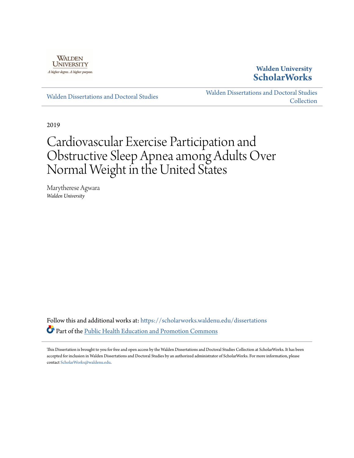

## **Walden University [ScholarWorks](https://scholarworks.waldenu.edu/?utm_source=scholarworks.waldenu.edu%2Fdissertations%2F7361&utm_medium=PDF&utm_campaign=PDFCoverPages)**

[Walden Dissertations and Doctoral Studies](https://scholarworks.waldenu.edu/dissertations?utm_source=scholarworks.waldenu.edu%2Fdissertations%2F7361&utm_medium=PDF&utm_campaign=PDFCoverPages)

[Walden Dissertations and Doctoral Studies](https://scholarworks.waldenu.edu/dissanddoc?utm_source=scholarworks.waldenu.edu%2Fdissertations%2F7361&utm_medium=PDF&utm_campaign=PDFCoverPages) **[Collection](https://scholarworks.waldenu.edu/dissanddoc?utm_source=scholarworks.waldenu.edu%2Fdissertations%2F7361&utm_medium=PDF&utm_campaign=PDFCoverPages)** 

2019

# Cardiovascular Exercise Participation and Obstructive Sleep Apnea among Adults Over Normal Weight in the United States

Marytherese Agwara *Walden University*

Follow this and additional works at: [https://scholarworks.waldenu.edu/dissertations](https://scholarworks.waldenu.edu/dissertations?utm_source=scholarworks.waldenu.edu%2Fdissertations%2F7361&utm_medium=PDF&utm_campaign=PDFCoverPages) Part of the [Public Health Education and Promotion Commons](http://network.bepress.com/hgg/discipline/743?utm_source=scholarworks.waldenu.edu%2Fdissertations%2F7361&utm_medium=PDF&utm_campaign=PDFCoverPages)

This Dissertation is brought to you for free and open access by the Walden Dissertations and Doctoral Studies Collection at ScholarWorks. It has been accepted for inclusion in Walden Dissertations and Doctoral Studies by an authorized administrator of ScholarWorks. For more information, please contact [ScholarWorks@waldenu.edu](mailto:ScholarWorks@waldenu.edu).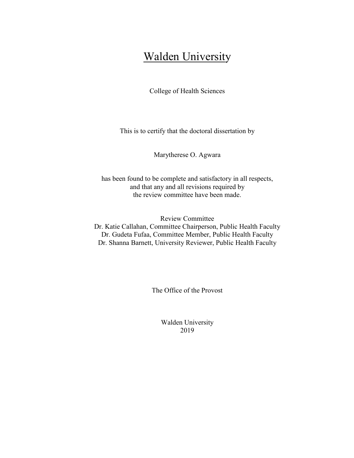## **Walden University**

College of Health Sciences

This is to certify that the doctoral dissertation by

Marytherese O. Agwara

has been found to be complete and satisfactory in all respects, and that any and all revisions required by the review committee have been made.

Review Committee Dr. Katie Callahan, Committee Chairperson, Public Health Faculty Dr. Gudeta Fufaa, Committee Member, Public Health Faculty Dr. Shanna Barnett, University Reviewer, Public Health Faculty

The Office of the Provost

Walden University 2019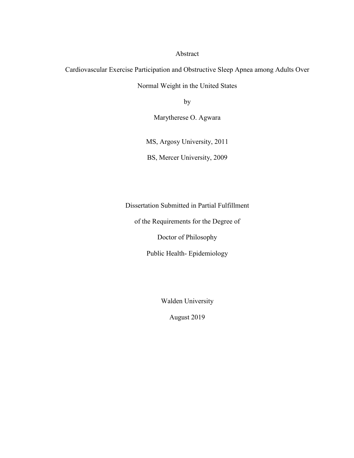Abstract

Cardiovascular Exercise Participation and Obstructive Sleep Apnea among Adults Over

Normal Weight in the United States

by

Marytherese O. Agwara

MS, Argosy University, 2011

BS, Mercer University, 2009

Dissertation Submitted in Partial Fulfillment

of the Requirements for the Degree of

Doctor of Philosophy

Public Health- Epidemiology

Walden University

August 2019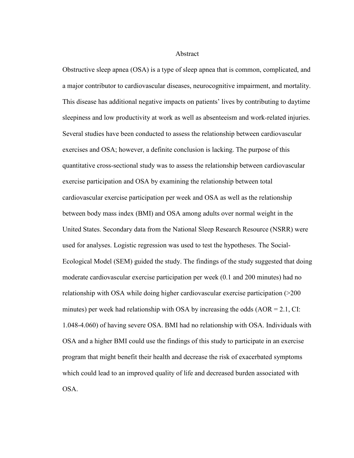Abstract

Obstructive sleep apnea (OSA) is a type of sleep apnea that is common, complicated, and a major contributor to cardiovascular diseases, neurocognitive impairment, and mortality. This disease has additional negative impacts on patients' lives by contributing to daytime sleepiness and low productivity at work as well as absenteeism and work-related injuries. Several studies have been conducted to assess the relationship between cardiovascular exercises and OSA; however, a definite conclusion is lacking. The purpose of this quantitative cross-sectional study was to assess the relationship between cardiovascular exercise participation and OSA by examining the relationship between total cardiovascular exercise participation per week and OSA as well as the relationship between body mass index (BMI) and OSA among adults over normal weight in the United States. Secondary data from the National Sleep Research Resource (NSRR) were used for analyses. Logistic regression was used to test the hypotheses. The Social-Ecological Model (SEM) guided the study. The findings of the study suggested that doing moderate cardiovascular exercise participation per week (0.1 and 200 minutes) had no relationship with OSA while doing higher cardiovascular exercise participation (>200 minutes) per week had relationship with OSA by increasing the odds  $(AOR = 2.1, CI$ : 1.048-4.060) of having severe OSA. BMI had no relationship with OSA. Individuals with OSA and a higher BMI could use the findings of this study to participate in an exercise program that might benefit their health and decrease the risk of exacerbated symptoms which could lead to an improved quality of life and decreased burden associated with OSA.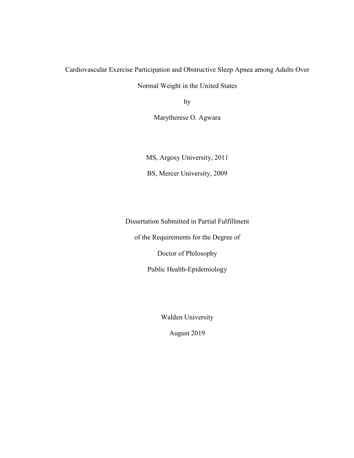Cardiovascular Exercise Participation and Obstructive Sleep Apnea among Adults Over

Normal Weight in the United States

by

Marytherese O. Agwara

MS, Argosy University, 2011 BS, Mercer University, 2009

Dissertation Submitted in Partial Fulfillment

of the Requirements for the Degree of

Doctor of Philosophy

Public Health-Epidemiology

Walden University

August 2019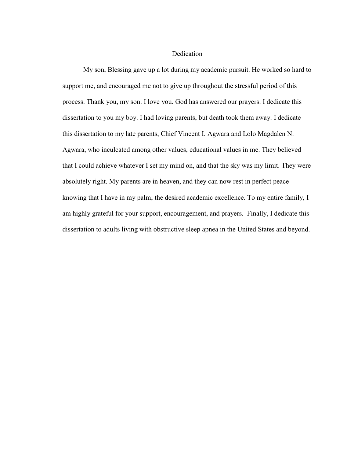#### **Dedication**

My son, Blessing gave up a lot during my academic pursuit. He worked so hard to support me, and encouraged me not to give up throughout the stressful period of this process. Thank you, my son. I love you. God has answered our prayers. I dedicate this dissertation to you my boy. I had loving parents, but death took them away. I dedicate this dissertation to my late parents, Chief Vincent I. Agwara and Lolo Magdalen N. Agwara, who inculcated among other values, educational values in me. They believed that I could achieve whatever I set my mind on, and that the sky was my limit. They were absolutely right. My parents are in heaven, and they can now rest in perfect peace knowing that I have in my palm; the desired academic excellence. To my entire family, I am highly grateful for your support, encouragement, and prayers. Finally, I dedicate this dissertation to adults living with obstructive sleep apnea in the United States and beyond.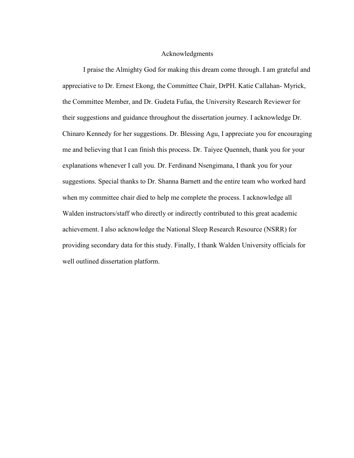#### Acknowledgments

I praise the Almighty God for making this dream come through. I am grateful and appreciative to Dr. Ernest Ekong, the Committee Chair, DrPH. Katie Callahan- Myrick, the Committee Member, and Dr. Gudeta Fufaa, the University Research Reviewer for their suggestions and guidance throughout the dissertation journey. I acknowledge Dr. Chinaro Kennedy for her suggestions. Dr. Blessing Agu, I appreciate you for encouraging me and believing that I can finish this process. Dr. Taiyee Quenneh, thank you for your explanations whenever I call you. Dr. Ferdinand Nsengimana, I thank you for your suggestions. Special thanks to Dr. Shanna Barnett and the entire team who worked hard when my committee chair died to help me complete the process. I acknowledge all Walden instructors/staff who directly or indirectly contributed to this great academic achievement. I also acknowledge the National Sleep Research Resource (NSRR) for providing secondary data for this study. Finally, I thank Walden University officials for well outlined dissertation platform.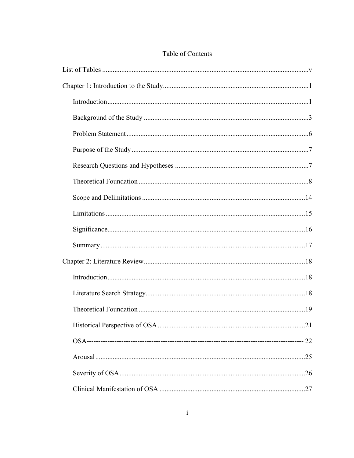## Table of Contents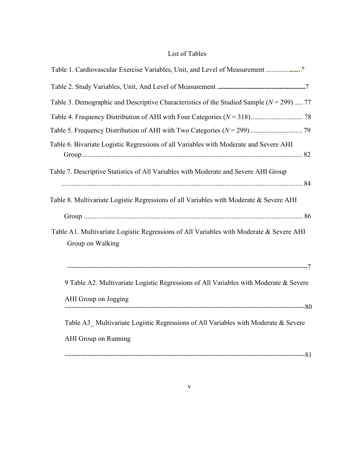### List of Tables

<span id="page-11-0"></span>

| Table 1. Cardiovascular Exercise Variables, Unit, and Level of Measurement 7                                |
|-------------------------------------------------------------------------------------------------------------|
|                                                                                                             |
| Table 3. Demographic and Descriptive Characteristics of the Studied Sample ( $N = 299$ ) 77                 |
|                                                                                                             |
|                                                                                                             |
| Table 6. Bivariate Logistic Regressions of all Variables with Moderate and Severe AHI                       |
| Table 7. Descriptive Statistics of All Variables with Moderate and Severe AHI Group                         |
| Table 8. Multivariate Logistic Regressions of all Variables with Moderate & Severe AHI                      |
|                                                                                                             |
| Table A1. Multivariate Logistic Regressions of All Variables with Moderate & Severe AHI<br>Group on Walking |
|                                                                                                             |
| 9 Table A2. Multivariate Logistic Regressions of All Variables with Moderate & Severe                       |
| AHI Group on Jogging                                                                                        |
| Table A3 Multivariate Logistic Regressions of All Variables with Moderate & Severe<br>AHI Group on Running  |
|                                                                                                             |
|                                                                                                             |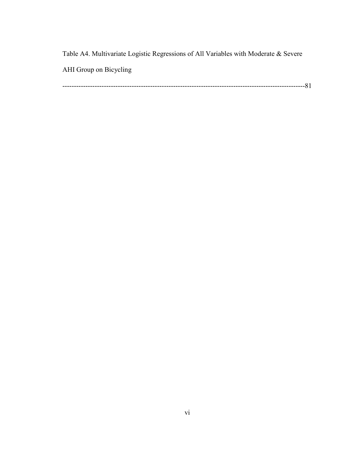Table A4. Multivariate Logistic Regressions of All Variables with Moderate & Severe AHI Group on Bicycling

---------------------------------------------------------------------------------------------------------81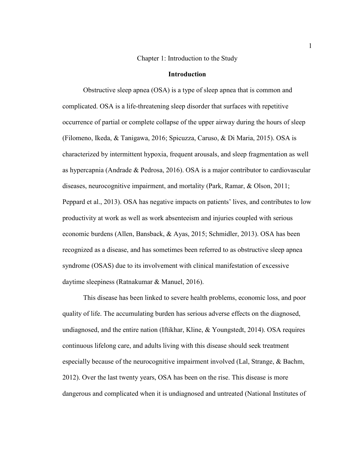Chapter 1: Introduction to the Study

#### **Introduction**

<span id="page-13-1"></span><span id="page-13-0"></span>Obstructive sleep apnea (OSA) is a type of sleep apnea that is common and complicated. OSA is a life-threatening sleep disorder that surfaces with repetitive occurrence of partial or complete collapse of the upper airway during the hours of sleep (Filomeno, Ikeda, & Tanigawa, 2016; Spicuzza, Caruso, & Di Maria, 2015). OSA is characterized by intermittent hypoxia, frequent arousals, and sleep fragmentation as well as hypercapnia (Andrade & Pedrosa, 2016). OSA is a major contributor to cardiovascular diseases, neurocognitive impairment, and mortality (Park, Ramar, & Olson, 2011; Peppard et al., 2013). OSA has negative impacts on patients' lives, and contributes to low productivity at work as well as work absenteeism and injuries coupled with serious economic burdens (Allen, Bansback, & Ayas, 2015; Schmidler, 2013). OSA has been recognized as a disease, and has sometimes been referred to as obstructive sleep apnea syndrome (OSAS) due to its involvement with clinical manifestation of excessive daytime sleepiness (Ratnakumar & Manuel, 2016).

This disease has been linked to severe health problems, economic loss, and poor quality of life. The accumulating burden has serious adverse effects on the diagnosed, undiagnosed, and the entire nation (Iftikhar, Kline, & Youngstedt, 2014). OSA requires continuous lifelong care, and adults living with this disease should seek treatment especially because of the neurocognitive impairment involved (Lal, Strange, & Bachm, 2012). Over the last twenty years, OSA has been on the rise. This disease is more dangerous and complicated when it is undiagnosed and untreated (National Institutes of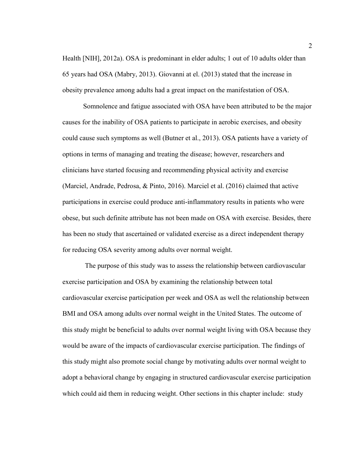Health [NIH], 2012a). OSA is predominant in elder adults; 1 out of 10 adults older than 65 years had OSA (Mabry, 2013). Giovanni at el. (2013) stated that the increase in obesity prevalence among adults had a great impact on the manifestation of OSA.

Somnolence and fatigue associated with OSA have been attributed to be the major causes for the inability of OSA patients to participate in aerobic exercises, and obesity could cause such symptoms as well (Butner et al., 2013). OSA patients have a variety of options in terms of managing and treating the disease; however, researchers and clinicians have started focusing and recommending physical activity and exercise (Marciel, Andrade, Pedrosa, & Pinto, 2016). Marciel et al. (2016) claimed that active participations in exercise could produce anti-inflammatory results in patients who were obese, but such definite attribute has not been made on OSA with exercise. Besides, there has been no study that ascertained or validated exercise as a direct independent therapy for reducing OSA severity among adults over normal weight.

 The purpose of this study was to assess the relationship between cardiovascular exercise participation and OSA by examining the relationship between total cardiovascular exercise participation per week and OSA as well the relationship between BMI and OSA among adults over normal weight in the United States. The outcome of this study might be beneficial to adults over normal weight living with OSA because they would be aware of the impacts of cardiovascular exercise participation. The findings of this study might also promote social change by motivating adults over normal weight to adopt a behavioral change by engaging in structured cardiovascular exercise participation which could aid them in reducing weight. Other sections in this chapter include: study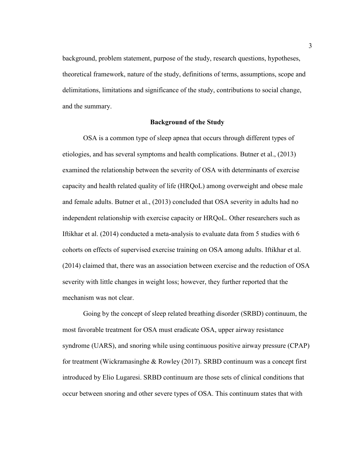background, problem statement, purpose of the study, research questions, hypotheses, theoretical framework, nature of the study, definitions of terms, assumptions, scope and delimitations, limitations and significance of the study, contributions to social change, and the summary.

#### **Background of the Study**

<span id="page-15-0"></span>OSA is a common type of sleep apnea that occurs through different types of etiologies, and has several symptoms and health complications. Butner et al., (2013) examined the relationship between the severity of OSA with determinants of exercise capacity and health related quality of life (HRQoL) among overweight and obese male and female adults. Butner et al., (2013) concluded that OSA severity in adults had no independent relationship with exercise capacity or HRQoL. Other researchers such as Iftikhar et al. (2014) conducted a meta-analysis to evaluate data from 5 studies with 6 cohorts on effects of supervised exercise training on OSA among adults. Iftikhar et al. (2014) claimed that, there was an association between exercise and the reduction of OSA severity with little changes in weight loss; however, they further reported that the mechanism was not clear.

Going by the concept of sleep related breathing disorder (SRBD) continuum, the most favorable treatment for OSA must eradicate OSA, upper airway resistance syndrome (UARS), and snoring while using continuous positive airway pressure (CPAP) for treatment (Wickramasinghe & Rowley (2017). SRBD continuum was a concept first introduced by Elio Lugaresi. SRBD continuum are those sets of clinical conditions that occur between snoring and other severe types of OSA. This continuum states that with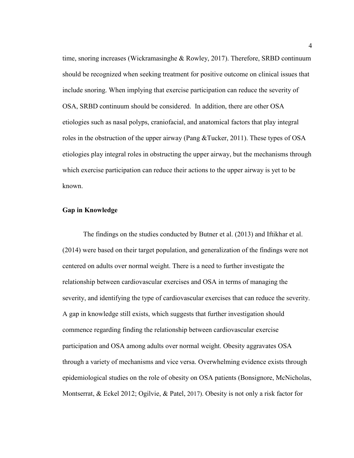time, snoring increases (Wickramasinghe & Rowley, 2017). Therefore, SRBD continuum should be recognized when seeking treatment for positive outcome on clinical issues that include snoring. When implying that exercise participation can reduce the severity of OSA, SRBD continuum should be considered. In addition, there are other OSA etiologies such as nasal polyps, craniofacial, and anatomical factors that play integral roles in the obstruction of the upper airway (Pang &Tucker, 2011). These types of OSA etiologies play integral roles in obstructing the upper airway, but the mechanisms through which exercise participation can reduce their actions to the upper airway is yet to be known.

#### **Gap in Knowledge**

The findings on the studies conducted by Butner et al. (2013) and Iftikhar et al. (2014) were based on their target population, and generalization of the findings were not centered on adults over normal weight. There is a need to further investigate the relationship between cardiovascular exercises and OSA in terms of managing the severity, and identifying the type of cardiovascular exercises that can reduce the severity. A gap in knowledge still exists, which suggests that further investigation should commence regarding finding the relationship between cardiovascular exercise participation and OSA among adults over normal weight. Obesity aggravates OSA through a variety of mechanisms and vice versa. Overwhelming evidence exists through epidemiological studies on the role of obesity on OSA patients (Bonsignore, McNicholas, Montserrat, & Eckel 2012; Ogilvie, & Patel, 2017). Obesity is not only a risk factor for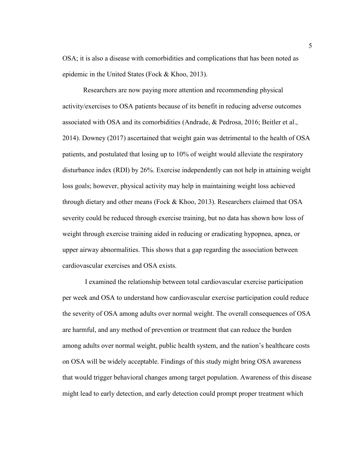OSA; it is also a disease with comorbidities and complications that has been noted as epidemic in the United States (Fock & Khoo, 2013).

Researchers are now paying more attention and recommending physical activity/exercises to OSA patients because of its benefit in reducing adverse outcomes associated with OSA and its comorbidities (Andrade, & Pedrosa, 2016; Beitler et al., 2014). Downey (2017) ascertained that weight gain was detrimental to the health of OSA patients, and postulated that losing up to 10% of weight would alleviate the respiratory disturbance index (RDI) by 26%. Exercise independently can not help in attaining weight loss goals; however, physical activity may help in maintaining weight loss achieved through dietary and other means (Fock & Khoo, 2013). Researchers claimed that OSA severity could be reduced through exercise training, but no data has shown how loss of weight through exercise training aided in reducing or eradicating hypopnea, apnea, or upper airway abnormalities. This shows that a gap regarding the association between cardiovascular exercises and OSA exists.

I examined the relationship between total cardiovascular exercise participation per week and OSA to understand how cardiovascular exercise participation could reduce the severity of OSA among adults over normal weight. The overall consequences of OSA are harmful, and any method of prevention or treatment that can reduce the burden among adults over normal weight, public health system, and the nation's healthcare costs on OSA will be widely acceptable. Findings of this study might bring OSA awareness that would trigger behavioral changes among target population. Awareness of this disease might lead to early detection, and early detection could prompt proper treatment which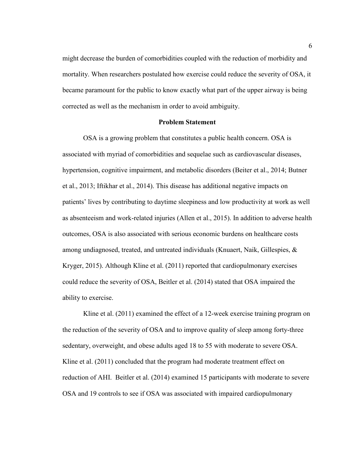might decrease the burden of comorbidities coupled with the reduction of morbidity and mortality. When researchers postulated how exercise could reduce the severity of OSA, it became paramount for the public to know exactly what part of the upper airway is being corrected as well as the mechanism in order to avoid ambiguity.

#### **Problem Statement**

<span id="page-18-0"></span>OSA is a growing problem that constitutes a public health concern. OSA is associated with myriad of comorbidities and sequelae such as cardiovascular diseases, hypertension, cognitive impairment, and metabolic disorders (Beiter et al., 2014; Butner et al., 2013; Iftikhar et al., 2014). This disease has additional negative impacts on patients' lives by contributing to daytime sleepiness and low productivity at work as well as absenteeism and work-related injuries (Allen et al., 2015). In addition to adverse health outcomes, OSA is also associated with serious economic burdens on healthcare costs among undiagnosed, treated, and untreated individuals (Knuaert, Naik, Gillespies, & Kryger, 2015). Although Kline et al. (2011) reported that cardiopulmonary exercises could reduce the severity of OSA, Beitler et al. (2014) stated that OSA impaired the ability to exercise.

Kline et al. (2011) examined the effect of a 12-week exercise training program on the reduction of the severity of OSA and to improve quality of sleep among forty-three sedentary, overweight, and obese adults aged 18 to 55 with moderate to severe OSA. Kline et al. (2011) concluded that the program had moderate treatment effect on reduction of AHI. Beitler et al. (2014) examined 15 participants with moderate to severe OSA and 19 controls to see if OSA was associated with impaired cardiopulmonary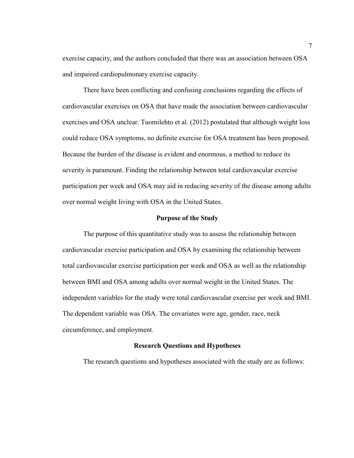exercise capacity, and the authors concluded that there was an association between OSA and impaired cardiopulmonary exercise capacity.

There have been conflicting and confusing conclusions regarding the effects of cardiovascular exercises on OSA that have made the association between cardiovascular exercises and OSA unclear. Tuomilehto et al. (2012) postulated that although weight loss could reduce OSA symptoms, no definite exercise for OSA treatment has been proposed. Because the burden of the disease is evident and enormous, a method to reduce its severity is paramount. Finding the relationship between total cardiovascular exercise participation per week and OSA may aid in reducing severity of the disease among adults over normal weight living with OSA in the United States.

#### **Purpose of the Study**

<span id="page-19-0"></span>The purpose of this quantitative study was to assess the relationship between cardiovascular exercise participation and OSA by examining the relationship between total cardiovascular exercise participation per week and OSA as well as the relationship between BMI and OSA among adults over normal weight in the United States. The independent variables for the study were total cardiovascular exercise per week and BMI. The dependent variable was OSA. The covariates were age, gender, race, neck circumference, and employment.

#### **Research Questions and Hypotheses**

<span id="page-19-1"></span>The research questions and hypotheses associated with the study are as follows: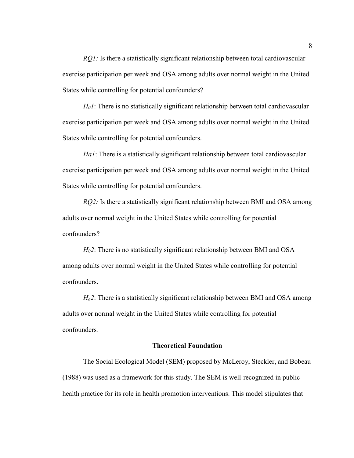*RQ1:* Is there a statistically significant relationship between total cardiovascular exercise participation per week and OSA among adults over normal weight in the United States while controlling for potential confounders?

*H01*: There is no statistically significant relationship between total cardiovascular exercise participation per week and OSA among adults over normal weight in the United States while controlling for potential confounders.

*Ha1*: There is a statistically significant relationship between total cardiovascular exercise participation per week and OSA among adults over normal weight in the United States while controlling for potential confounders.

*RQ2:* Is there a statistically significant relationship between BMI and OSA among adults over normal weight in the United States while controlling for potential confounders?

*H02*: There is no statistically significant relationship between BMI and OSA among adults over normal weight in the United States while controlling for potential confounders.

*Ha2*: There is a statistically significant relationship between BMI and OSA among adults over normal weight in the United States while controlling for potential confounders*.*

#### **Theoretical Foundation**

<span id="page-20-0"></span>The Social Ecological Model (SEM) proposed by McLeroy, Steckler, and Bobeau (1988) was used as a framework for this study. The SEM is well-recognized in public health practice for its role in health promotion interventions. This model stipulates that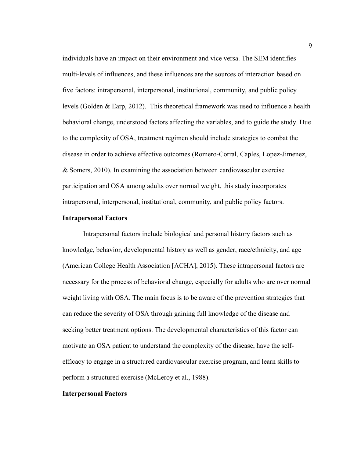individuals have an impact on their environment and vice versa. The SEM identifies multi-levels of influences, and these influences are the sources of interaction based on five factors: intrapersonal, interpersonal, institutional, community, and public policy levels (Golden & Earp, 2012). This theoretical framework was used to influence a health behavioral change, understood factors affecting the variables, and to guide the study. Due to the complexity of OSA, treatment regimen should include strategies to combat the disease in order to achieve effective outcomes (Romero-Corral, Caples, Lopez-Jimenez, & Somers, 2010). In examining the association between cardiovascular exercise participation and OSA among adults over normal weight, this study incorporates intrapersonal, interpersonal, institutional, community, and public policy factors.

#### **Intrapersonal Factors**

Intrapersonal factors include biological and personal history factors such as knowledge, behavior, developmental history as well as gender, race/ethnicity, and age (American College Health Association [ACHA], 2015). These intrapersonal factors are necessary for the process of behavioral change, especially for adults who are over normal weight living with OSA. The main focus is to be aware of the prevention strategies that can reduce the severity of OSA through gaining full knowledge of the disease and seeking better treatment options. The developmental characteristics of this factor can motivate an OSA patient to understand the complexity of the disease, have the selfefficacy to engage in a structured cardiovascular exercise program, and learn skills to perform a structured exercise (McLeroy et al., 1988).

#### **Interpersonal Factors**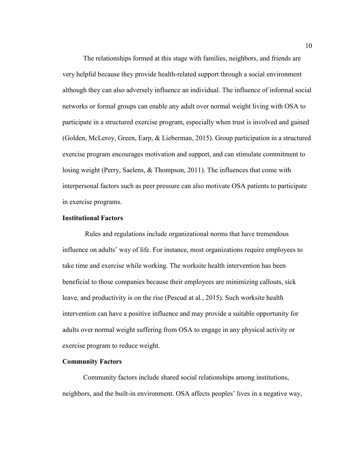The relationships formed at this stage with families, neighbors, and friends are very helpful because they provide health-related support through a social environment although they can also adversely influence an individual. The influence of informal social networks or formal groups can enable any adult over normal weight living with OSA to participate in a structured exercise program, especially when trust is involved and gained (Golden, McLeroy, Green, Earp, & Lieberman, 2015). Group participation in a structured exercise program encourages motivation and support, and can stimulate commitment to losing weight (Perry, Saelens, & Thompson, 2011). The influences that come with interpersonal factors such as peer pressure can also motivate OSA patients to participate in exercise programs.

#### **Institutional Factors**

Rules and regulations include organizational norms that have tremendous influence on adults' way of life. For instance, most organizations require employees to take time and exercise while working. The worksite health intervention has been beneficial to those companies because their employees are minimizing callouts, sick leave, and productivity is on the rise (Pescud at al., 2015). Such worksite health intervention can have a positive influence and may provide a suitable opportunity for adults over normal weight suffering from OSA to engage in any physical activity or exercise program to reduce weight.

#### **Community Factors**

Community factors include shared social relationships among institutions, neighbors, and the built-in environment. OSA affects peoples' lives in a negative way,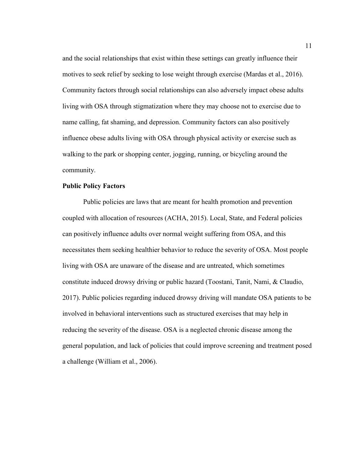and the social relationships that exist within these settings can greatly influence their motives to seek relief by seeking to lose weight through exercise (Mardas et al., 2016). Community factors through social relationships can also adversely impact obese adults living with OSA through stigmatization where they may choose not to exercise due to name calling, fat shaming, and depression. Community factors can also positively influence obese adults living with OSA through physical activity or exercise such as walking to the park or shopping center, jogging, running, or bicycling around the community.

#### **Public Policy Factors**

Public policies are laws that are meant for health promotion and prevention coupled with allocation of resources (ACHA, 2015). Local, State, and Federal policies can positively influence adults over normal weight suffering from OSA, and this necessitates them seeking healthier behavior to reduce the severity of OSA. Most people living with OSA are unaware of the disease and are untreated, which sometimes constitute induced drowsy driving or public hazard (Toostani, Tanit, Nami, & Claudio, 2017). Public policies regarding induced drowsy driving will mandate OSA patients to be involved in behavioral interventions such as structured exercises that may help in reducing the severity of the disease. OSA is a neglected chronic disease among the general population, and lack of policies that could improve screening and treatment posed a challenge (William et al., 2006).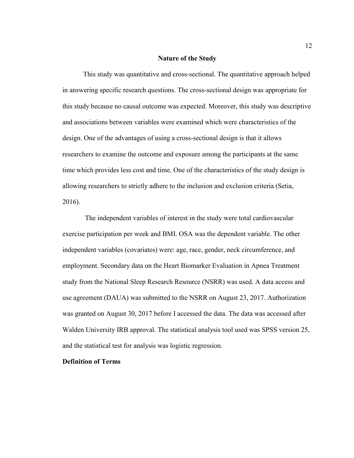#### **Nature of the Study**

This study was quantitative and cross-sectional. The quantitative approach helped in answering specific research questions. The cross-sectional design was appropriate for this study because no causal outcome was expected. Moreover, this study was descriptive and associations between variables were examined which were characteristics of the design. One of the advantages of using a cross-sectional design is that it allows researchers to examine the outcome and exposure among the participants at the same time which provides less cost and time. One of the characteristics of the study design is allowing researchers to strictly adhere to the inclusion and exclusion criteria (Setia, 2016).

The independent variables of interest in the study were total cardiovascular exercise participation per week and BMI. OSA was the dependent variable. The other independent variables (covariates) were: age, race, gender, neck circumference, and employment. Secondary data on the Heart Biomarker Evaluation in Apnea Treatment study from the National Sleep Research Resource (NSRR) was used. A data access and use agreement (DAUA) was submitted to the NSRR on August 23, 2017. Authorization was granted on August 30, 2017 before I accessed the data. The data was accessed after Walden University IRB approval. The statistical analysis tool used was SPSS version 25, and the statistical test for analysis was logistic regression.

#### **Definition of Terms**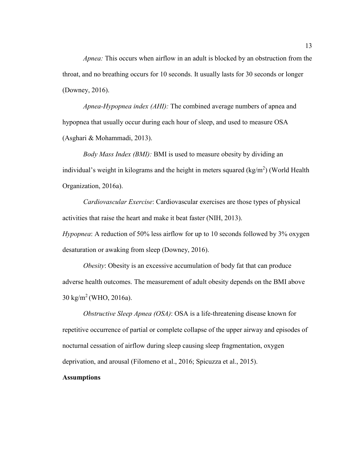*Apnea:* This occurs when airflow in an adult is blocked by an obstruction from the throat, and no breathing occurs for 10 seconds. It usually lasts for 30 seconds or longer (Downey, 2016).

*Apnea-Hypopnea index (AHI):* The combined average numbers of apnea and hypopnea that usually occur during each hour of sleep, and used to measure OSA (Asghari & Mohammadi, 2013).

*Body Mass Index (BMI):* BMI is used to measure obesity by dividing an individual's weight in kilograms and the height in meters squared  $(kg/m^2)$  (World Health Organization, 2016a).

*Cardiovascular Exercise*: Cardiovascular exercises are those types of physical activities that raise the heart and make it beat faster (NIH, 2013).

*Hypopnea*: A reduction of 50% less airflow for up to 10 seconds followed by 3% oxygen desaturation or awaking from sleep (Downey, 2016).

*Obesity*: Obesity is an excessive accumulation of body fat that can produce adverse health outcomes. The measurement of adult obesity depends on the BMI above  $30 \text{ kg/m}^2$  (WHO, 2016a).

*Obstructive Sleep Apnea (OSA)*: OSA is a life-threatening disease known for repetitive occurrence of partial or complete collapse of the upper airway and episodes of nocturnal cessation of airflow during sleep causing sleep fragmentation, oxygen deprivation, and arousal (Filomeno et al., 2016; Spicuzza et al., 2015).

#### **Assumptions**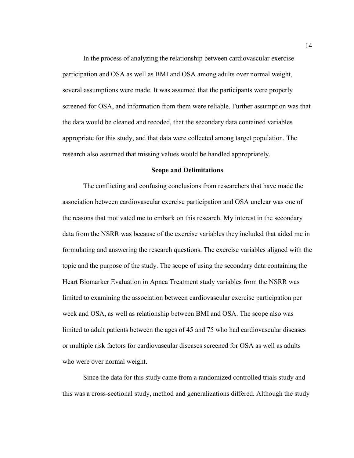In the process of analyzing the relationship between cardiovascular exercise participation and OSA as well as BMI and OSA among adults over normal weight, several assumptions were made. It was assumed that the participants were properly screened for OSA, and information from them were reliable. Further assumption was that the data would be cleaned and recoded, that the secondary data contained variables appropriate for this study, and that data were collected among target population. The research also assumed that missing values would be handled appropriately.

#### **Scope and Delimitations**

<span id="page-26-0"></span>The conflicting and confusing conclusions from researchers that have made the association between cardiovascular exercise participation and OSA unclear was one of the reasons that motivated me to embark on this research. My interest in the secondary data from the NSRR was because of the exercise variables they included that aided me in formulating and answering the research questions. The exercise variables aligned with the topic and the purpose of the study. The scope of using the secondary data containing the Heart Biomarker Evaluation in Apnea Treatment study variables from the NSRR was limited to examining the association between cardiovascular exercise participation per week and OSA, as well as relationship between BMI and OSA. The scope also was limited to adult patients between the ages of 45 and 75 who had cardiovascular diseases or multiple risk factors for cardiovascular diseases screened for OSA as well as adults who were over normal weight.

Since the data for this study came from a randomized controlled trials study and this was a cross-sectional study, method and generalizations differed. Although the study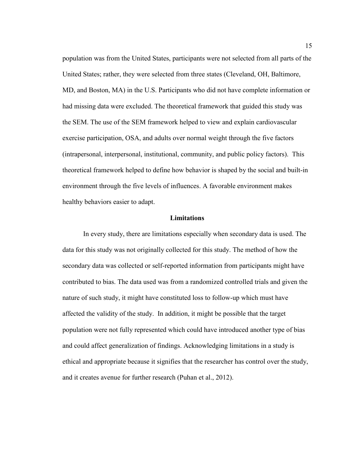population was from the United States, participants were not selected from all parts of the United States; rather, they were selected from three states (Cleveland, OH, Baltimore, MD, and Boston, MA) in the U.S. Participants who did not have complete information or had missing data were excluded. The theoretical framework that guided this study was the SEM. The use of the SEM framework helped to view and explain cardiovascular exercise participation, OSA, and adults over normal weight through the five factors (intrapersonal, interpersonal, institutional, community, and public policy factors). This theoretical framework helped to define how behavior is shaped by the social and built-in environment through the five levels of influences. A favorable environment makes healthy behaviors easier to adapt.

#### **Limitations**

<span id="page-27-0"></span>In every study, there are limitations especially when secondary data is used. The data for this study was not originally collected for this study. The method of how the secondary data was collected or self-reported information from participants might have contributed to bias. The data used was from a randomized controlled trials and given the nature of such study, it might have constituted loss to follow-up which must have affected the validity of the study. In addition, it might be possible that the target population were not fully represented which could have introduced another type of bias and could affect generalization of findings. Acknowledging limitations in a study is ethical and appropriate because it signifies that the researcher has control over the study, and it creates avenue for further research (Puhan et al., 2012).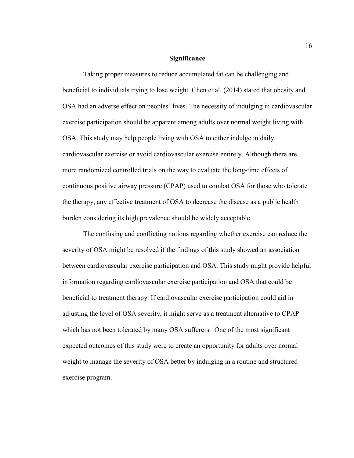#### **Significance**

<span id="page-28-0"></span>Taking proper measures to reduce accumulated fat can be challenging and beneficial to individuals trying to lose weight. Chen et al. (2014) stated that obesity and OSA had an adverse effect on peoples' lives. The necessity of indulging in cardiovascular exercise participation should be apparent among adults over normal weight living with OSA. This study may help people living with OSA to either indulge in daily cardiovascular exercise or avoid cardiovascular exercise entirely. Although there are more randomized controlled trials on the way to evaluate the long-time effects of continuous positive airway pressure (CPAP) used to combat OSA for those who tolerate the therapy, any effective treatment of OSA to decrease the disease as a public health burden considering its high prevalence should be widely acceptable.

The confusing and conflicting notions regarding whether exercise can reduce the severity of OSA might be resolved if the findings of this study showed an association between cardiovascular exercise participation and OSA. This study might provide helpful information regarding cardiovascular exercise participation and OSA that could be beneficial to treatment therapy. If cardiovascular exercise participation could aid in adjusting the level of OSA severity, it might serve as a treatment alternative to CPAP which has not been tolerated by many OSA sufferers. One of the most significant expected outcomes of this study were to create an opportunity for adults over normal weight to manage the severity of OSA better by indulging in a routine and structured exercise program.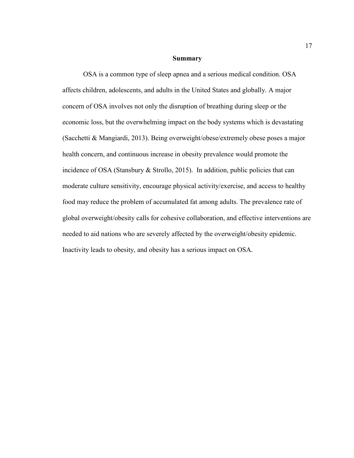#### **Summary**

<span id="page-29-0"></span>OSA is a common type of sleep apnea and a serious medical condition. OSA affects children, adolescents, and adults in the United States and globally. A major concern of OSA involves not only the disruption of breathing during sleep or the economic loss, but the overwhelming impact on the body systems which is devastating (Sacchetti & Mangiardi, 2013). Being overweight/obese/extremely obese poses a major health concern, and continuous increase in obesity prevalence would promote the incidence of OSA (Stansbury & Strollo, 2015). In addition, public policies that can moderate culture sensitivity, encourage physical activity/exercise, and access to healthy food may reduce the problem of accumulated fat among adults. The prevalence rate of global overweight/obesity calls for cohesive collaboration, and effective interventions are needed to aid nations who are severely affected by the overweight/obesity epidemic. Inactivity leads to obesity, and obesity has a serious impact on OSA.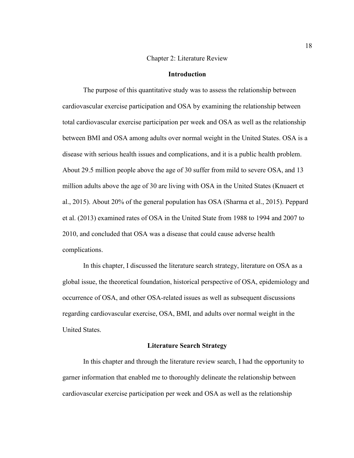#### Chapter 2: Literature Review

#### **Introduction**

<span id="page-30-1"></span><span id="page-30-0"></span>The purpose of this quantitative study was to assess the relationship between cardiovascular exercise participation and OSA by examining the relationship between total cardiovascular exercise participation per week and OSA as well as the relationship between BMI and OSA among adults over normal weight in the United States. OSA is a disease with serious health issues and complications, and it is a public health problem. About 29.5 million people above the age of 30 suffer from mild to severe OSA, and 13 million adults above the age of 30 are living with OSA in the United States (Knuaert et al., 2015). About 20% of the general population has OSA (Sharma et al., 2015). Peppard et al. (2013) examined rates of OSA in the United State from 1988 to 1994 and 2007 to 2010, and concluded that OSA was a disease that could cause adverse health complications.

 In this chapter, I discussed the literature search strategy, literature on OSA as a global issue, the theoretical foundation, historical perspective of OSA, epidemiology and occurrence of OSA, and other OSA-related issues as well as subsequent discussions regarding cardiovascular exercise, OSA, BMI, and adults over normal weight in the United States.

#### **Literature Search Strategy**

<span id="page-30-2"></span>In this chapter and through the literature review search, I had the opportunity to garner information that enabled me to thoroughly delineate the relationship between cardiovascular exercise participation per week and OSA as well as the relationship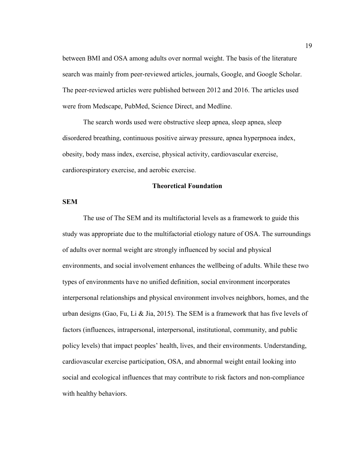between BMI and OSA among adults over normal weight. The basis of the literature search was mainly from peer-reviewed articles, journals, Google, and Google Scholar. The peer-reviewed articles were published between 2012 and 2016. The articles used were from Medscape, PubMed, Science Direct, and Medline.

The search words used were obstructive sleep apnea, sleep apnea, sleep disordered breathing, continuous positive airway pressure, apnea hyperpnoea index, obesity, body mass index, exercise, physical activity, cardiovascular exercise, cardiorespiratory exercise, and aerobic exercise.

#### **Theoretical Foundation**

#### <span id="page-31-0"></span>**SEM**

The use of The SEM and its multifactorial levels as a framework to guide this study was appropriate due to the multifactorial etiology nature of OSA. The surroundings of adults over normal weight are strongly influenced by social and physical environments, and social involvement enhances the wellbeing of adults. While these two types of environments have no unified definition, social environment incorporates interpersonal relationships and physical environment involves neighbors, homes, and the urban designs (Gao, Fu, Li & Jia, 2015). The SEM is a framework that has five levels of factors (influences, intrapersonal, interpersonal, institutional, community, and public policy levels) that impact peoples' health, lives, and their environments. Understanding, cardiovascular exercise participation, OSA, and abnormal weight entail looking into social and ecological influences that may contribute to risk factors and non-compliance with healthy behaviors.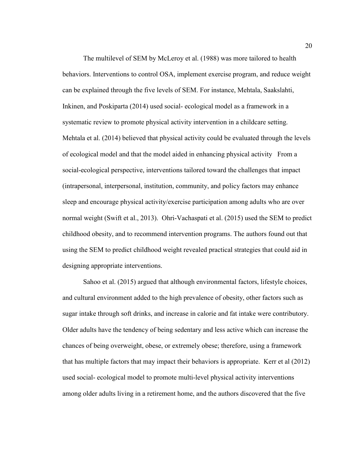The multilevel of SEM by McLeroy et al. (1988) was more tailored to health behaviors. Interventions to control OSA, implement exercise program, and reduce weight can be explained through the five levels of SEM. For instance, Mehtala, Saakslahti, Inkinen, and Poskiparta (2014) used social- ecological model as a framework in a systematic review to promote physical activity intervention in a childcare setting. Mehtala et al. (2014) believed that physical activity could be evaluated through the levels of ecological model and that the model aided in enhancing physical activity From a social-ecological perspective, interventions tailored toward the challenges that impact (intrapersonal, interpersonal, institution, community, and policy factors may enhance sleep and encourage physical activity/exercise participation among adults who are over normal weight (Swift et al., 2013). Ohri-Vachaspati et al. (2015) used the SEM to predict childhood obesity, and to recommend intervention programs. The authors found out that using the SEM to predict childhood weight revealed practical strategies that could aid in designing appropriate interventions.

Sahoo et al. (2015) argued that although environmental factors, lifestyle choices, and cultural environment added to the high prevalence of obesity, other factors such as sugar intake through soft drinks, and increase in calorie and fat intake were contributory. Older adults have the tendency of being sedentary and less active which can increase the chances of being overweight, obese, or extremely obese; therefore, using a framework that has multiple factors that may impact their behaviors is appropriate. Kerr et al (2012) used social- ecological model to promote multi-level physical activity interventions among older adults living in a retirement home, and the authors discovered that the five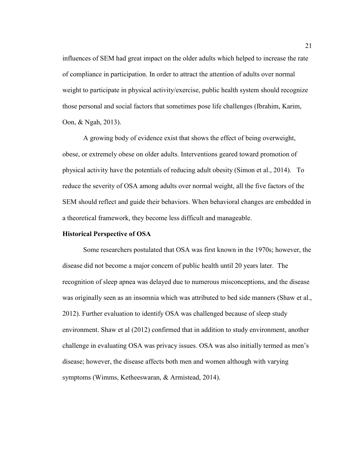influences of SEM had great impact on the older adults which helped to increase the rate of compliance in participation. In order to attract the attention of adults over normal weight to participate in physical activity/exercise, public health system should recognize those personal and social factors that sometimes pose life challenges (Ibrahim, Karim, Oon, & Ngah, 2013).

A growing body of evidence exist that shows the effect of being overweight, obese, or extremely obese on older adults. Interventions geared toward promotion of physical activity have the potentials of reducing adult obesity (Simon et al., 2014). To reduce the severity of OSA among adults over normal weight, all the five factors of the SEM should reflect and guide their behaviors. When behavioral changes are embedded in a theoretical framework, they become less difficult and manageable.

#### <span id="page-33-0"></span>**Historical Perspective of OSA**

Some researchers postulated that OSA was first known in the 1970s; however, the disease did not become a major concern of public health until 20 years later. The recognition of sleep apnea was delayed due to numerous misconceptions, and the disease was originally seen as an insomnia which was attributed to bed side manners (Shaw et al., 2012). Further evaluation to identify OSA was challenged because of sleep study environment. Shaw et al (2012) confirmed that in addition to study environment, another challenge in evaluating OSA was privacy issues. OSA was also initially termed as men's disease; however, the disease affects both men and women although with varying symptoms (Wimms, Ketheeswaran, & Armistead, 2014).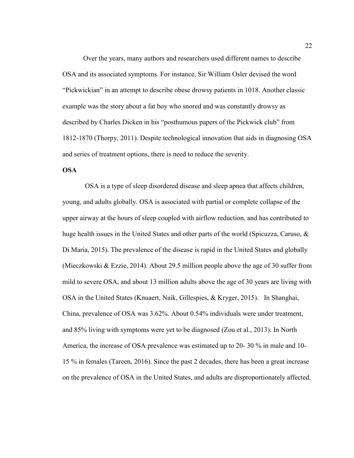Over the years, many authors and researchers used different names to describe OSA and its associated symptoms. For instance, Sir William Osler devised the word "Pickwickian" in an attempt to describe obese drowsy patients in 1018. Another classic example was the story about a fat boy who snored and was constantly drowsy as described by Charles Dicken in his "posthumous papers of the Pickwick club" from 1812-1870 (Thorpy, 2011). Despite technological innovation that aids in diagnosing OSA and series of treatment options, there is need to reduce the severity.

#### <span id="page-34-0"></span>**OSA**

OSA is a type of sleep disordered disease and sleep apnea that affects children, young, and adults globally. OSA is associated with partial or complete collapse of the upper airway at the hours of sleep coupled with airflow reduction, and has contributed to huge health issues in the United States and other parts of the world (Spicuzza, Caruso,  $\&$ Di Maria, 2015). The prevalence of the disease is rapid in the United States and globally (Mieczkowski & Ezzie, 2014). About 29.5 million people above the age of 30 suffer from mild to severe OSA, and about 13 million adults above the age of 30 years are living with OSA in the United States (Knuaert, Naik, Gillespies, & Kryger, 2015). In Shanghai, China, prevalence of OSA was 3.62%. About 0.54% individuals were under treatment, and 85% living with symptoms were yet to be diagnosed (Zou et al., 2013). In North America, the increase of OSA prevalence was estimated up to 20- 30 % in male and 10- 15 % in females (Tareen, 2016). Since the past 2 decades, there has been a great increase on the prevalence of OSA in the United States, and adults are disproportionately affected.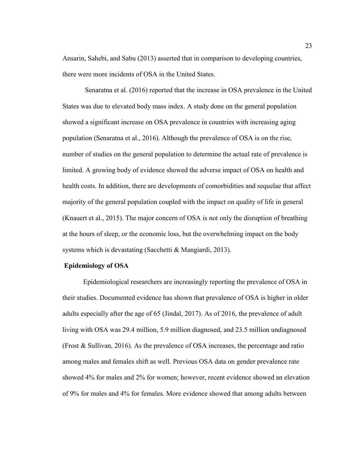Ansarin, Sahebi, and Sabu (2013) asserted that in comparison to developing countries, there were more incidents of OSA in the United States.

Senaratna et al. (2016) reported that the increase in OSA prevalence in the United States was due to elevated body mass index. A study done on the general population showed a significant increase on OSA prevalence in countries with increasing aging population (Senaratna et al., 2016). Although the prevalence of OSA is on the rise, number of studies on the general population to determine the actual rate of prevalence is limited. A growing body of evidence showed the adverse impact of OSA on health and health costs. In addition, there are developments of comorbidities and sequelae that affect majority of the general population coupled with the impact on quality of life in general (Knauert et al., 2015). The major concern of OSA is not only the disruption of breathing at the hours of sleep, or the economic loss, but the overwhelming impact on the body systems which is devastating (Sacchetti & Mangiardi, 2013).

#### **Epidemiology of OSA**

Epidemiological researchers are increasingly reporting the prevalence of OSA in their studies. Documented evidence has shown that prevalence of OSA is higher in older adults especially after the age of 65 (Jindal, 2017). As of 2016, the prevalence of adult living with OSA was 29.4 million, 5.9 million diagnosed, and 23.5 million undiagnosed (Frost & Sullivan, 2016). As the prevalence of OSA increases, the percentage and ratio among males and females shift as well. Previous OSA data on gender prevalence rate showed 4% for males and 2% for women; however, recent evidence showed an elevation of 9% for males and 4% for females. More evidence showed that among adults between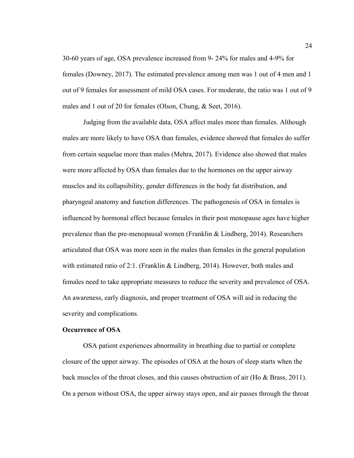30-60 years of age, OSA prevalence increased from 9- 24% for males and 4-9% for females (Downey, 2017). The estimated prevalence among men was 1 out of 4 men and 1 out of 9 females for assessment of mild OSA cases. For moderate, the ratio was 1 out of 9 males and 1 out of 20 for females (Olson, Chung, & Seet, 2016).

Judging from the available data, OSA affect males more than females. Although males are more likely to have OSA than females, evidence showed that females do suffer from certain sequelae more than males (Mehra, 2017). Evidence also showed that males were more affected by OSA than females due to the hormones on the upper airway muscles and its collapsibility, gender differences in the body fat distribution, and pharyngeal anatomy and function differences. The pathogenesis of OSA in females is influenced by hormonal effect because females in their post menopause ages have higher prevalence than the pre-menopausal women (Franklin & Lindberg, 2014). Researchers articulated that OSA was more seen in the males than females in the general population with estimated ratio of 2:1. (Franklin & Lindberg, 2014). However, both males and females need to take appropriate measures to reduce the severity and prevalence of OSA. An awareness, early diagnosis, and proper treatment of OSA will aid in reducing the severity and complications.

#### **Occurrence of OSA**

OSA patient experiences abnormality in breathing due to partial or complete closure of the upper airway. The episodes of OSA at the hours of sleep starts when the back muscles of the throat closes, and this causes obstruction of air (Ho & Brass, 2011). On a person without OSA, the upper airway stays open, and air passes through the throat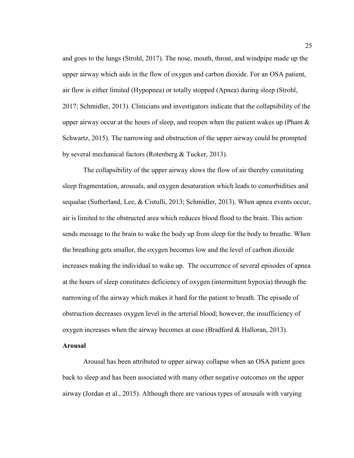and goes to the lungs (Strohl, 2017). The nose, mouth, throat, and windpipe made up the upper airway which aids in the flow of oxygen and carbon dioxide. For an OSA patient, air flow is either limited (Hypopnea) or totally stopped (Apnea) during sleep (Strohl, 2017; Schmidler, 2013). Clinicians and investigators indicate that the collapsibility of the upper airway occur at the hours of sleep, and reopen when the patient wakes up (Pham  $\&$ Schwartz, 2015). The narrowing and obstruction of the upper airway could be prompted by several mechanical factors (Rotenberg & Tucker, 2013).

The collapsibility of the upper airway slows the flow of air thereby constituting sleep fragmentation, arousals, and oxygen desaturation which leads to comorbidities and sequalae (Sutherland, Lee, & Cistulli, 2013; Schmidler, 2013). When apnea events occur, air is limited to the obstructed area which reduces blood flood to the brain. This action sends message to the brain to wake the body up from sleep for the body to breathe. When the breathing gets smaller, the oxygen becomes low and the level of carbon dioxide increases making the individual to wake up. The occurrence of several episodes of apnea at the hours of sleep constitutes deficiency of oxygen (intermittent hypoxia) through the narrowing of the airway which makes it hard for the patient to breath. The episode of obstruction decreases oxygen level in the arterial blood; however, the insufficiency of oxygen increases when the airway becomes at ease (Bradford & Halloran, 2013).

#### **Arousal**

Arousal has been attributed to upper airway collapse when an OSA patient goes back to sleep and has been associated with many other negative outcomes on the upper airway (Jordan et al., 2015). Although there are various types of arousals with varying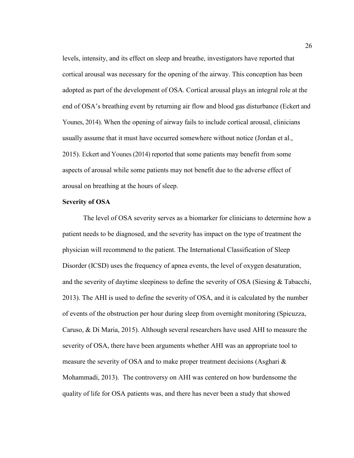levels, intensity, and its effect on sleep and breathe, investigators have reported that cortical arousal was necessary for the opening of the airway. This conception has been adopted as part of the development of OSA. Cortical arousal plays an integral role at the end of OSA's breathing event by returning air flow and blood gas disturbance (Eckert and Younes, 2014). When the opening of airway fails to include cortical arousal, clinicians usually assume that it must have occurred somewhere without notice (Jordan et al., 2015). Eckert and Younes (2014) reported that some patients may benefit from some aspects of arousal while some patients may not benefit due to the adverse effect of arousal on breathing at the hours of sleep.

# **Severity of OSA**

The level of OSA severity serves as a biomarker for clinicians to determine how a patient needs to be diagnosed, and the severity has impact on the type of treatment the physician will recommend to the patient. The International Classification of Sleep Disorder (ICSD) uses the frequency of apnea events, the level of oxygen desaturation, and the severity of daytime sleepiness to define the severity of OSA (Siesing & Tabacchi, 2013). The AHI is used to define the severity of OSA, and it is calculated by the number of events of the obstruction per hour during sleep from overnight monitoring (Spicuzza, Caruso, & Di Maria, 2015). Although several researchers have used AHI to measure the severity of OSA, there have been arguments whether AHI was an appropriate tool to measure the severity of OSA and to make proper treatment decisions (Asghari & Mohammadi, 2013). The controversy on AHI was centered on how burdensome the quality of life for OSA patients was, and there has never been a study that showed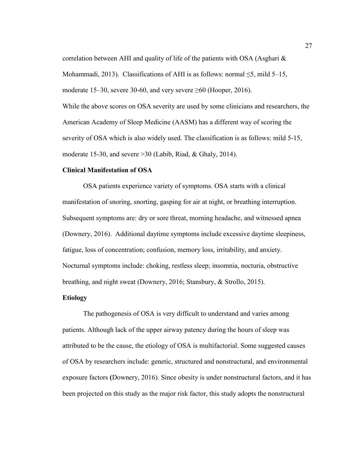correlation between AHI and quality of life of the patients with OSA (Asghari  $\&$ 

Mohammadi, 2013). Classifications of AHI is as follows: normal  $\leq$ 5, mild 5–15,

moderate 15–30, severe 30-60, and very severe  $\geq 60$  (Hooper, 2016).

While the above scores on OSA severity are used by some clinicians and researchers, the American Academy of Sleep Medicine (AASM) has a different way of scoring the severity of OSA which is also widely used. The classification is as follows: mild 5-15, moderate 15-30, and severe >30 (Labib, Riad, & Ghaly, 2014).

## **Clinical Manifestation of OSA**

OSA patients experience variety of symptoms. OSA starts with a clinical manifestation of snoring, snorting, gasping for air at night, or breathing interruption. Subsequent symptoms are: dry or sore threat, morning headache, and witnessed apnea (Downery, 2016). Additional daytime symptoms include excessive daytime sleepiness, fatigue, loss of concentration; confusion, memory loss, irritability, and anxiety. Nocturnal symptoms include: choking, restless sleep; insomnia, nocturia, obstructive breathing, and night sweat (Downery, 2016; Stansbury, & Strollo, 2015).

# **Etiology**

The pathogenesis of OSA is very difficult to understand and varies among patients. Although lack of the upper airway patency during the hours of sleep was attributed to be the cause, the etiology of OSA is multifactorial. Some suggested causes of OSA by researchers include: genetic, structured and nonstructural, and environmental exposure factors **(**Downery, 2016). Since obesity is under nonstructural factors, and it has been projected on this study as the major risk factor, this study adopts the nonstructural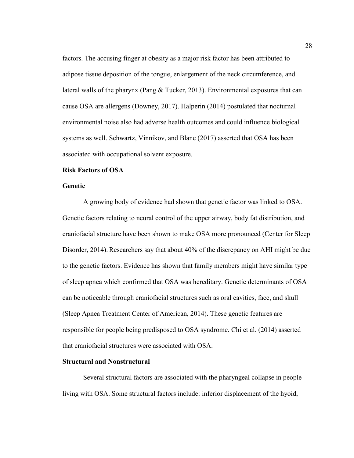factors. The accusing finger at obesity as a major risk factor has been attributed to adipose tissue deposition of the tongue, enlargement of the neck circumference, and lateral walls of the pharynx (Pang & Tucker, 2013). Environmental exposures that can cause OSA are allergens (Downey, 2017). Halperin (2014) postulated that nocturnal environmental noise also had adverse health outcomes and could influence biological systems as well. Schwartz, Vinnikov, and Blanc (2017) asserted that OSA has been associated with occupational solvent exposure.

#### **Risk Factors of OSA**

#### **Genetic**

A growing body of evidence had shown that genetic factor was linked to OSA. Genetic factors relating to neural control of the upper airway, body fat distribution, and craniofacial structure have been shown to make OSA more pronounced (Center for Sleep Disorder, 2014). Researchers say that about 40% of the discrepancy on AHI might be due to the genetic factors. Evidence has shown that family members might have similar type of sleep apnea which confirmed that OSA was hereditary. Genetic determinants of OSA can be noticeable through craniofacial structures such as oral cavities, face, and skull (Sleep Apnea Treatment Center of American, 2014). These genetic features are responsible for people being predisposed to OSA syndrome. Chi et al. (2014) asserted that craniofacial structures were associated with OSA.

## **Structural and Nonstructural**

Several structural factors are associated with the pharyngeal collapse in people living with OSA. Some structural factors include: inferior displacement of the hyoid,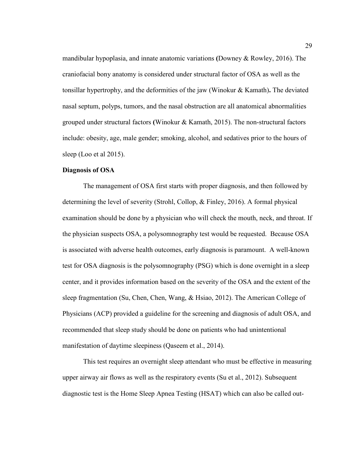mandibular hypoplasia, and innate anatomic variations **(**Downey & Rowley, 2016). The craniofacial bony anatomy is considered under structural factor of OSA as well as the tonsillar hypertrophy, and the deformities of the jaw (Winokur & Kamath)**.** The deviated nasal septum, polyps, tumors, and the nasal obstruction are all anatomical abnormalities grouped under structural factors **(**Winokur & Kamath, 2015). The non-structural factors include: obesity, age, male gender; smoking, alcohol, and sedatives prior to the hours of sleep (Loo et al 2015).

#### **Diagnosis of OSA**

The management of OSA first starts with proper diagnosis, and then followed by determining the level of severity (Strohl, Collop, & Finley, 2016). A formal physical examination should be done by a physician who will check the mouth, neck, and throat. If the physician suspects OSA, a polysomnography test would be requested. Because OSA is associated with adverse health outcomes, early diagnosis is paramount. A well-known test for OSA diagnosis is the polysomnography (PSG) which is done overnight in a sleep center, and it provides information based on the severity of the OSA and the extent of the sleep fragmentation (Su, Chen, Chen, Wang, & Hsiao, 2012). The American College of Physicians (ACP) provided a guideline for the screening and diagnosis of adult OSA, and recommended that sleep study should be done on patients who had unintentional manifestation of daytime sleepiness (Qaseem et al., 2014).

This test requires an overnight sleep attendant who must be effective in measuring upper airway air flows as well as the respiratory events (Su et al., 2012). Subsequent diagnostic test is the Home Sleep Apnea Testing (HSAT) which can also be called out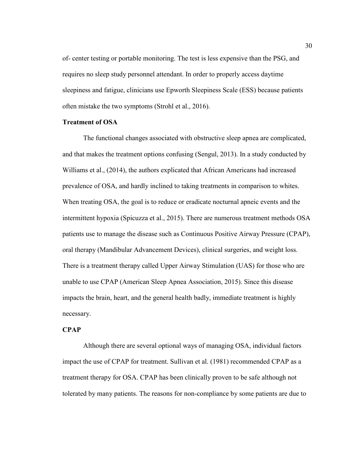of- center testing or portable monitoring. The test is less expensive than the PSG, and requires no sleep study personnel attendant. In order to properly access daytime sleepiness and fatigue, clinicians use Epworth Sleepiness Scale (ESS) because patients often mistake the two symptoms (Strohl et al., 2016).

## **Treatment of OSA**

The functional changes associated with obstructive sleep apnea are complicated, and that makes the treatment options confusing (Sengul, 2013). In a study conducted by Williams et al., (2014), the authors explicated that African Americans had increased prevalence of OSA, and hardly inclined to taking treatments in comparison to whites. When treating OSA, the goal is to reduce or eradicate nocturnal apneic events and the intermittent hypoxia (Spicuzza et al., 2015). There are numerous treatment methods OSA patients use to manage the disease such as Continuous Positive Airway Pressure (CPAP), oral therapy (Mandibular Advancement Devices), clinical surgeries, and weight loss. There is a treatment therapy called Upper Airway Stimulation (UAS) for those who are unable to use CPAP (American Sleep Apnea Association, 2015). Since this disease impacts the brain, heart, and the general health badly, immediate treatment is highly necessary.

#### **CPAP**

Although there are several optional ways of managing OSA, individual factors impact the use of CPAP for treatment. Sullivan et al. (1981) recommended CPAP as a treatment therapy for OSA. CPAP has been clinically proven to be safe although not tolerated by many patients. The reasons for non-compliance by some patients are due to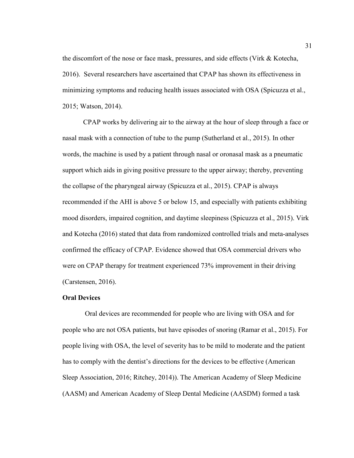the discomfort of the nose or face mask, pressures, and side effects (Virk & Kotecha, 2016). Several researchers have ascertained that CPAP has shown its effectiveness in minimizing symptoms and reducing health issues associated with OSA (Spicuzza et al., 2015; Watson, 2014).

CPAP works by delivering air to the airway at the hour of sleep through a face or nasal mask with a connection of tube to the pump (Sutherland et al., 2015). In other words, the machine is used by a patient through nasal or oronasal mask as a pneumatic support which aids in giving positive pressure to the upper airway; thereby, preventing the collapse of the pharyngeal airway (Spicuzza et al., 2015). CPAP is always recommended if the AHI is above 5 or below 15, and especially with patients exhibiting mood disorders, impaired cognition, and daytime sleepiness (Spicuzza et al., 2015). Virk and Kotecha (2016) stated that data from randomized controlled trials and meta-analyses confirmed the efficacy of CPAP. Evidence showed that OSA commercial drivers who were on CPAP therapy for treatment experienced 73% improvement in their driving (Carstensen, 2016).

## **Oral Devices**

Oral devices are recommended for people who are living with OSA and for people who are not OSA patients, but have episodes of snoring (Ramar et al., 2015). For people living with OSA, the level of severity has to be mild to moderate and the patient has to comply with the dentist's directions for the devices to be effective (American Sleep Association, 2016; Ritchey, 2014)). The American Academy of Sleep Medicine (AASM) and American Academy of Sleep Dental Medicine (AASDM) formed a task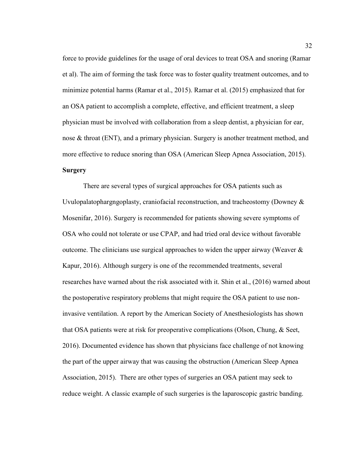force to provide guidelines for the usage of oral devices to treat OSA and snoring (Ramar et al). The aim of forming the task force was to foster quality treatment outcomes, and to minimize potential harms (Ramar et al., 2015). Ramar et al. (2015) emphasized that for an OSA patient to accomplish a complete, effective, and efficient treatment, a sleep physician must be involved with collaboration from a sleep dentist, a physician for ear, nose & throat (ENT), and a primary physician. Surgery is another treatment method, and more effective to reduce snoring than OSA (American Sleep Apnea Association, 2015). **Surgery**

There are several types of surgical approaches for OSA patients such as Uvulopalatophargngoplasty, craniofacial reconstruction, and tracheostomy (Downey & Mosenifar, 2016). Surgery is recommended for patients showing severe symptoms of OSA who could not tolerate or use CPAP, and had tried oral device without favorable outcome. The clinicians use surgical approaches to widen the upper airway (Weaver  $\&$ Kapur, 2016). Although surgery is one of the recommended treatments, several researches have warned about the risk associated with it. Shin et al., (2016) warned about the postoperative respiratory problems that might require the OSA patient to use noninvasive ventilation. A report by the American Society of Anesthesiologists has shown that OSA patients were at risk for preoperative complications (Olson, Chung, & Seet, 2016). Documented evidence has shown that physicians face challenge of not knowing the part of the upper airway that was causing the obstruction (American Sleep Apnea Association, 2015). There are other types of surgeries an OSA patient may seek to reduce weight. A classic example of such surgeries is the laparoscopic gastric banding.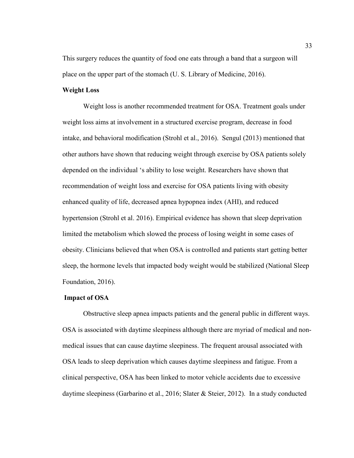This surgery reduces the quantity of food one eats through a band that a surgeon will place on the upper part of the stomach (U. S. Library of Medicine, 2016).

## **Weight Loss**

Weight loss is another recommended treatment for OSA. Treatment goals under weight loss aims at involvement in a structured exercise program, decrease in food intake, and behavioral modification (Strohl et al., 2016). Sengul (2013) mentioned that other authors have shown that reducing weight through exercise by OSA patients solely depended on the individual 's ability to lose weight. Researchers have shown that recommendation of weight loss and exercise for OSA patients living with obesity enhanced quality of life, decreased apnea hypopnea index (AHI), and reduced hypertension (Strohl et al. 2016). Empirical evidence has shown that sleep deprivation limited the metabolism which slowed the process of losing weight in some cases of obesity. Clinicians believed that when OSA is controlled and patients start getting better sleep, the hormone levels that impacted body weight would be stabilized (National Sleep Foundation, 2016).

# **Impact of OSA**

Obstructive sleep apnea impacts patients and the general public in different ways. OSA is associated with daytime sleepiness although there are myriad of medical and nonmedical issues that can cause daytime sleepiness. The frequent arousal associated with OSA leads to sleep deprivation which causes daytime sleepiness and fatigue. From a clinical perspective, OSA has been linked to motor vehicle accidents due to excessive daytime sleepiness (Garbarino et al., 2016; Slater & Steier, 2012). In a study conducted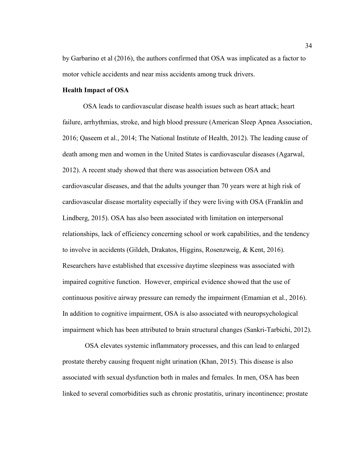by Garbarino et al (2016), the authors confirmed that OSA was implicated as a factor to motor vehicle accidents and near miss accidents among truck drivers.

#### **Health Impact of OSA**

OSA leads to cardiovascular disease health issues such as heart attack; heart failure, arrhythmias, stroke, and high blood pressure (American Sleep Apnea Association, 2016; Qaseem et al., 2014; The National Institute of Health, 2012). The leading cause of death among men and women in the United States is cardiovascular diseases (Agarwal, 2012). A recent study showed that there was association between OSA and cardiovascular diseases, and that the adults younger than 70 years were at high risk of cardiovascular disease mortality especially if they were living with OSA (Franklin and Lindberg, 2015). OSA has also been associated with limitation on interpersonal relationships, lack of efficiency concerning school or work capabilities, and the tendency to involve in accidents (Gildeh, Drakatos, Higgins, Rosenzweig, & Kent, 2016). Researchers have established that excessive daytime sleepiness was associated with impaired cognitive function. However, empirical evidence showed that the use of continuous positive airway pressure can remedy the impairment (Emamian et al., 2016). In addition to cognitive impairment, OSA is also associated with neuropsychological impairment which has been attributed to brain structural changes (Sankri-Tarbichi, 2012).

OSA elevates systemic inflammatory processes, and this can lead to enlarged prostate thereby causing frequent night urination (Khan, 2015). This disease is also associated with sexual dysfunction both in males and females. In men, OSA has been linked to several comorbidities such as chronic prostatitis, urinary incontinence; prostate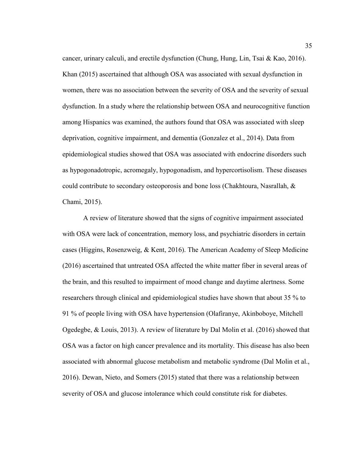cancer, urinary calculi, and erectile dysfunction (Chung, Hung, Lin, Tsai & Kao, 2016). Khan (2015) ascertained that although OSA was associated with sexual dysfunction in women, there was no association between the severity of OSA and the severity of sexual dysfunction. In a study where the relationship between OSA and neurocognitive function among Hispanics was examined, the authors found that OSA was associated with sleep deprivation, cognitive impairment, and dementia (Gonzalez et al., 2014). Data from epidemiological studies showed that OSA was associated with endocrine disorders such as hypogonadotropic, acromegaly, hypogonadism, and hypercortisolism. These diseases could contribute to secondary osteoporosis and bone loss (Chakhtoura, Nasrallah, & Chami, 2015).

A review of literature showed that the signs of cognitive impairment associated with OSA were lack of concentration, memory loss, and psychiatric disorders in certain cases (Higgins, Rosenzweig, & Kent, 2016). The American Academy of Sleep Medicine (2016) ascertained that untreated OSA affected the white matter fiber in several areas of the brain, and this resulted to impairment of mood change and daytime alertness. Some researchers through clinical and epidemiological studies have shown that about 35 % to 91 % of people living with OSA have hypertension (Olafiranye, Akinboboye, Mitchell Ogedegbe, & Louis, 2013). A review of literature by Dal Molin et al. (2016) showed that OSA was a factor on high cancer prevalence and its mortality. This disease has also been associated with abnormal glucose metabolism and metabolic syndrome (Dal Molin et al., 2016). Dewan, Nieto, and Somers (2015) stated that there was a relationship between severity of OSA and glucose intolerance which could constitute risk for diabetes.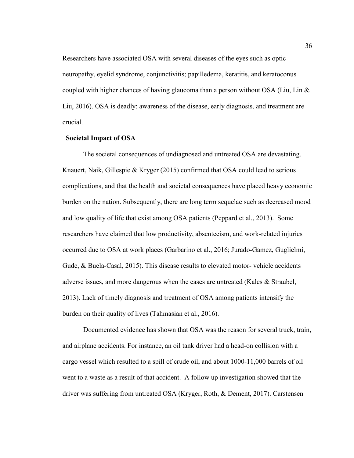Researchers have associated OSA with several diseases of the eyes such as optic neuropathy, eyelid syndrome, conjunctivitis; papilledema, keratitis, and keratoconus coupled with higher chances of having glaucoma than a person without OSA (Liu, Lin & Liu, 2016). OSA is deadly: awareness of the disease, early diagnosis, and treatment are crucial.

## **Societal Impact of OSA**

The societal consequences of undiagnosed and untreated OSA are devastating. Knauert, Naik, Gillespie & Kryger (2015) confirmed that OSA could lead to serious complications, and that the health and societal consequences have placed heavy economic burden on the nation. Subsequently, there are long term sequelae such as decreased mood and low quality of life that exist among OSA patients (Peppard et al., 2013). Some researchers have claimed that low productivity, absenteeism, and work-related injuries occurred due to OSA at work places (Garbarino et al., 2016; Jurado-Gamez, Guglielmi, Gude, & Buela-Casal, 2015). This disease results to elevated motor- vehicle accidents adverse issues, and more dangerous when the cases are untreated (Kales & Straubel, 2013). Lack of timely diagnosis and treatment of OSA among patients intensify the burden on their quality of lives (Tahmasian et al., 2016).

Documented evidence has shown that OSA was the reason for several truck, train, and airplane accidents. For instance, an oil tank driver had a head-on collision with a cargo vessel which resulted to a spill of crude oil, and about 1000-11,000 barrels of oil went to a waste as a result of that accident. A follow up investigation showed that the driver was suffering from untreated OSA (Kryger, Roth, & Dement, 2017). Carstensen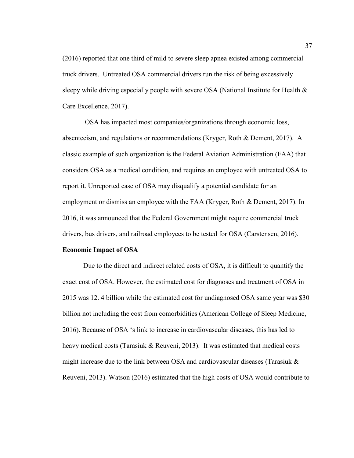(2016) reported that one third of mild to severe sleep apnea existed among commercial truck drivers. Untreated OSA commercial drivers run the risk of being excessively sleepy while driving especially people with severe OSA (National Institute for Health & Care Excellence, 2017).

OSA has impacted most companies/organizations through economic loss, absenteeism, and regulations or recommendations (Kryger, Roth & Dement, 2017). A classic example of such organization is the Federal Aviation Administration (FAA) that considers OSA as a medical condition, and requires an employee with untreated OSA to report it. Unreported case of OSA may disqualify a potential candidate for an employment or dismiss an employee with the FAA (Kryger, Roth & Dement, 2017). In 2016, it was announced that the Federal Government might require commercial truck drivers, bus drivers, and railroad employees to be tested for OSA (Carstensen, 2016).

# **Economic Impact of OSA**

Due to the direct and indirect related costs of OSA, it is difficult to quantify the exact cost of OSA. However, the estimated cost for diagnoses and treatment of OSA in 2015 was 12. 4 billion while the estimated cost for undiagnosed OSA same year was \$30 billion not including the cost from comorbidities (American College of Sleep Medicine, 2016). Because of OSA 's link to increase in cardiovascular diseases, this has led to heavy medical costs (Tarasiuk & Reuveni, 2013). It was estimated that medical costs might increase due to the link between OSA and cardiovascular diseases (Tarasiuk  $\&$ Reuveni, 2013). Watson (2016) estimated that the high costs of OSA would contribute to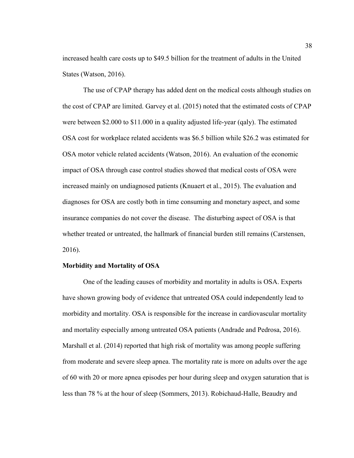increased health care costs up to \$49.5 billion for the treatment of adults in the United States (Watson, 2016).

The use of CPAP therapy has added dent on the medical costs although studies on the cost of CPAP are limited. Garvey et al. (2015) noted that the estimated costs of CPAP were between \$2.000 to \$11.000 in a quality adjusted life-year (qaly). The estimated OSA cost for workplace related accidents was \$6.5 billion while \$26.2 was estimated for OSA motor vehicle related accidents (Watson, 2016). An evaluation of the economic impact of OSA through case control studies showed that medical costs of OSA were increased mainly on undiagnosed patients (Knuaert et al., 2015). The evaluation and diagnoses for OSA are costly both in time consuming and monetary aspect, and some insurance companies do not cover the disease. The disturbing aspect of OSA is that whether treated or untreated, the hallmark of financial burden still remains (Carstensen, 2016).

#### **Morbidity and Mortality of OSA**

One of the leading causes of morbidity and mortality in adults is OSA. Experts have shown growing body of evidence that untreated OSA could independently lead to morbidity and mortality. OSA is responsible for the increase in cardiovascular mortality and mortality especially among untreated OSA patients (Andrade and Pedrosa, 2016). Marshall et al. (2014) reported that high risk of mortality was among people suffering from moderate and severe sleep apnea. The mortality rate is more on adults over the age of 60 with 20 or more apnea episodes per hour during sleep and oxygen saturation that is less than 78 % at the hour of sleep (Sommers, 2013). Robichaud-Halle, Beaudry and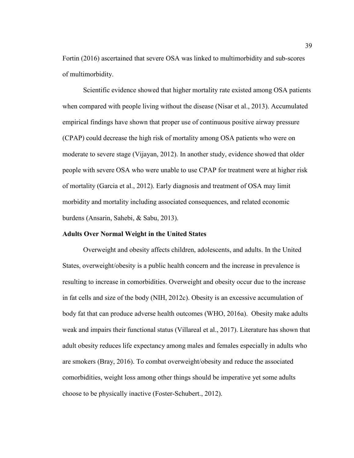Fortin (2016) ascertained that severe OSA was linked to multimorbidity and sub-scores of multimorbidity.

Scientific evidence showed that higher mortality rate existed among OSA patients when compared with people living without the disease (Nisar et al., 2013). Accumulated empirical findings have shown that proper use of continuous positive airway pressure (CPAP) could decrease the high risk of mortality among OSA patients who were on moderate to severe stage (Vijayan, 2012). In another study, evidence showed that older people with severe OSA who were unable to use CPAP for treatment were at higher risk of mortality (Garcia et al., 2012). Early diagnosis and treatment of OSA may limit morbidity and mortality including associated consequences, and related economic burdens (Ansarin, Sahebi, & Sabu, 2013).

#### **Adults Over Normal Weight in the United States**

Overweight and obesity affects children, adolescents, and adults. In the United States, overweight/obesity is a public health concern and the increase in prevalence is resulting to increase in comorbidities. Overweight and obesity occur due to the increase in fat cells and size of the body (NIH, 2012c). Obesity is an excessive accumulation of body fat that can produce adverse health outcomes (WHO, 2016a). Obesity make adults weak and impairs their functional status (Villareal et al., 2017). Literature has shown that adult obesity reduces life expectancy among males and females especially in adults who are smokers (Bray, 2016). To combat overweight/obesity and reduce the associated comorbidities, weight loss among other things should be imperative yet some adults choose to be physically inactive (Foster-Schubert., 2012).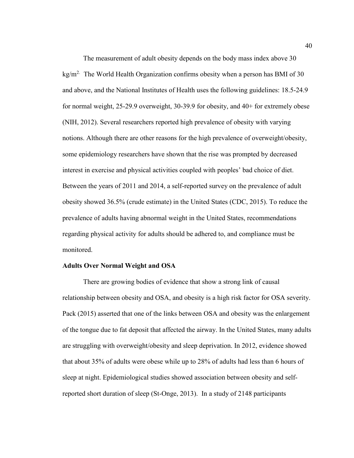The measurement of adult obesity depends on the body mass index above 30 kg/m<sup>2.</sup> The World Health Organization confirms obesity when a person has BMI of 30 and above, and the National Institutes of Health uses the following guidelines: 18.5-24.9 for normal weight, 25-29.9 overweight, 30-39.9 for obesity, and 40+ for extremely obese (NIH, 2012). Several researchers reported high prevalence of obesity with varying notions. Although there are other reasons for the high prevalence of overweight/obesity, some epidemiology researchers have shown that the rise was prompted by decreased interest in exercise and physical activities coupled with peoples' bad choice of diet. Between the years of 2011 and 2014, a self-reported survey on the prevalence of adult obesity showed 36.5% (crude estimate) in the United States (CDC, 2015). To reduce the prevalence of adults having abnormal weight in the United States, recommendations regarding physical activity for adults should be adhered to, and compliance must be monitored.

#### **Adults Over Normal Weight and OSA**

There are growing bodies of evidence that show a strong link of causal relationship between obesity and OSA, and obesity is a high risk factor for OSA severity. Pack (2015) asserted that one of the links between OSA and obesity was the enlargement of the tongue due to fat deposit that affected the airway. In the United States, many adults are struggling with overweight/obesity and sleep deprivation. In 2012, evidence showed that about 35% of adults were obese while up to 28% of adults had less than 6 hours of sleep at night. Epidemiological studies showed association between obesity and selfreported short duration of sleep (St-Onge, 2013). In a study of 2148 participants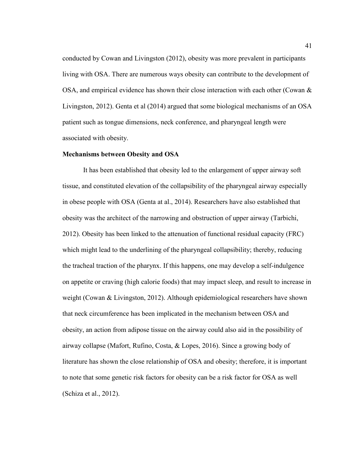conducted by Cowan and Livingston (2012), obesity was more prevalent in participants living with OSA. There are numerous ways obesity can contribute to the development of OSA, and empirical evidence has shown their close interaction with each other (Cowan  $\&$ Livingston, 2012). Genta et al (2014) argued that some biological mechanisms of an OSA patient such as tongue dimensions, neck conference, and pharyngeal length were associated with obesity.

#### **Mechanisms between Obesity and OSA**

It has been established that obesity led to the enlargement of upper airway soft tissue, and constituted elevation of the collapsibility of the pharyngeal airway especially in obese people with OSA (Genta at al., 2014). Researchers have also established that obesity was the architect of the narrowing and obstruction of upper airway (Tarbichi, 2012). Obesity has been linked to the attenuation of functional residual capacity (FRC) which might lead to the underlining of the pharyngeal collapsibility; thereby, reducing the tracheal traction of the pharynx. If this happens, one may develop a self-indulgence on appetite or craving (high calorie foods) that may impact sleep, and result to increase in weight (Cowan & Livingston, 2012). Although epidemiological researchers have shown that neck circumference has been implicated in the mechanism between OSA and obesity, an action from adipose tissue on the airway could also aid in the possibility of airway collapse (Mafort, Rufino, Costa, & Lopes, 2016). Since a growing body of literature has shown the close relationship of OSA and obesity; therefore, it is important to note that some genetic risk factors for obesity can be a risk factor for OSA as well (Schiza et al., 2012).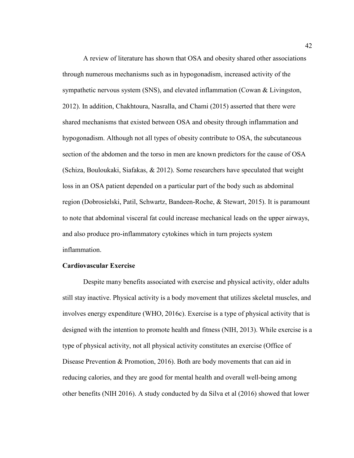A review of literature has shown that OSA and obesity shared other associations through numerous mechanisms such as in hypogonadism, increased activity of the sympathetic nervous system (SNS), and elevated inflammation (Cowan & Livingston, 2012). In addition, Chakhtoura, Nasralla, and Chami (2015) asserted that there were shared mechanisms that existed between OSA and obesity through inflammation and hypogonadism. Although not all types of obesity contribute to OSA, the subcutaneous section of the abdomen and the torso in men are known predictors for the cause of OSA (Schiza, Bouloukaki, Siafakas, & 2012). Some researchers have speculated that weight loss in an OSA patient depended on a particular part of the body such as abdominal region (Dobrosielski, Patil, Schwartz, Bandeen-Roche, & Stewart, 2015). It is paramount to note that abdominal visceral fat could increase mechanical leads on the upper airways, and also produce pro-inflammatory cytokines which in turn projects system inflammation.

# **Cardiovascular Exercise**

Despite many benefits associated with exercise and physical activity, older adults still stay inactive. Physical activity is a body movement that utilizes skeletal muscles, and involves energy expenditure (WHO, 2016c). Exercise is a type of physical activity that is designed with the intention to promote health and fitness (NIH, 2013). While exercise is a type of physical activity, not all physical activity constitutes an exercise (Office of Disease Prevention & Promotion, 2016). Both are body movements that can aid in reducing calories, and they are good for mental health and overall well-being among other benefits (NIH 2016). A study conducted by da Silva et al (2016) showed that lower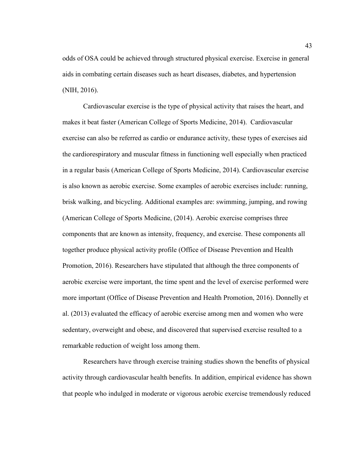odds of OSA could be achieved through structured physical exercise. Exercise in general aids in combating certain diseases such as heart diseases, diabetes, and hypertension (NIH, 2016).

Cardiovascular exercise is the type of physical activity that raises the heart, and makes it beat faster (American College of Sports Medicine, 2014). Cardiovascular exercise can also be referred as cardio or endurance activity, these types of exercises aid the cardiorespiratory and muscular fitness in functioning well especially when practiced in a regular basis (American College of Sports Medicine, 2014). Cardiovascular exercise is also known as aerobic exercise. Some examples of aerobic exercises include: running, brisk walking, and bicycling. Additional examples are: swimming, jumping, and rowing (American College of Sports Medicine, (2014). Aerobic exercise comprises three components that are known as intensity, frequency, and exercise. These components all together produce physical activity profile (Office of Disease Prevention and Health Promotion, 2016). Researchers have stipulated that although the three components of aerobic exercise were important, the time spent and the level of exercise performed were more important (Office of Disease Prevention and Health Promotion, 2016). Donnelly et al. (2013) evaluated the efficacy of aerobic exercise among men and women who were sedentary, overweight and obese, and discovered that supervised exercise resulted to a remarkable reduction of weight loss among them.

Researchers have through exercise training studies shown the benefits of physical activity through cardiovascular health benefits. In addition, empirical evidence has shown that people who indulged in moderate or vigorous aerobic exercise tremendously reduced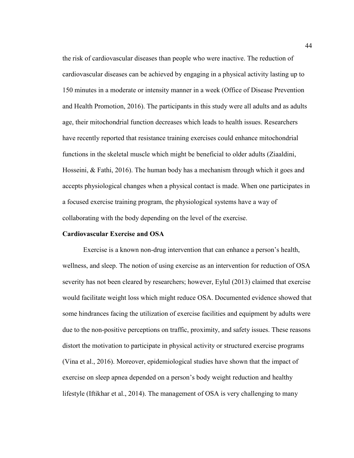the risk of cardiovascular diseases than people who were inactive. The reduction of cardiovascular diseases can be achieved by engaging in a physical activity lasting up to 150 minutes in a moderate or intensity manner in a week (Office of Disease Prevention and Health Promotion, 2016). The participants in this study were all adults and as adults age, their mitochondrial function decreases which leads to health issues. Researchers have recently reported that resistance training exercises could enhance mitochondrial functions in the skeletal muscle which might be beneficial to older adults (Ziaaldini, Hosseini, & Fathi, 2016). The human body has a mechanism through which it goes and accepts physiological changes when a physical contact is made. When one participates in a focused exercise training program, the physiological systems have a way of collaborating with the body depending on the level of the exercise.

# **Cardiovascular Exercise and OSA**

Exercise is a known non-drug intervention that can enhance a person's health, wellness, and sleep. The notion of using exercise as an intervention for reduction of OSA severity has not been cleared by researchers; however, Eylul (2013) claimed that exercise would facilitate weight loss which might reduce OSA. Documented evidence showed that some hindrances facing the utilization of exercise facilities and equipment by adults were due to the non-positive perceptions on traffic, proximity, and safety issues. These reasons distort the motivation to participate in physical activity or structured exercise programs (Vina et al., 2016). Moreover, epidemiological studies have shown that the impact of exercise on sleep apnea depended on a person's body weight reduction and healthy lifestyle (Iftikhar et al., 2014). The management of OSA is very challenging to many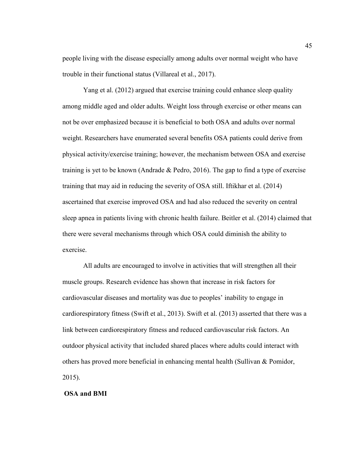people living with the disease especially among adults over normal weight who have trouble in their functional status (Villareal et al., 2017).

Yang et al. (2012) argued that exercise training could enhance sleep quality among middle aged and older adults. Weight loss through exercise or other means can not be over emphasized because it is beneficial to both OSA and adults over normal weight. Researchers have enumerated several benefits OSA patients could derive from physical activity/exercise training; however, the mechanism between OSA and exercise training is yet to be known (Andrade  $&$  Pedro, 2016). The gap to find a type of exercise training that may aid in reducing the severity of OSA still. Iftikhar et al. (2014) ascertained that exercise improved OSA and had also reduced the severity on central sleep apnea in patients living with chronic health failure. Beitler et al. (2014) claimed that there were several mechanisms through which OSA could diminish the ability to exercise.

All adults are encouraged to involve in activities that will strengthen all their muscle groups. Research evidence has shown that increase in risk factors for cardiovascular diseases and mortality was due to peoples' inability to engage in cardiorespiratory fitness (Swift et al., 2013). Swift et al. (2013) asserted that there was a link between cardiorespiratory fitness and reduced cardiovascular risk factors. An outdoor physical activity that included shared places where adults could interact with others has proved more beneficial in enhancing mental health (Sullivan & Pomidor, 2015).

## **OSA and BMI**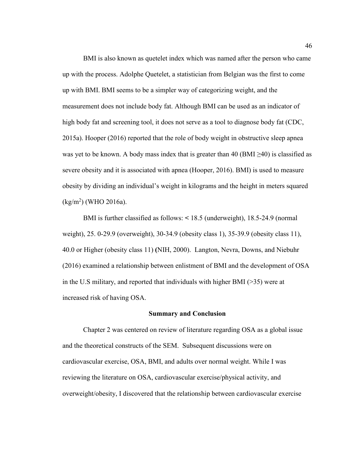BMI is also known as quetelet index which was named after the person who came up with the process. Adolphe Quetelet, a statistician from Belgian was the first to come up with BMI. BMI seems to be a simpler way of categorizing weight, and the measurement does not include body fat. Although BMI can be used as an indicator of high body fat and screening tool, it does not serve as a tool to diagnose body fat (CDC, 2015a). Hooper (2016) reported that the role of body weight in obstructive sleep apnea was yet to be known. A body mass index that is greater than 40 (BMI  $\geq$ 40) is classified as severe obesity and it is associated with apnea (Hooper, 2016). BMI) is used to measure obesity by dividing an individual's weight in kilograms and the height in meters squared (kg/m<sup>2</sup> ) (WHO 2016a).

BMI is further classified as follows: **<** 18.5 (underweight), 18.5-24.9 (normal weight), 25. 0-29.9 (overweight), 30-34.9 (obesity class 1), 35-39.9 (obesity class 11), 40.0 or Higher (obesity class 11) **(**NIH, 2000). Langton, Nevra, Downs, and Niebuhr (2016) examined a relationship between enlistment of BMI and the development of OSA in the U.S military, and reported that individuals with higher BMI (>35) were at increased risk of having OSA.

#### **Summary and Conclusion**

Chapter 2 was centered on review of literature regarding OSA as a global issue and the theoretical constructs of the SEM. Subsequent discussions were on cardiovascular exercise, OSA, BMI, and adults over normal weight. While I was reviewing the literature on OSA, cardiovascular exercise/physical activity, and overweight/obesity, I discovered that the relationship between cardiovascular exercise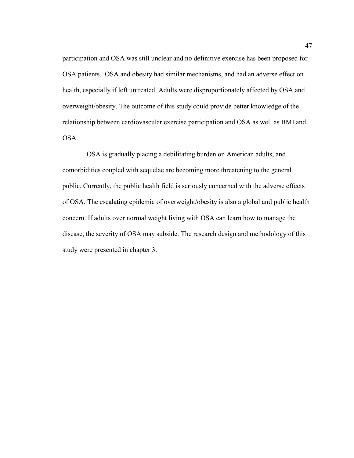participation and OSA was still unclear and no definitive exercise has been proposed for OSA patients. OSA and obesity had similar mechanisms, and had an adverse effect on health, especially if left untreated. Adults were disproportionately affected by OSA and overweight/obesity. The outcome of this study could provide better knowledge of the relationship between cardiovascular exercise participation and OSA as well as BMI and OSA.

 OSA is gradually placing a debilitating burden on American adults, and comorbidities coupled with sequelae are becoming more threatening to the general public. Currently, the public health field is seriously concerned with the adverse effects of OSA. The escalating epidemic of overweight/obesity is also a global and public health concern. If adults over normal weight living with OSA can learn how to manage the disease, the severity of OSA may subside. The research design and methodology of this study were presented in chapter 3.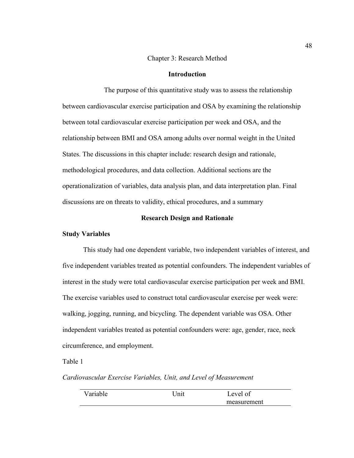#### Chapter 3: Research Method

# **Introduction**

The purpose of this quantitative study was to assess the relationship between cardiovascular exercise participation and OSA by examining the relationship between total cardiovascular exercise participation per week and OSA, and the relationship between BMI and OSA among adults over normal weight in the United States. The discussions in this chapter include: research design and rationale, methodological procedures, and data collection. Additional sections are the operationalization of variables, data analysis plan, and data interpretation plan. Final discussions are on threats to validity, ethical procedures, and a summary

### **Research Design and Rationale**

## **Study Variables**

This study had one dependent variable, two independent variables of interest, and five independent variables treated as potential confounders. The independent variables of interest in the study were total cardiovascular exercise participation per week and BMI. The exercise variables used to construct total cardiovascular exercise per week were: walking, jogging, running, and bicycling. The dependent variable was OSA. Other independent variables treated as potential confounders were: age, gender, race, neck circumference, and employment.

# Table 1

*Cardiovascular Exercise Variables, Unit, and Level of Measurement*

| ariah<br>Тe | Thii | evel<br>01  |  |
|-------------|------|-------------|--|
|             |      | measurement |  |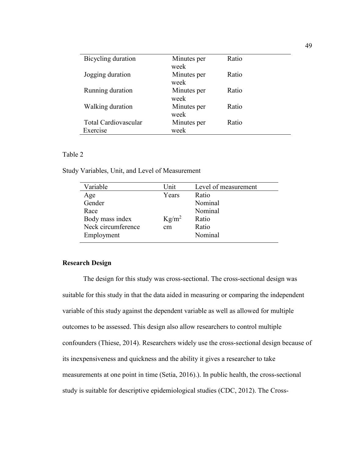| Bicycling duration   | Minutes per<br>week | Ratio |
|----------------------|---------------------|-------|
| Jogging duration     | Minutes per<br>week | Ratio |
| Running duration     | Minutes per<br>week | Ratio |
| Walking duration     | Minutes per<br>week | Ratio |
| Total Cardiovascular | Minutes per         | Ratio |
| Exercise             | week                |       |

## Table 2

Study Variables, Unit, and Level of Measurement

| Variable           | Unit.    | Level of measurement |
|--------------------|----------|----------------------|
| Age                | Years    | Ratio                |
| Gender             |          | Nominal              |
| Race               |          | Nominal              |
| Body mass index    | $Kg/m^2$ | Ratio                |
| Neck circumference | cm       | Ratio                |
| Employment         |          | Nominal              |
|                    |          |                      |

# **Research Design**

The design for this study was cross-sectional. The cross-sectional design was suitable for this study in that the data aided in measuring or comparing the independent variable of this study against the dependent variable as well as allowed for multiple outcomes to be assessed. This design also allow researchers to control multiple confounders (Thiese, 2014). Researchers widely use the cross-sectional design because of its inexpensiveness and quickness and the ability it gives a researcher to take measurements at one point in time (Setia, 2016).). In public health, the cross-sectional study is suitable for descriptive epidemiological studies (CDC, 2012). The Cross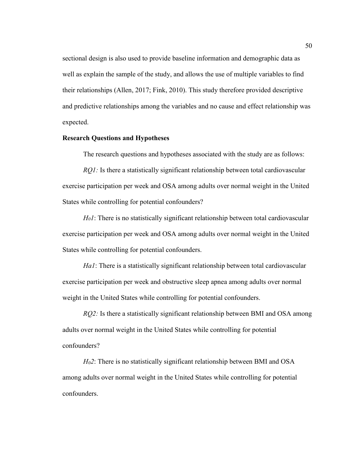sectional design is also used to provide baseline information and demographic data as well as explain the sample of the study, and allows the use of multiple variables to find their relationships (Allen, 2017; Fink, 2010). This study therefore provided descriptive and predictive relationships among the variables and no cause and effect relationship was expected.

## **Research Questions and Hypotheses**

The research questions and hypotheses associated with the study are as follows:

*RQ1*: Is there a statistically significant relationship between total cardiovascular exercise participation per week and OSA among adults over normal weight in the United States while controlling for potential confounders?

*H01*: There is no statistically significant relationship between total cardiovascular exercise participation per week and OSA among adults over normal weight in the United States while controlling for potential confounders.

*Ha1*: There is a statistically significant relationship between total cardiovascular exercise participation per week and obstructive sleep apnea among adults over normal weight in the United States while controlling for potential confounders.

*RQ2*: Is there a statistically significant relationship between BMI and OSA among adults over normal weight in the United States while controlling for potential confounders?

*H02*: There is no statistically significant relationship between BMI and OSA among adults over normal weight in the United States while controlling for potential confounders.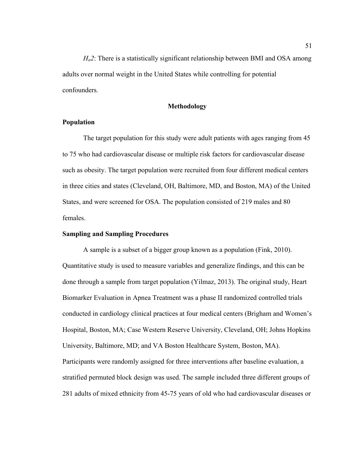*Ha2*: There is a statistically significant relationship between BMI and OSA among adults over normal weight in the United States while controlling for potential confounders*.*

## **Methodology**

## **Population**

The target population for this study were adult patients with ages ranging from 45 to 75 who had cardiovascular disease or multiple risk factors for cardiovascular disease such as obesity. The target population were recruited from four different medical centers in three cities and states (Cleveland, OH, Baltimore, MD, and Boston, MA) of the United States, and were screened for OSA. The population consisted of 219 males and 80 females.

#### **Sampling and Sampling Procedures**

A sample is a subset of a bigger group known as a population (Fink, 2010). Quantitative study is used to measure variables and generalize findings, and this can be done through a sample from target population (Yilmaz, 2013). The original study, Heart Biomarker Evaluation in Apnea Treatment was a phase II randomized controlled trials conducted in cardiology clinical practices at four medical centers (Brigham and Women's Hospital, Boston, MA; Case Western Reserve University, Cleveland, OH; Johns Hopkins University, Baltimore, MD; and VA Boston Healthcare System, Boston, MA). Participants were randomly assigned for three interventions after baseline evaluation, a stratified permuted block design was used. The sample included three different groups of 281 adults of mixed ethnicity from 45-75 years of old who had cardiovascular diseases or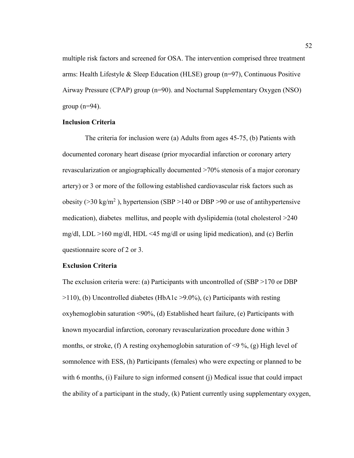multiple risk factors and screened for OSA. The intervention comprised three treatment arms: Health Lifestyle & Sleep Education (HLSE) group (n=97), Continuous Positive Airway Pressure (CPAP) group (n=90). and Nocturnal Supplementary Oxygen (NSO) group  $(n=94)$ .

# **Inclusion Criteria**

The criteria for inclusion were (a) Adults from ages 45-75, (b) Patients with documented coronary heart disease (prior myocardial infarction or coronary artery revascularization or angiographically documented >70% stenosis of a major coronary artery) or 3 or more of the following established cardiovascular risk factors such as obesity ( $>30 \text{ kg/m}^2$ ), hypertension (SBP  $>140$  or DBP  $>90$  or use of antihypertensive medication), diabetes mellitus, and people with dyslipidemia (total cholesterol >240 mg/dl, LDL >160 mg/dl, HDL <45 mg/dl or using lipid medication), and (c) Berlin questionnaire score of 2 or 3.

#### **Exclusion Criteria**

The exclusion criteria were: (a) Participants with uncontrolled of (SBP >170 or DBP  $>110$ ), (b) Uncontrolled diabetes (HbA1c  $>9.0\%$ ), (c) Participants with resting oxyhemoglobin saturation <90%, (d) Established heart failure, (e) Participants with known myocardial infarction, coronary revascularization procedure done within 3 months, or stroke, (f) A resting oxyhemoglobin saturation of  $\leq$ 9%, (g) High level of somnolence with ESS, (h) Participants (females) who were expecting or planned to be with 6 months, (i) Failure to sign informed consent (j) Medical issue that could impact the ability of a participant in the study, (k) Patient currently using supplementary oxygen,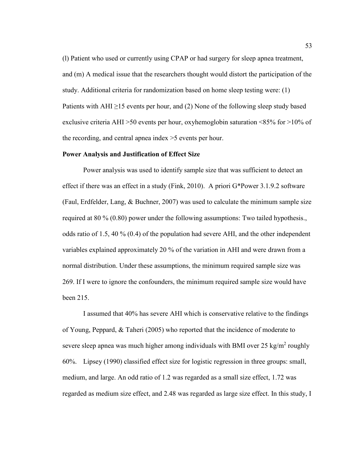(l) Patient who used or currently using CPAP or had surgery for sleep apnea treatment, and (m) A medical issue that the researchers thought would distort the participation of the study. Additional criteria for randomization based on home sleep testing were: (1) Patients with AHI  $\geq$ 15 events per hour, and (2) None of the following sleep study based exclusive criteria AHI >50 events per hour, oxyhemoglobin saturation <85% for >10% of the recording, and central apnea index >5 events per hour.

#### **Power Analysis and Justification of Effect Size**

Power analysis was used to identify sample size that was sufficient to detect an effect if there was an effect in a study (Fink, 2010). A priori G\*Power 3.1.9.2 software (Faul, Erdfelder, Lang, & Buchner, 2007) was used to calculate the minimum sample size required at 80 % (0.80) power under the following assumptions: Two tailed hypothesis., odds ratio of 1.5, 40 % (0.4) of the population had severe AHI, and the other independent variables explained approximately 20 % of the variation in AHI and were drawn from a normal distribution. Under these assumptions, the minimum required sample size was 269. If I were to ignore the confounders, the minimum required sample size would have been 215.

I assumed that 40% has severe AHI which is conservative relative to the findings of Young, Peppard, & Taheri (2005) who reported that the incidence of moderate to severe sleep apnea was much higher among individuals with BMI over 25 kg/m<sup>2</sup> roughly 60%. Lipsey (1990) classified effect size for logistic regression in three groups: small, medium, and large. An odd ratio of 1.2 was regarded as a small size effect, 1.72 was regarded as medium size effect, and 2.48 was regarded as large size effect. In this study, I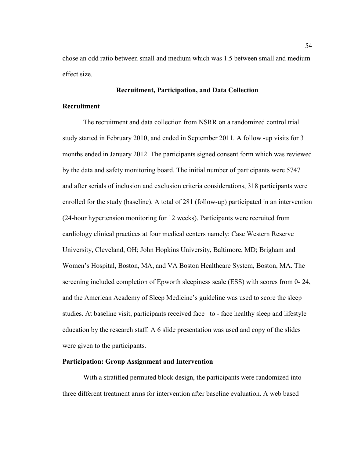chose an odd ratio between small and medium which was 1.5 between small and medium effect size.

# **Recruitment, Participation, and Data Collection**

# **Recruitment**

The recruitment and data collection from NSRR on a randomized control trial study started in February 2010, and ended in September 2011. A follow -up visits for 3 months ended in January 2012. The participants signed consent form which was reviewed by the data and safety monitoring board. The initial number of participants were 5747 and after serials of inclusion and exclusion criteria considerations, 318 participants were enrolled for the study (baseline). A total of 281 (follow-up) participated in an intervention (24-hour hypertension monitoring for 12 weeks). Participants were recruited from cardiology clinical practices at four medical centers namely: Case Western Reserve University, Cleveland, OH; John Hopkins University, Baltimore, MD; Brigham and Women's Hospital, Boston, MA, and VA Boston Healthcare System, Boston, MA. The screening included completion of Epworth sleepiness scale (ESS) with scores from 0- 24, and the American Academy of Sleep Medicine's guideline was used to score the sleep studies. At baseline visit, participants received face –to - face healthy sleep and lifestyle education by the research staff. A 6 slide presentation was used and copy of the slides were given to the participants.

## **Participation: Group Assignment and Intervention**

With a stratified permuted block design, the participants were randomized into three different treatment arms for intervention after baseline evaluation. A web based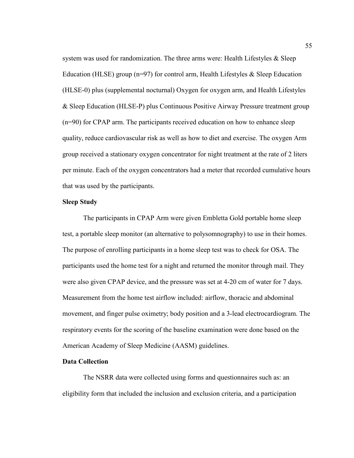system was used for randomization. The three arms were: Health Lifestyles  $\&$  Sleep Education (HLSE) group ( $n=97$ ) for control arm, Health Lifestyles & Sleep Education (HLSE-0) plus (supplemental nocturnal) Oxygen for oxygen arm, and Health Lifestyles & Sleep Education (HLSE-P) plus Continuous Positive Airway Pressure treatment group (n=90) for CPAP arm. The participants received education on how to enhance sleep quality, reduce cardiovascular risk as well as how to diet and exercise. The oxygen Arm group received a stationary oxygen concentrator for night treatment at the rate of 2 liters per minute. Each of the oxygen concentrators had a meter that recorded cumulative hours that was used by the participants.

# **Sleep Study**

The participants in CPAP Arm were given Embletta Gold portable home sleep test, a portable sleep monitor (an alternative to polysomnography) to use in their homes. The purpose of enrolling participants in a home sleep test was to check for OSA. The participants used the home test for a night and returned the monitor through mail. They were also given CPAP device, and the pressure was set at 4-20 cm of water for 7 days. Measurement from the home test airflow included: airflow, thoracic and abdominal movement, and finger pulse oximetry; body position and a 3-lead electrocardiogram. The respiratory events for the scoring of the baseline examination were done based on the American Academy of Sleep Medicine (AASM) guidelines.

# **Data Collection**

The NSRR data were collected using forms and questionnaires such as: an eligibility form that included the inclusion and exclusion criteria, and a participation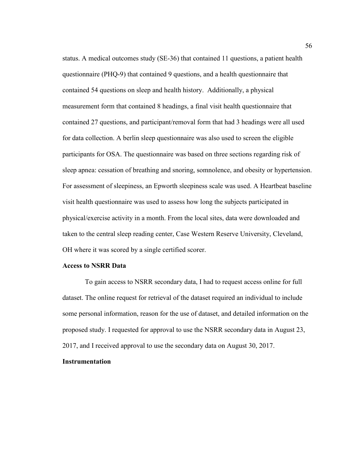status. A medical outcomes study (SE-36) that contained 11 questions, a patient health questionnaire (PHQ-9) that contained 9 questions, and a health questionnaire that contained 54 questions on sleep and health history. Additionally, a physical measurement form that contained 8 headings, a final visit health questionnaire that contained 27 questions, and participant/removal form that had 3 headings were all used for data collection. A berlin sleep questionnaire was also used to screen the eligible participants for OSA. The questionnaire was based on three sections regarding risk of sleep apnea: cessation of breathing and snoring, somnolence, and obesity or hypertension. For assessment of sleepiness, an Epworth sleepiness scale was used. A Heartbeat baseline visit health questionnaire was used to assess how long the subjects participated in physical/exercise activity in a month. From the local sites, data were downloaded and taken to the central sleep reading center, Case Western Reserve University, Cleveland, OH where it was scored by a single certified scorer.

## **Access to NSRR Data**

To gain access to NSRR secondary data, I had to request access online for full dataset. The online request for retrieval of the dataset required an individual to include some personal information, reason for the use of dataset, and detailed information on the proposed study. I requested for approval to use the NSRR secondary data in August 23, 2017, and I received approval to use the secondary data on August 30, 2017.

## **Instrumentation**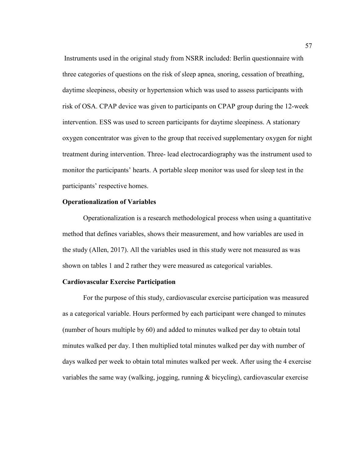Instruments used in the original study from NSRR included: Berlin questionnaire with three categories of questions on the risk of sleep apnea, snoring, cessation of breathing, daytime sleepiness, obesity or hypertension which was used to assess participants with risk of OSA. CPAP device was given to participants on CPAP group during the 12-week intervention. ESS was used to screen participants for daytime sleepiness. A stationary oxygen concentrator was given to the group that received supplementary oxygen for night treatment during intervention. Three- lead electrocardiography was the instrument used to monitor the participants' hearts. A portable sleep monitor was used for sleep test in the participants' respective homes.

## **Operationalization of Variables**

Operationalization is a research methodological process when using a quantitative method that defines variables, shows their measurement, and how variables are used in the study (Allen, 2017). All the variables used in this study were not measured as was shown on tables 1 and 2 rather they were measured as categorical variables.

#### **Cardiovascular Exercise Participation**

For the purpose of this study, cardiovascular exercise participation was measured as a categorical variable. Hours performed by each participant were changed to minutes (number of hours multiple by 60) and added to minutes walked per day to obtain total minutes walked per day. I then multiplied total minutes walked per day with number of days walked per week to obtain total minutes walked per week. After using the 4 exercise variables the same way (walking, jogging, running & bicycling), cardiovascular exercise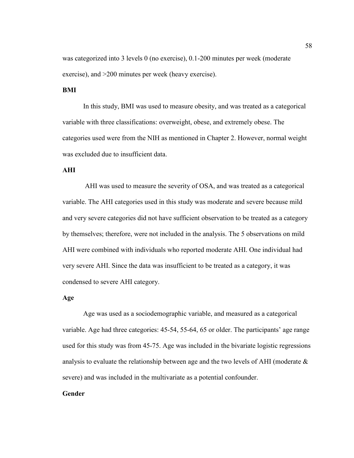was categorized into 3 levels 0 (no exercise), 0.1-200 minutes per week (moderate exercise), and >200 minutes per week (heavy exercise).

# **BMI**

In this study, BMI was used to measure obesity, and was treated as a categorical variable with three classifications: overweight, obese, and extremely obese. The categories used were from the NIH as mentioned in Chapter 2. However, normal weight was excluded due to insufficient data.

# **AHI**

AHI was used to measure the severity of OSA, and was treated as a categorical variable. The AHI categories used in this study was moderate and severe because mild and very severe categories did not have sufficient observation to be treated as a category by themselves; therefore, were not included in the analysis. The 5 observations on mild AHI were combined with individuals who reported moderate AHI. One individual had very severe AHI. Since the data was insufficient to be treated as a category, it was condensed to severe AHI category.

## **Age**

Age was used as a sociodemographic variable, and measured as a categorical variable. Age had three categories: 45-54, 55-64, 65 or older. The participants' age range used for this study was from 45-75. Age was included in the bivariate logistic regressions analysis to evaluate the relationship between age and the two levels of AHI (moderate  $\&$ severe) and was included in the multivariate as a potential confounder.

## **Gender**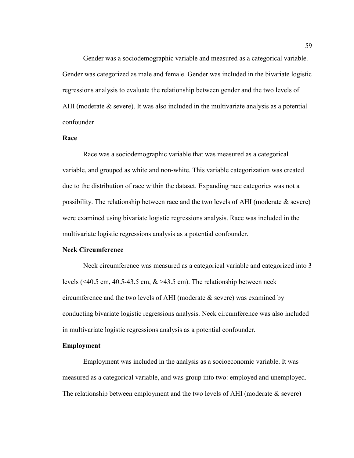Gender was a sociodemographic variable and measured as a categorical variable. Gender was categorized as male and female. Gender was included in the bivariate logistic regressions analysis to evaluate the relationship between gender and the two levels of AHI (moderate & severe). It was also included in the multivariate analysis as a potential confounder

## **Race**

Race was a sociodemographic variable that was measured as a categorical variable, and grouped as white and non-white. This variable categorization was created due to the distribution of race within the dataset. Expanding race categories was not a possibility. The relationship between race and the two levels of AHI (moderate  $\&$  severe) were examined using bivariate logistic regressions analysis. Race was included in the multivariate logistic regressions analysis as a potential confounder.

## **Neck Circumference**

Neck circumference was measured as a categorical variable and categorized into 3 levels (<40.5 cm, 40.5-43.5 cm,  $\&$  >43.5 cm). The relationship between neck circumference and the two levels of AHI (moderate & severe) was examined by conducting bivariate logistic regressions analysis. Neck circumference was also included in multivariate logistic regressions analysis as a potential confounder.

#### **Employment**

Employment was included in the analysis as a socioeconomic variable. It was measured as a categorical variable, and was group into two: employed and unemployed. The relationship between employment and the two levels of AHI (moderate & severe)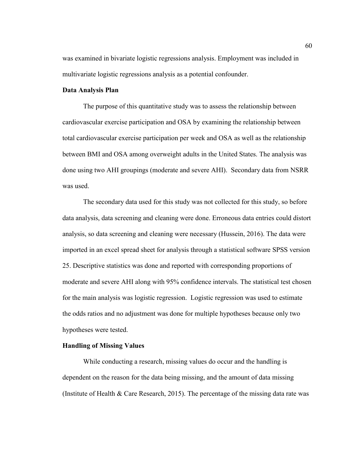was examined in bivariate logistic regressions analysis. Employment was included in multivariate logistic regressions analysis as a potential confounder.

#### **Data Analysis Plan**

The purpose of this quantitative study was to assess the relationship between cardiovascular exercise participation and OSA by examining the relationship between total cardiovascular exercise participation per week and OSA as well as the relationship between BMI and OSA among overweight adults in the United States. The analysis was done using two AHI groupings (moderate and severe AHI). Secondary data from NSRR was used.

The secondary data used for this study was not collected for this study, so before data analysis, data screening and cleaning were done. Erroneous data entries could distort analysis, so data screening and cleaning were necessary (Hussein, 2016). The data were imported in an excel spread sheet for analysis through a statistical software SPSS version 25. Descriptive statistics was done and reported with corresponding proportions of moderate and severe AHI along with 95% confidence intervals. The statistical test chosen for the main analysis was logistic regression. Logistic regression was used to estimate the odds ratios and no adjustment was done for multiple hypotheses because only two hypotheses were tested.

#### **Handling of Missing Values**

While conducting a research, missing values do occur and the handling is dependent on the reason for the data being missing, and the amount of data missing (Institute of Health & Care Research, 2015). The percentage of the missing data rate was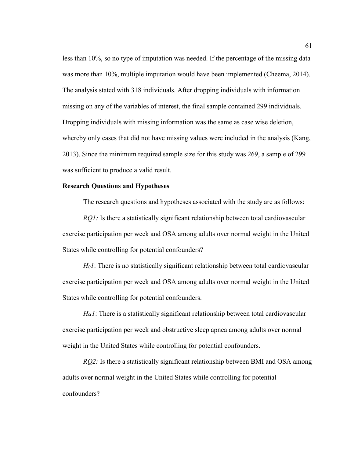less than 10%, so no type of imputation was needed. If the percentage of the missing data was more than 10%, multiple imputation would have been implemented (Cheema, 2014). The analysis stated with 318 individuals. After dropping individuals with information missing on any of the variables of interest, the final sample contained 299 individuals. Dropping individuals with missing information was the same as case wise deletion, whereby only cases that did not have missing values were included in the analysis (Kang, 2013). Since the minimum required sample size for this study was 269, a sample of 299 was sufficient to produce a valid result.

#### **Research Questions and Hypotheses**

The research questions and hypotheses associated with the study are as follows:

*RQ1:* Is there a statistically significant relationship between total cardiovascular exercise participation per week and OSA among adults over normal weight in the United States while controlling for potential confounders?

*H01*: There is no statistically significant relationship between total cardiovascular exercise participation per week and OSA among adults over normal weight in the United States while controlling for potential confounders.

*Ha1*: There is a statistically significant relationship between total cardiovascular exercise participation per week and obstructive sleep apnea among adults over normal weight in the United States while controlling for potential confounders.

*RQ2:* Is there a statistically significant relationship between BMI and OSA among adults over normal weight in the United States while controlling for potential confounders?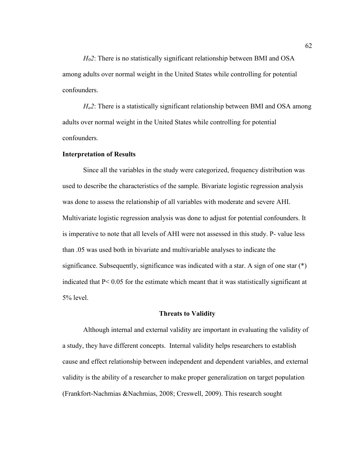*H02*: There is no statistically significant relationship between BMI and OSA among adults over normal weight in the United States while controlling for potential confounders.

*Ha2*: There is a statistically significant relationship between BMI and OSA among adults over normal weight in the United States while controlling for potential confounders*.*

#### **Interpretation of Results**

Since all the variables in the study were categorized, frequency distribution was used to describe the characteristics of the sample. Bivariate logistic regression analysis was done to assess the relationship of all variables with moderate and severe AHI. Multivariate logistic regression analysis was done to adjust for potential confounders. It is imperative to note that all levels of AHI were not assessed in this study. P- value less than .05 was used both in bivariate and multivariable analyses to indicate the significance. Subsequently, significance was indicated with a star. A sign of one star  $(*)$ indicated that P< 0.05 for the estimate which meant that it was statistically significant at 5% level.

#### **Threats to Validity**

Although internal and external validity are important in evaluating the validity of a study, they have different concepts. Internal validity helps researchers to establish cause and effect relationship between independent and dependent variables, and external validity is the ability of a researcher to make proper generalization on target population (Frankfort-Nachmias &Nachmias, 2008; Creswell, 2009). This research sought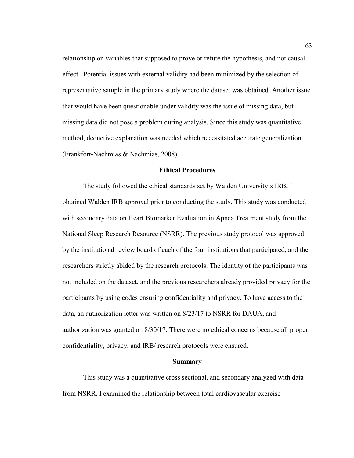relationship on variables that supposed to prove or refute the hypothesis, and not causal effect. Potential issues with external validity had been minimized by the selection of representative sample in the primary study where the dataset was obtained. Another issue that would have been questionable under validity was the issue of missing data, but missing data did not pose a problem during analysis. Since this study was quantitative method, deductive explanation was needed which necessitated accurate generalization (Frankfort-Nachmias & Nachmias, 2008).

## **Ethical Procedures**

The study followed the ethical standards set by Walden University's IRB**.** I obtained Walden IRB approval prior to conducting the study. This study was conducted with secondary data on Heart Biomarker Evaluation in Apnea Treatment study from the National Sleep Research Resource (NSRR). The previous study protocol was approved by the institutional review board of each of the four institutions that participated, and the researchers strictly abided by the research protocols. The identity of the participants was not included on the dataset, and the previous researchers already provided privacy for the participants by using codes ensuring confidentiality and privacy. To have access to the data, an authorization letter was written on 8/23/17 to NSRR for DAUA, and authorization was granted on 8/30/17. There were no ethical concerns because all proper confidentiality, privacy, and IRB/ research protocols were ensured.

### **Summary**

This study was a quantitative cross sectional, and secondary analyzed with data from NSRR. I examined the relationship between total cardiovascular exercise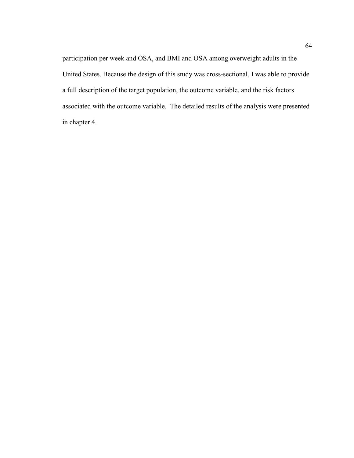participation per week and OSA, and BMI and OSA among overweight adults in the United States. Because the design of this study was cross-sectional, I was able to provide a full description of the target population, the outcome variable, and the risk factors associated with the outcome variable. The detailed results of the analysis were presented in chapter 4.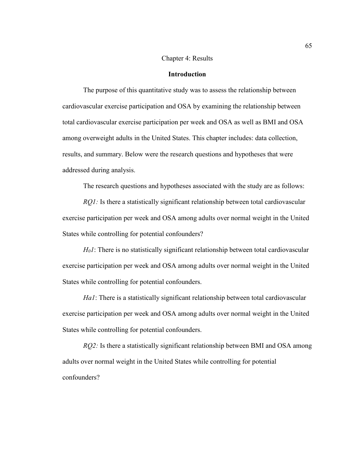# Chapter 4: Results

# **Introduction**

The purpose of this quantitative study was to assess the relationship between cardiovascular exercise participation and OSA by examining the relationship between total cardiovascular exercise participation per week and OSA as well as BMI and OSA among overweight adults in the United States. This chapter includes: data collection, results, and summary. Below were the research questions and hypotheses that were addressed during analysis.

The research questions and hypotheses associated with the study are as follows:

*RQ1*: Is there a statistically significant relationship between total cardiovascular exercise participation per week and OSA among adults over normal weight in the United States while controlling for potential confounders?

*H<sub>0</sub>I*: There is no statistically significant relationship between total cardiovascular exercise participation per week and OSA among adults over normal weight in the United States while controlling for potential confounders.

*Ha1*: There is a statistically significant relationship between total cardiovascular exercise participation per week and OSA among adults over normal weight in the United States while controlling for potential confounders.

*RQ2:* Is there a statistically significant relationship between BMI and OSA among adults over normal weight in the United States while controlling for potential confounders?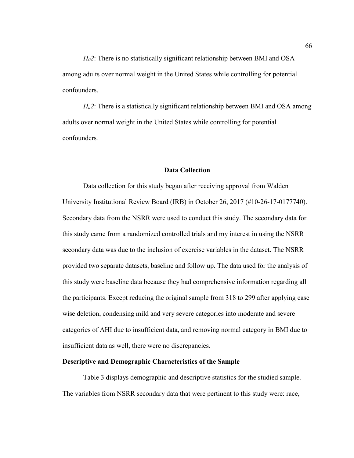*H02*: There is no statistically significant relationship between BMI and OSA among adults over normal weight in the United States while controlling for potential confounders.

*Ha2*: There is a statistically significant relationship between BMI and OSA among adults over normal weight in the United States while controlling for potential confounders*.*

### **Data Collection**

Data collection for this study began after receiving approval from Walden University Institutional Review Board (IRB) in October 26, 2017 (#10-26-17-0177740). Secondary data from the NSRR were used to conduct this study. The secondary data for this study came from a randomized controlled trials and my interest in using the NSRR secondary data was due to the inclusion of exercise variables in the dataset. The NSRR provided two separate datasets, baseline and follow up. The data used for the analysis of this study were baseline data because they had comprehensive information regarding all the participants. Except reducing the original sample from 318 to 299 after applying case wise deletion, condensing mild and very severe categories into moderate and severe categories of AHI due to insufficient data, and removing normal category in BMI due to insufficient data as well, there were no discrepancies.

### **Descriptive and Demographic Characteristics of the Sample**

Table 3 displays demographic and descriptive statistics for the studied sample. The variables from NSRR secondary data that were pertinent to this study were: race,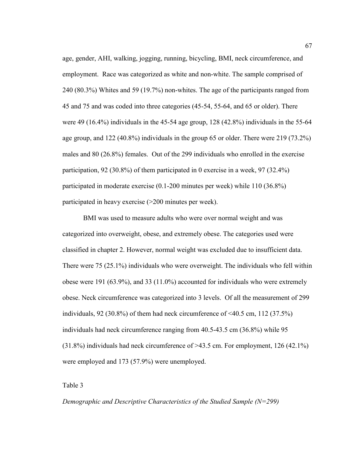age, gender, AHI, walking, jogging, running, bicycling, BMI, neck circumference, and employment. Race was categorized as white and non-white. The sample comprised of 240 (80.3%) Whites and 59 (19.7%) non-whites. The age of the participants ranged from 45 and 75 and was coded into three categories (45-54, 55-64, and 65 or older). There were 49 (16.4%) individuals in the 45-54 age group, 128 (42.8%) individuals in the 55-64 age group, and 122 (40.8%) individuals in the group 65 or older. There were 219 (73.2%) males and 80 (26.8%) females. Out of the 299 individuals who enrolled in the exercise participation, 92 (30.8%) of them participated in 0 exercise in a week, 97 (32.4%) participated in moderate exercise (0.1-200 minutes per week) while 110 (36.8%) participated in heavy exercise (>200 minutes per week).

BMI was used to measure adults who were over normal weight and was categorized into overweight, obese, and extremely obese. The categories used were classified in chapter 2. However, normal weight was excluded due to insufficient data. There were 75 (25.1%) individuals who were overweight. The individuals who fell within obese were 191 (63.9%), and 33 (11.0%) accounted for individuals who were extremely obese. Neck circumference was categorized into 3 levels. Of all the measurement of 299 individuals, 92 (30.8%) of them had neck circumference of <40.5 cm, 112 (37.5%) individuals had neck circumference ranging from 40.5-43.5 cm (36.8%) while 95 (31.8%) individuals had neck circumference of >43.5 cm. For employment, 126 (42.1%) were employed and 173 (57.9%) were unemployed.

Table 3

*Demographic and Descriptive Characteristics of the Studied Sample (N=299)*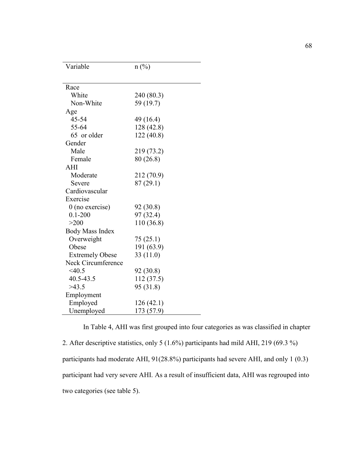| Variable               | $n(^{0}/_{0})$ |
|------------------------|----------------|
|                        |                |
| Race                   |                |
| White                  | 240 (80.3)     |
| Non-White              | 59 (19.7)      |
| Age                    |                |
| 45-54                  | 49 (16.4)      |
| 55-64                  | 128 (42.8)     |
| 65 or older            | 122 (40.8)     |
| Gender                 |                |
| Male                   | 219 (73.2)     |
| Female                 | 80 (26.8)      |
| AHI                    |                |
| Moderate               | 212 (70.9)     |
| Severe                 | 87 (29.1)      |
| Cardiovascular         |                |
| Exercise               |                |
| $0$ (no exercise)      | 92 (30.8)      |
| $0.1 - 200$            | 97 (32.4)      |
| >200                   | 110 (36.8)     |
| <b>Body Mass Index</b> |                |
| Overweight             | 75 (25.1)      |
| Obese                  | 191 (63.9)     |
| <b>Extremely Obese</b> | 33(11.0)       |
| Neck Circumference     |                |
| $<$ 40.5               | 92 (30.8)      |
| 40.5-43.5              | 112 (37.5)     |
| >43.5                  | 95 (31.8)      |
| Employment             |                |
| Employed               | 126 (42.1)     |
| Unemployed             | 173 (57.9)     |

In Table 4, AHI was first grouped into four categories as was classified in chapter 2. After descriptive statistics, only 5 (1.6%) participants had mild AHI, 219 (69.3 %) participants had moderate AHI, 91(28.8%) participants had severe AHI, and only 1 (0.3) participant had very severe AHI. As a result of insufficient data, AHI was regrouped into two categories (see table 5).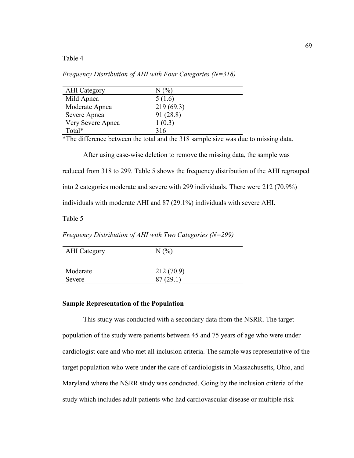Table 4

*Frequency Distribution of AHI with Four Categories (N=318)*

| <b>AHI</b> Category | $N(\%)$   |
|---------------------|-----------|
| Mild Apnea          | 5(1.6)    |
| Moderate Apnea      | 219(69.3) |
| Severe Apnea        | 91 (28.8) |
| Very Severe Apnea   | 1(0.3)    |
| Total*              | 316       |

\*The difference between the total and the 318 sample size was due to missing data.

After using case-wise deletion to remove the missing data, the sample was reduced from 318 to 299. Table 5 shows the frequency distribution of the AHI regrouped into 2 categories moderate and severe with 299 individuals. There were 212 (70.9%) individuals with moderate AHI and 87 (29.1%) individuals with severe AHI.

Table 5

*Frequency Distribution of AHI with Two Categories (N=299)*

| <b>AHI</b> Category | N(%)      |
|---------------------|-----------|
| Moderate            | 212(70.9) |
| Severe              | 87(29.1)  |

# **Sample Representation of the Population**

This study was conducted with a secondary data from the NSRR. The target population of the study were patients between 45 and 75 years of age who were under cardiologist care and who met all inclusion criteria. The sample was representative of the target population who were under the care of cardiologists in Massachusetts, Ohio, and Maryland where the NSRR study was conducted. Going by the inclusion criteria of the study which includes adult patients who had cardiovascular disease or multiple risk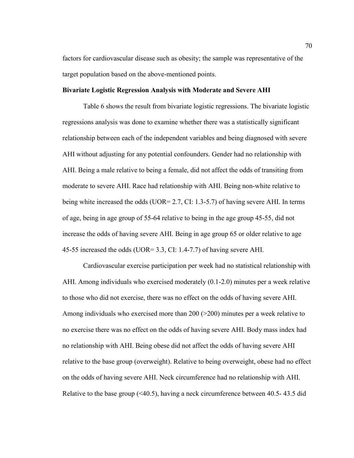factors for cardiovascular disease such as obesity; the sample was representative of the target population based on the above-mentioned points.

## **Bivariate Logistic Regression Analysis with Moderate and Severe AHI**

Table 6 shows the result from bivariate logistic regressions. The bivariate logistic regressions analysis was done to examine whether there was a statistically significant relationship between each of the independent variables and being diagnosed with severe AHI without adjusting for any potential confounders. Gender had no relationship with AHI. Being a male relative to being a female, did not affect the odds of transiting from moderate to severe AHI. Race had relationship with AHI. Being non-white relative to being white increased the odds (UOR= 2.7, CI: 1.3-5.7) of having severe AHI. In terms of age, being in age group of 55-64 relative to being in the age group 45-55, did not increase the odds of having severe AHI. Being in age group 65 or older relative to age 45-55 increased the odds (UOR= 3.3, CI: 1.4-7.7) of having severe AHI.

Cardiovascular exercise participation per week had no statistical relationship with AHI. Among individuals who exercised moderately (0.1-2.0) minutes per a week relative to those who did not exercise, there was no effect on the odds of having severe AHI. Among individuals who exercised more than 200 ( $>$ 200) minutes per a week relative to no exercise there was no effect on the odds of having severe AHI. Body mass index had no relationship with AHI. Being obese did not affect the odds of having severe AHI relative to the base group (overweight). Relative to being overweight, obese had no effect on the odds of having severe AHI. Neck circumference had no relationship with AHI. Relative to the base group (<40.5), having a neck circumference between 40.5- 43.5 did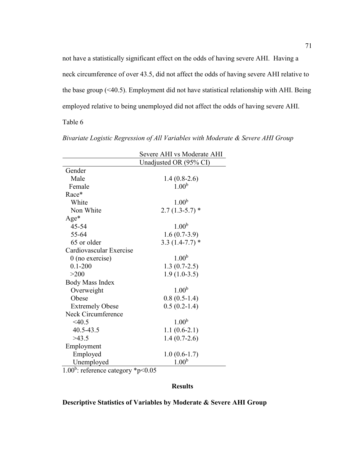not have a statistically significant effect on the odds of having severe AHI. Having a neck circumference of over 43.5, did not affect the odds of having severe AHI relative to the base group (<40.5). Employment did not have statistical relationship with AHI. Being employed relative to being unemployed did not affect the odds of having severe AHI.

Table 6

|                         | Severe AHI vs Moderate AHI |  |
|-------------------------|----------------------------|--|
|                         | Unadjusted OR (95% CI)     |  |
| Gender                  |                            |  |
| Male                    | $1.4(0.8-2.6)$             |  |
| Female                  | 1.00 <sup>b</sup>          |  |
| Race*                   |                            |  |
| White                   | 1.00 <sup>b</sup>          |  |
| Non White               | $2.7(1.3-5.7)$ *           |  |
| Age*                    |                            |  |
| 45-54                   | 1.00 <sup>b</sup>          |  |
| 55-64                   | $1.6(0.7-3.9)$             |  |
| 65 or older             | $3.3(1.4-7.7)*$            |  |
| Cardiovascular Exercise |                            |  |
| $0$ (no exercise)       | 1.00 <sup>b</sup>          |  |
| $0.1 - 200$             | $1.3(0.7-2.5)$             |  |
| >200                    | $1.9(1.0-3.5)$             |  |
| Body Mass Index         |                            |  |
| Overweight              | 1.00 <sup>b</sup>          |  |
| Obese                   | $0.8(0.5-1.4)$             |  |
| <b>Extremely Obese</b>  | $0.5(0.2-1.4)$             |  |
| Neck Circumference      |                            |  |
| $<$ 40.5                | 1.00 <sup>b</sup>          |  |
| 40.5-43.5               | $1.1(0.6-2.1)$             |  |
| >43.5                   | $1.4(0.7-2.6)$             |  |
| Employment              |                            |  |
| Employed                | $1.0(0.6-1.7)$             |  |
| Unemployed              | 1.00 <sup>b</sup>          |  |

*Bivariate Logistic Regression of All Variables with Moderate & Severe AHI Group*

1.00<sup>b</sup>: reference category \*p<0.05

# **Results**

# **Descriptive Statistics of Variables by Moderate & Severe AHI Group**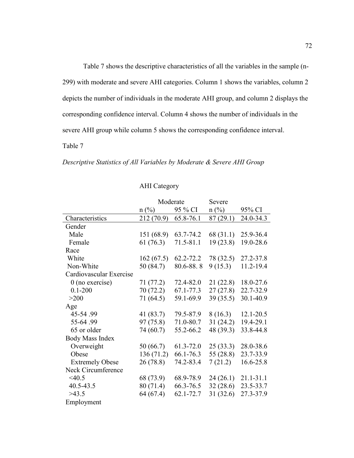Table 7 shows the descriptive characteristics of all the variables in the sample (n-299) with moderate and severe AHI categories. Column 1 shows the variables, column 2 depicts the number of individuals in the moderate AHI group, and column 2 displays the corresponding confidence interval. Column 4 shows the number of individuals in the severe AHI group while column 5 shows the corresponding confidence interval.

Table 7

## *Descriptive Statistics of All Variables by Moderate & Severe AHI Group*

# AHI Category

|                         | Moderate   |           | Severe         |           |
|-------------------------|------------|-----------|----------------|-----------|
|                         | $n$ (%)    | 95 % CI   | $n(^{0}/_{0})$ | 95% CI    |
| Characteristics         | 212 (70.9) | 65.8-76.1 | 87(29.1)       | 24.0-34.3 |
| Gender                  |            |           |                |           |
| Male                    | 151 (68.9) | 63.7-74.2 | 68 (31.1)      | 25.9-36.4 |
| Female                  | 61(76.3)   | 71.5-81.1 | 19(23.8)       | 19.0-28.6 |
| Race                    |            |           |                |           |
| White                   | 162(67.5)  | 62.2-72.2 | 78 (32.5)      | 27.2-37.8 |
| Non-White               | 50(84.7)   | 80.6-88.8 | 9(15.3)        | 11.2-19.4 |
| Cardiovascular Exercise |            |           |                |           |
| $0$ (no exercise)       | 71 (77.2)  | 72.4-82.0 | 21(22.8)       | 18.0-27.6 |
| $0.1 - 200$             | 70 (72.2)  | 67.1-77.3 | 27(27.8)       | 22.7-32.9 |
| >200                    | 71(64.5)   | 59.1-69.9 | 39(35.5)       | 30.1-40.9 |
| Age                     |            |           |                |           |
| 45-54.99                | 41 (83.7)  | 79.5-87.9 | 8(16.3)        | 12.1-20.5 |
| 55-64.99                | 97 (75.8)  | 71.0-80.7 | 31(24.2)       | 19.4-29.1 |
| 65 or older             | 74 (60.7)  | 55.2-66.2 | 48 (39.3)      | 33.8-44.8 |
| <b>Body Mass Index</b>  |            |           |                |           |
| Overweight              | 50(66.7)   | 61.3-72.0 | 25(33.3)       | 28.0-38.6 |
| Obese                   | 136(71.2)  | 66.1-76.3 | 55 (28.8)      | 23.7-33.9 |
| <b>Extremely Obese</b>  | 26 (78.8)  | 74.2-83.4 | 7(21.2)        | 16.6-25.8 |
| Neck Circumference      |            |           |                |           |
| $<$ 40.5                | 68 (73.9)  | 68.9-78.9 | 24(26.1)       | 21.1-31.1 |
| 40.5-43.5               | 80 (71.4)  | 66.3-76.5 | 32(28.6)       | 23.5-33.7 |
| >43.5                   | 64 (67.4)  | 62.1-72.7 | 31(32.6)       | 27.3-37.9 |
| Employment              |            |           |                |           |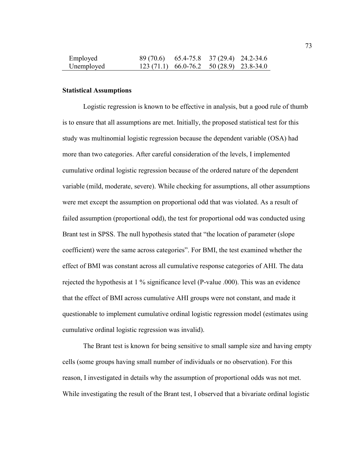| Employed   | 89 (70.6) 65.4-75.8 37 (29.4) 24.2-34.6   |  |
|------------|-------------------------------------------|--|
| Unemployed | $123(71.1)$ 66.0-76.2 50 (28.9) 23.8-34.0 |  |

### **Statistical Assumptions**

Logistic regression is known to be effective in analysis, but a good rule of thumb is to ensure that all assumptions are met. Initially, the proposed statistical test for this study was multinomial logistic regression because the dependent variable (OSA) had more than two categories. After careful consideration of the levels, I implemented cumulative ordinal logistic regression because of the ordered nature of the dependent variable (mild, moderate, severe). While checking for assumptions, all other assumptions were met except the assumption on proportional odd that was violated. As a result of failed assumption (proportional odd), the test for proportional odd was conducted using Brant test in SPSS. The null hypothesis stated that "the location of parameter (slope coefficient) were the same across categories". For BMI, the test examined whether the effect of BMI was constant across all cumulative response categories of AHI. The data rejected the hypothesis at 1 % significance level (P-value .000). This was an evidence that the effect of BMI across cumulative AHI groups were not constant, and made it questionable to implement cumulative ordinal logistic regression model (estimates using cumulative ordinal logistic regression was invalid).

The Brant test is known for being sensitive to small sample size and having empty cells (some groups having small number of individuals or no observation). For this reason, I investigated in details why the assumption of proportional odds was not met. While investigating the result of the Brant test, I observed that a bivariate ordinal logistic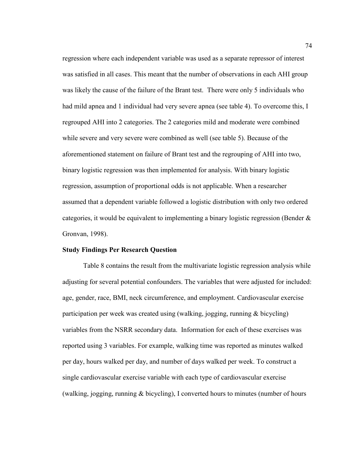regression where each independent variable was used as a separate repressor of interest was satisfied in all cases. This meant that the number of observations in each AHI group was likely the cause of the failure of the Brant test. There were only 5 individuals who had mild apnea and 1 individual had very severe apnea (see table 4). To overcome this, I regrouped AHI into 2 categories. The 2 categories mild and moderate were combined while severe and very severe were combined as well (see table 5). Because of the aforementioned statement on failure of Brant test and the regrouping of AHI into two, binary logistic regression was then implemented for analysis. With binary logistic regression, assumption of proportional odds is not applicable. When a researcher assumed that a dependent variable followed a logistic distribution with only two ordered categories, it would be equivalent to implementing a binary logistic regression (Bender  $\&$ Gronvan, 1998).

### **Study Findings Per Research Question**

Table 8 contains the result from the multivariate logistic regression analysis while adjusting for several potential confounders. The variables that were adjusted for included: age, gender, race, BMI, neck circumference, and employment. Cardiovascular exercise participation per week was created using (walking, jogging, running & bicycling) variables from the NSRR secondary data. Information for each of these exercises was reported using 3 variables. For example, walking time was reported as minutes walked per day, hours walked per day, and number of days walked per week. To construct a single cardiovascular exercise variable with each type of cardiovascular exercise (walking, jogging, running & bicycling), I converted hours to minutes (number of hours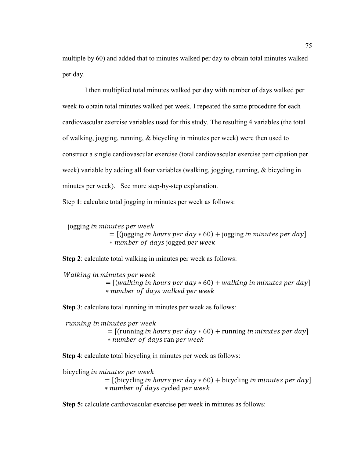multiple by 60) and added that to minutes walked per day to obtain total minutes walked per day.

I then multiplied total minutes walked per day with number of days walked per week to obtain total minutes walked per week. I repeated the same procedure for each cardiovascular exercise variables used for this study. The resulting 4 variables (the total of walking, jogging, running, & bicycling in minutes per week) were then used to construct a single cardiovascular exercise (total cardiovascular exercise participation per week) variable by adding all four variables (walking, jogging, running, & bicycling in minutes per week). See more step-by-step explanation.

Step **1**: calculate total jogging in minutes per week as follows:

jogging in minutes per week

 $=$  [(jogging *in hours per day*  $*$  60) + jogging *in minutes per day*] ∗ number of days jogged per week

**Step 2**: calculate total walking in minutes per week as follows:

Walking in minutes per week  $=$  [(walking in hours per day  $*$  60) + walking in minutes per day] ∗

**Step 3**: calculate total running in minutes per week as follows:

running in minutes per week  $=$  [(running *in hours per day*  $*$  60) + running *in minutes per day*] ∗ number of days ran per week

**Step 4**: calculate total bicycling in minutes per week as follows:

bicycling in minutes per week

 $=$  [(bicycling *in hours per day*  $*$  60) + bicycling *in minutes per day*] ∗ number of days cycled per week

**Step 5:** calculate cardiovascular exercise per week in minutes as follows: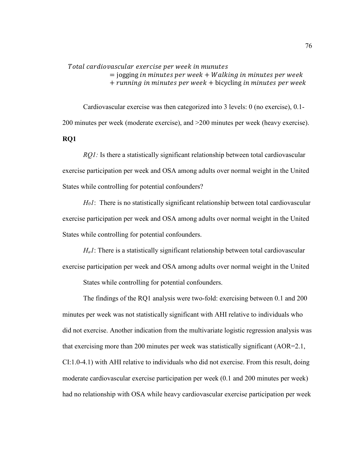Total cardiovascular exercise per week in munutes

 $=$  jogging in minutes per week  $+$  Walking in minutes per week  $+$  running in minutes per week  $+$  bicycling in minutes per week

Cardiovascular exercise was then categorized into 3 levels: 0 (no exercise), 0.1- 200 minutes per week (moderate exercise), and >200 minutes per week (heavy exercise). **RQ1**

*RQ1*: Is there a statistically significant relationship between total cardiovascular exercise participation per week and OSA among adults over normal weight in the United States while controlling for potential confounders?

*H01*: There is no statistically significant relationship between total cardiovascular exercise participation per week and OSA among adults over normal weight in the United States while controlling for potential confounders.

*Ha1*: There is a statistically significant relationship between total cardiovascular exercise participation per week and OSA among adults over normal weight in the United

States while controlling for potential confounders.

The findings of the RQ1 analysis were two-fold: exercising between 0.1 and 200 minutes per week was not statistically significant with AHI relative to individuals who did not exercise. Another indication from the multivariate logistic regression analysis was that exercising more than 200 minutes per week was statistically significant (AOR=2.1, CI:1.0-4.1) with AHI relative to individuals who did not exercise. From this result, doing moderate cardiovascular exercise participation per week (0.1 and 200 minutes per week) had no relationship with OSA while heavy cardiovascular exercise participation per week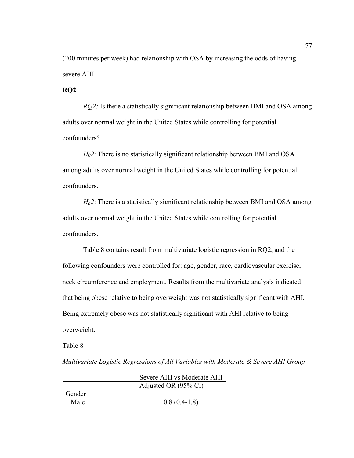(200 minutes per week) had relationship with OSA by increasing the odds of having severe AHI.

# **RQ2**

*RQ2:* Is there a statistically significant relationship between BMI and OSA among adults over normal weight in the United States while controlling for potential confounders?

*H02*: There is no statistically significant relationship between BMI and OSA among adults over normal weight in the United States while controlling for potential confounders.

*Ha2*: There is a statistically significant relationship between BMI and OSA among adults over normal weight in the United States while controlling for potential confounders.

Table 8 contains result from multivariate logistic regression in RQ2, and the following confounders were controlled for: age, gender, race, cardiovascular exercise, neck circumference and employment. Results from the multivariate analysis indicated that being obese relative to being overweight was not statistically significant with AHI. Being extremely obese was not statistically significant with AHI relative to being overweight.

Table 8

*Multivariate Logistic Regressions of All Variables with Moderate & Severe AHI Group*

|        | Severe AHI vs Moderate AHI |
|--------|----------------------------|
|        | Adjusted OR (95% CI)       |
| Gender |                            |
| Male   | $0.8(0.4-1.8)$             |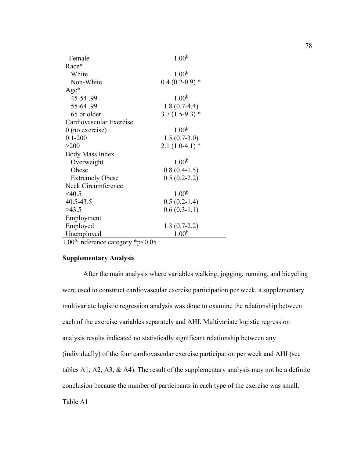| Female                         | 1.00 <sup>b</sup> |
|--------------------------------|-------------------|
| Race*                          |                   |
| White                          | 1.00 <sup>b</sup> |
| Non-White                      | $0.4(0.2-0.9)*$   |
| Age*                           |                   |
| 45-54.99                       | 1.00 <sup>b</sup> |
| 55-64.99                       | $1.8(0.7-4.4)$    |
| 65 or older                    | $3.7(1.5-9.3)$ *  |
| Cardiovascular Exercise        |                   |
| $0$ (no exercise)              | 1.00 <sup>b</sup> |
| $0.1 - 200$                    | $1.5(0.7-3.0)$    |
| >200                           | $2.1(1.0-4.1)$ *  |
| <b>Body Mass Index</b>         |                   |
| Overweight                     | 1.00 <sup>b</sup> |
| Obese                          | $0.8(0.4-1.5)$    |
| <b>Extremely Obese</b>         | $0.5(0.2-2.2)$    |
| Neck Circumference             |                   |
| $<$ 40.5                       | 1.00 <sup>b</sup> |
| 40.5-43.5                      | $0.5(0.2-1.4)$    |
| >43.5                          | $0.6(0.3-1.1)$    |
| Employment                     |                   |
| Employed                       | $1.3(0.7-2.2)$    |
| Unemployed                     | 1.00 <sup>b</sup> |
| $\sim$ 0.0 $h$<br>$\mathbf{a}$ |                   |

1.00<sup>b</sup>: reference category \*p<0.05

# **Supplementary Analysis**

After the main analysis where variables walking, jogging, running, and bicycling were used to construct cardiovascular exercise participation per week, a supplementary multivariate logistic regression analysis was done to examine the relationship between each of the exercise variables separately and AHI. Multivariate logistic regression analysis results indicated no statistically significant relationship between any (individually) of the four cardiovascular exercise participation per week and AHI (see tables A1, A2, A3,  $\&$  A4). The result of the supplementary analysis may not be a definite conclusion because the number of participants in each type of the exercise was small. Table A1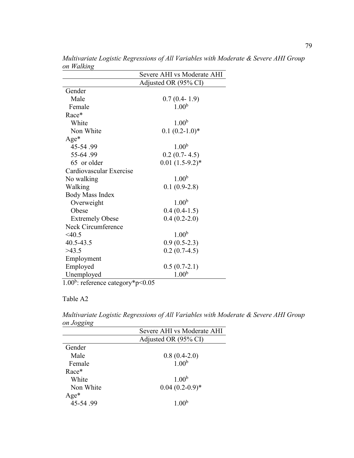|                         | Severe AHI vs Moderate AHI |
|-------------------------|----------------------------|
|                         | Adjusted OR (95% CI)       |
| Gender                  |                            |
| Male                    | $0.7(0.4-1.9)$             |
| Female                  | 1.00 <sup>b</sup>          |
| Race*                   |                            |
| White                   | 1.00 <sup>b</sup>          |
| Non White               | $0.1(0.2-1.0)$ *           |
| Age*                    |                            |
| 45-54.99                | 1.00 <sup>b</sup>          |
| 55-64.99                | $0.2(0.7-4.5)$             |
| 65 or older             | $0.01(1.5-9.2)^*$          |
| Cardiovascular Exercise |                            |
| No walking              | 1.00 <sup>b</sup>          |
| Walking                 | $0.1(0.9-2.8)$             |
| <b>Body Mass Index</b>  |                            |
| Overweight              | 1.00 <sup>b</sup>          |
| Obese                   | $0.4(0.4-1.5)$             |
| <b>Extremely Obese</b>  | $0.4(0.2-2.0)$             |
| Neck Circumference      |                            |
| $<$ 40.5                | 1.00 <sup>b</sup>          |
| 40.5-43.5               | $0.9(0.5-2.3)$             |
| >43.5                   | $0.2(0.7-4.5)$             |
| Employment              |                            |
| Employed                | $0.5(0.7-2.1)$             |
| Unemployed<br>$-1$      | 1.00 <sup>b</sup>          |

*Multivariate Logistic Regressions of All Variables with Moderate & Severe AHI Group on Walking* 

1.00<sup>b</sup>: reference category\*p<0.05

# Table A2

*Multivariate Logistic Regressions of All Variables with Moderate & Severe AHI Group on Jogging*

| $\sigma$ $\sigma$ |                            |
|-------------------|----------------------------|
|                   | Severe AHI vs Moderate AHI |
|                   | Adjusted OR (95% CI)       |
| Gender            |                            |
| Male              | $0.8(0.4-2.0)$             |
| Female            | 1.00 <sup>b</sup>          |
| Race*             |                            |
| White             | 1.00 <sup>b</sup>          |
| Non White         | $0.04(0.2-0.9)*$           |
| $Age*$            |                            |
| 45-54.99          | 1.00 <sup>b</sup>          |
|                   |                            |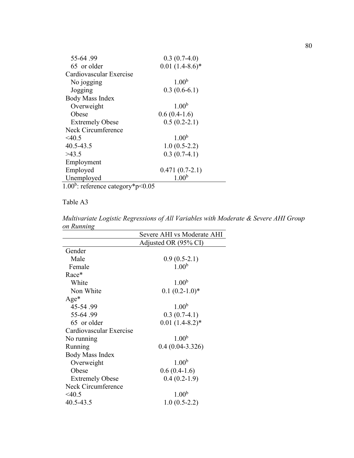| 55-64.99                | $0.3(0.7-4.0)$    |
|-------------------------|-------------------|
| 65 or older             | $0.01(1.4-8.6)$ * |
| Cardiovascular Exercise |                   |
| No jogging              | 1.00 <sup>b</sup> |
| Jogging                 | $0.3(0.6-6.1)$    |
| Body Mass Index         |                   |
| Overweight              | 1.00 <sup>b</sup> |
| Obese                   | $0.6(0.4-1.6)$    |
| <b>Extremely Obese</b>  | $0.5(0.2-2.1)$    |
| Neck Circumference      |                   |
| $<$ 40.5                | 1.00 <sup>b</sup> |
| 40.5-43.5               | $1.0(0.5-2.2)$    |
| >43.5                   | $0.3(0.7-4.1)$    |
| Employment              |                   |
| Employed                | $0.471(0.7-2.1)$  |
| Unemployed              | 1.00 <sup>b</sup> |
| $-1$                    |                   |

1.00<sup>b</sup>: reference category\*p<0.05

Table A3

*Multivariate Logistic Regressions of All Variables with Moderate & Severe AHI Group on Running*

| Severe AHI vs Moderate AHI |
|----------------------------|
| Adjusted OR (95% CI)       |
|                            |
| $0.9(0.5-2.1)$             |
| 1.00 <sup>b</sup>          |
|                            |
| 1.00 <sup>b</sup>          |
| $0.1(0.2-1.0)$ *           |
|                            |
| 1.00 <sup>b</sup>          |
| $0.3(0.7-4.1)$             |
| $0.01(1.4-8.2)$ *          |
|                            |
| 1.00 <sup>b</sup>          |
| $0.4(0.04-3.326)$          |
|                            |
| 1.00 <sup>b</sup>          |
| $0.6(0.4-1.6)$             |
| $0.4(0.2-1.9)$             |
|                            |
| 1.00 <sup>b</sup>          |
| $1.0(0.5-2.2)$             |
|                            |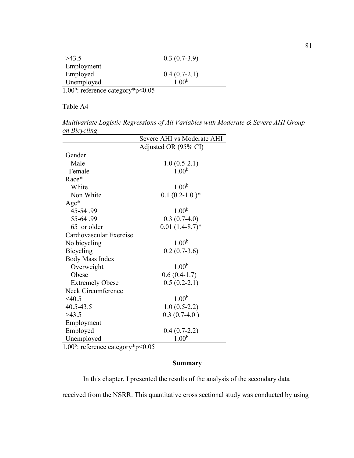| >43.5      | $0.3(0.7-3.9)$    |
|------------|-------------------|
| Employment |                   |
| Employed   | $0.4(0.7-2.1)$    |
| Unemployed | 1.00 <sup>b</sup> |

1.00<sup>b</sup>: reference category\*p<0.05

Table A4

*Multivariate Logistic Regressions of All Variables with Moderate & Severe AHI Group on Bicycling*

| Severe AHI vs Moderate AHI |                      |
|----------------------------|----------------------|
|                            | Adjusted OR (95% CI) |
| Gender                     |                      |
| Male                       | $1.0(0.5-2.1)$       |
| Female                     | 1.00 <sup>b</sup>    |
| Race*                      |                      |
| White                      | 1.00 <sup>b</sup>    |
| Non White                  | $0.1(0.2-1.0)^*$     |
| $Age*$                     |                      |
| 45-54.99                   | 1.00 <sup>b</sup>    |
| 55-64.99                   | $0.3(0.7-4.0)$       |
| 65 or older                | $0.01(1.4-8.7)$ *    |
| Cardiovascular Exercise    |                      |
| No bicycling               | 1.00 <sup>b</sup>    |
| Bicycling                  | $0.2(0.7-3.6)$       |
| Body Mass Index            |                      |
| Overweight                 | 1.00 <sup>b</sup>    |
| Obese                      | $0.6(0.4-1.7)$       |
| <b>Extremely Obese</b>     | $0.5(0.2-2.1)$       |
| Neck Circumference         |                      |
| < 40.5                     | 1.00 <sup>b</sup>    |
| 40.5-43.5                  | $1.0(0.5-2.2)$       |
| >43.5                      | $0.3(0.7-4.0)$       |
| Employment                 |                      |
| Employed                   | $0.4(0.7-2.2)$       |
| Unemployed                 | 1.00 <sup>b</sup>    |

1.00<sup>b</sup>: reference category\*p<0.05

# **Summary**

In this chapter, I presented the results of the analysis of the secondary data

received from the NSRR. This quantitative cross sectional study was conducted by using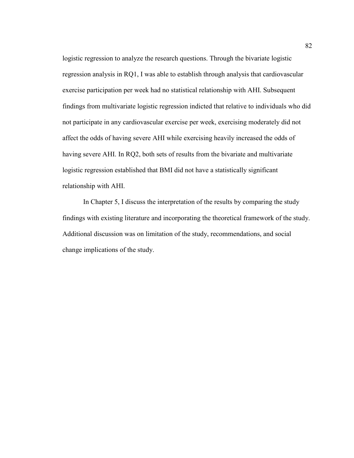logistic regression to analyze the research questions. Through the bivariate logistic regression analysis in RQ1, I was able to establish through analysis that cardiovascular exercise participation per week had no statistical relationship with AHI. Subsequent findings from multivariate logistic regression indicted that relative to individuals who did not participate in any cardiovascular exercise per week, exercising moderately did not affect the odds of having severe AHI while exercising heavily increased the odds of having severe AHI. In RQ2, both sets of results from the bivariate and multivariate logistic regression established that BMI did not have a statistically significant relationship with AHI.

In Chapter 5, I discuss the interpretation of the results by comparing the study findings with existing literature and incorporating the theoretical framework of the study. Additional discussion was on limitation of the study, recommendations, and social change implications of the study.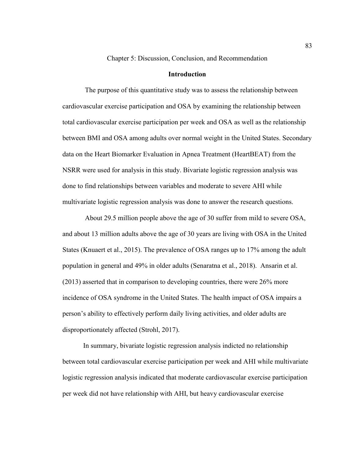Chapter 5: Discussion, Conclusion, and Recommendation

## **Introduction**

The purpose of this quantitative study was to assess the relationship between cardiovascular exercise participation and OSA by examining the relationship between total cardiovascular exercise participation per week and OSA as well as the relationship between BMI and OSA among adults over normal weight in the United States. Secondary data on the Heart Biomarker Evaluation in Apnea Treatment (HeartBEAT) from the NSRR were used for analysis in this study. Bivariate logistic regression analysis was done to find relationships between variables and moderate to severe AHI while multivariate logistic regression analysis was done to answer the research questions.

About 29.5 million people above the age of 30 suffer from mild to severe OSA, and about 13 million adults above the age of 30 years are living with OSA in the United States (Knuaert et al., 2015). The prevalence of OSA ranges up to 17% among the adult population in general and 49% in older adults (Senaratna et al., 2018). Ansarin et al. (2013) asserted that in comparison to developing countries, there were 26% more incidence of OSA syndrome in the United States. The health impact of OSA impairs a person's ability to effectively perform daily living activities, and older adults are disproportionately affected (Strohl, 2017).

In summary, bivariate logistic regression analysis indicted no relationship between total cardiovascular exercise participation per week and AHI while multivariate logistic regression analysis indicated that moderate cardiovascular exercise participation per week did not have relationship with AHI, but heavy cardiovascular exercise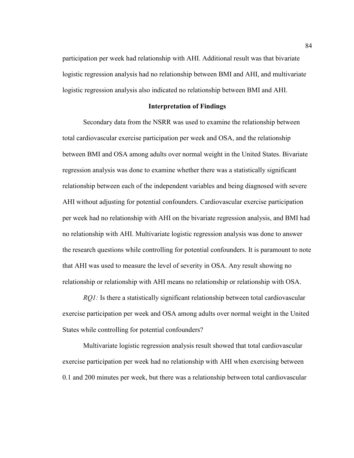participation per week had relationship with AHI. Additional result was that bivariate logistic regression analysis had no relationship between BMI and AHI, and multivariate logistic regression analysis also indicated no relationship between BMI and AHI.

### **Interpretation of Findings**

Secondary data from the NSRR was used to examine the relationship between total cardiovascular exercise participation per week and OSA, and the relationship between BMI and OSA among adults over normal weight in the United States. Bivariate regression analysis was done to examine whether there was a statistically significant relationship between each of the independent variables and being diagnosed with severe AHI without adjusting for potential confounders. Cardiovascular exercise participation per week had no relationship with AHI on the bivariate regression analysis, and BMI had no relationship with AHI. Multivariate logistic regression analysis was done to answer the research questions while controlling for potential confounders. It is paramount to note that AHI was used to measure the level of severity in OSA. Any result showing no relationship or relationship with AHI means no relationship or relationship with OSA.

*RQ1:* Is there a statistically significant relationship between total cardiovascular exercise participation per week and OSA among adults over normal weight in the United States while controlling for potential confounders?

Multivariate logistic regression analysis result showed that total cardiovascular exercise participation per week had no relationship with AHI when exercising between 0.1 and 200 minutes per week, but there was a relationship between total cardiovascular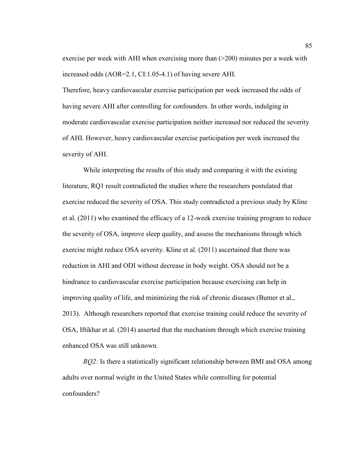exercise per week with AHI when exercising more than  $(>=200)$  minutes per a week with increased odds (AOR=2.1, CI:1.05-4.1) of having severe AHI.

Therefore, heavy cardiovascular exercise participation per week increased the odds of having severe AHI after controlling for confounders. In other words, indulging in moderate cardiovascular exercise participation neither increased nor reduced the severity of AHI. However, heavy cardiovascular exercise participation per week increased the severity of AHI.

While interpreting the results of this study and comparing it with the existing literature, RQ1 result contradicted the studies where the researchers postulated that exercise reduced the severity of OSA. This study contradicted a previous study by Kline et al. (2011) who examined the efficacy of a 12-week exercise training program to reduce the severity of OSA, improve sleep quality, and assess the mechanisms through which exercise might reduce OSA severity. Kline et al. (2011) ascertained that there was reduction in AHI and ODI without decrease in body weight. OSA should not be a hindrance to cardiovascular exercise participation because exercising can help in improving quality of life, and minimizing the risk of chronic diseases (Butner et al., 2013). Although researchers reported that exercise training could reduce the severity of OSA, Iftikhar et al. (2014) asserted that the mechanism through which exercise training enhanced OSA was still unknown.

*RQ2:* Is there a statistically significant relationship between BMI and OSA among adults over normal weight in the United States while controlling for potential confounders?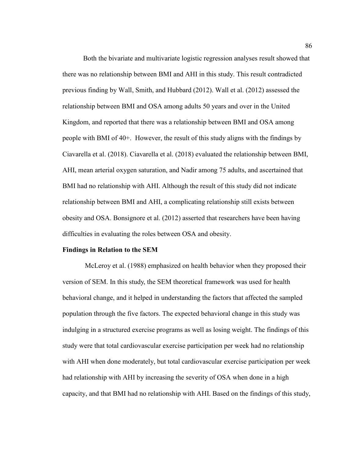Both the bivariate and multivariate logistic regression analyses result showed that there was no relationship between BMI and AHI in this study. This result contradicted previous finding by Wall, Smith, and Hubbard (2012). Wall et al. (2012) assessed the relationship between BMI and OSA among adults 50 years and over in the United Kingdom, and reported that there was a relationship between BMI and OSA among people with BMI of 40+. However, the result of this study aligns with the findings by Ciavarella et al. (2018). Ciavarella et al. (2018) evaluated the relationship between BMI, AHI, mean arterial oxygen saturation, and Nadir among 75 adults, and ascertained that BMI had no relationship with AHI. Although the result of this study did not indicate relationship between BMI and AHI, a complicating relationship still exists between obesity and OSA. Bonsignore et al. (2012) asserted that researchers have been having difficulties in evaluating the roles between OSA and obesity.

#### **Findings in Relation to the SEM**

McLeroy et al. (1988) emphasized on health behavior when they proposed their version of SEM. In this study, the SEM theoretical framework was used for health behavioral change, and it helped in understanding the factors that affected the sampled population through the five factors. The expected behavioral change in this study was indulging in a structured exercise programs as well as losing weight. The findings of this study were that total cardiovascular exercise participation per week had no relationship with AHI when done moderately, but total cardiovascular exercise participation per week had relationship with AHI by increasing the severity of OSA when done in a high capacity, and that BMI had no relationship with AHI. Based on the findings of this study,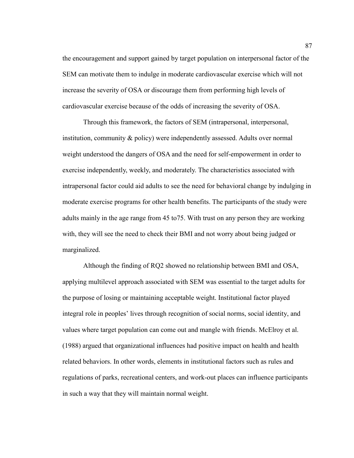the encouragement and support gained by target population on interpersonal factor of the SEM can motivate them to indulge in moderate cardiovascular exercise which will not increase the severity of OSA or discourage them from performing high levels of cardiovascular exercise because of the odds of increasing the severity of OSA.

Through this framework, the factors of SEM (intrapersonal, interpersonal, institution, community & policy) were independently assessed. Adults over normal weight understood the dangers of OSA and the need for self-empowerment in order to exercise independently, weekly, and moderately. The characteristics associated with intrapersonal factor could aid adults to see the need for behavioral change by indulging in moderate exercise programs for other health benefits. The participants of the study were adults mainly in the age range from 45 to75. With trust on any person they are working with, they will see the need to check their BMI and not worry about being judged or marginalized.

Although the finding of RQ2 showed no relationship between BMI and OSA, applying multilevel approach associated with SEM was essential to the target adults for the purpose of losing or maintaining acceptable weight. Institutional factor played integral role in peoples' lives through recognition of social norms, social identity, and values where target population can come out and mangle with friends. McElroy et al. (1988) argued that organizational influences had positive impact on health and health related behaviors. In other words, elements in institutional factors such as rules and regulations of parks, recreational centers, and work-out places can influence participants in such a way that they will maintain normal weight.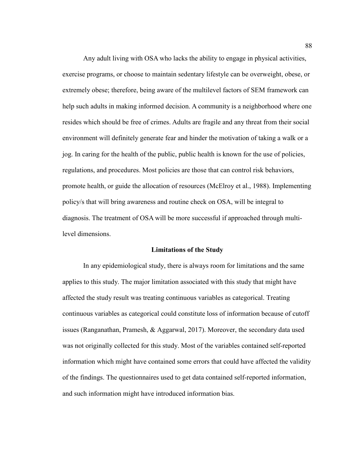Any adult living with OSA who lacks the ability to engage in physical activities, exercise programs, or choose to maintain sedentary lifestyle can be overweight, obese, or extremely obese; therefore, being aware of the multilevel factors of SEM framework can help such adults in making informed decision. A community is a neighborhood where one resides which should be free of crimes. Adults are fragile and any threat from their social environment will definitely generate fear and hinder the motivation of taking a walk or a jog. In caring for the health of the public, public health is known for the use of policies, regulations, and procedures. Most policies are those that can control risk behaviors, promote health, or guide the allocation of resources (McElroy et al., 1988). Implementing policy/s that will bring awareness and routine check on OSA, will be integral to diagnosis. The treatment of OSA will be more successful if approached through multilevel dimensions.

#### **Limitations of the Study**

In any epidemiological study, there is always room for limitations and the same applies to this study. The major limitation associated with this study that might have affected the study result was treating continuous variables as categorical. Treating continuous variables as categorical could constitute loss of information because of cutoff issues (Ranganathan, Pramesh, & Aggarwal, 2017). Moreover, the secondary data used was not originally collected for this study. Most of the variables contained self-reported information which might have contained some errors that could have affected the validity of the findings. The questionnaires used to get data contained self-reported information, and such information might have introduced information bias.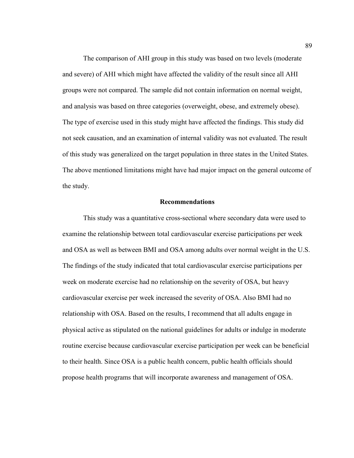The comparison of AHI group in this study was based on two levels (moderate and severe) of AHI which might have affected the validity of the result since all AHI groups were not compared. The sample did not contain information on normal weight, and analysis was based on three categories (overweight, obese, and extremely obese). The type of exercise used in this study might have affected the findings. This study did not seek causation, and an examination of internal validity was not evaluated. The result of this study was generalized on the target population in three states in the United States. The above mentioned limitations might have had major impact on the general outcome of the study.

## **Recommendations**

This study was a quantitative cross-sectional where secondary data were used to examine the relationship between total cardiovascular exercise participations per week and OSA as well as between BMI and OSA among adults over normal weight in the U.S. The findings of the study indicated that total cardiovascular exercise participations per week on moderate exercise had no relationship on the severity of OSA, but heavy cardiovascular exercise per week increased the severity of OSA. Also BMI had no relationship with OSA. Based on the results, I recommend that all adults engage in physical active as stipulated on the national guidelines for adults or indulge in moderate routine exercise because cardiovascular exercise participation per week can be beneficial to their health. Since OSA is a public health concern, public health officials should propose health programs that will incorporate awareness and management of OSA.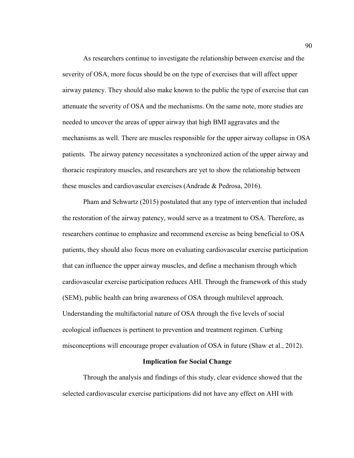As researchers continue to investigate the relationship between exercise and the severity of OSA, more focus should be on the type of exercises that will affect upper airway patency. They should also make known to the public the type of exercise that can attenuate the severity of OSA and the mechanisms. On the same note, more studies are needed to uncover the areas of upper airway that high BMI aggravates and the mechanisms as well. There are muscles responsible for the upper airway collapse in OSA patients. The airway patency necessitates a synchronized action of the upper airway and thoracic respiratory muscles, and researchers are yet to show the relationship between these muscles and cardiovascular exercises (Andrade & Pedrosa, 2016).

Pham and Schwartz (2015) postulated that any type of intervention that included the restoration of the airway patency, would serve as a treatment to OSA. Therefore, as researchers continue to emphasize and recommend exercise as being beneficial to OSA patients, they should also focus more on evaluating cardiovascular exercise participation that can influence the upper airway muscles, and define a mechanism through which cardiovascular exercise participation reduces AHI. Through the framework of this study (SEM), public health can bring awareness of OSA through multilevel approach. Understanding the multifactorial nature of OSA through the five levels of social ecological influences is pertinent to prevention and treatment regimen. Curbing misconceptions will encourage proper evaluation of OSA in future (Shaw et al., 2012).

#### **Implication for Social Change**

Through the analysis and findings of this study, clear evidence showed that the selected cardiovascular exercise participations did not have any effect on AHI with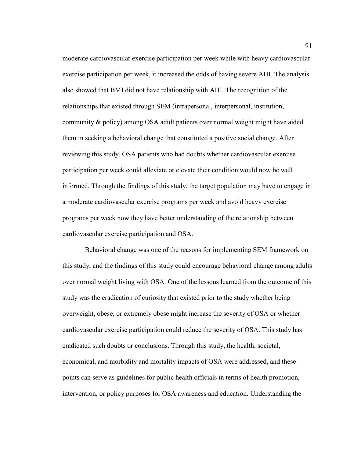moderate cardiovascular exercise participation per week while with heavy cardiovascular exercise participation per week, it increased the odds of having severe AHI. The analysis also showed that BMI did not have relationship with AHI. The recognition of the relationships that existed through SEM (intrapersonal, interpersonal, institution, community & policy) among OSA adult patients over normal weight might have aided them in seeking a behavioral change that constituted a positive social change. After reviewing this study, OSA patients who had doubts whether cardiovascular exercise participation per week could alleviate or elevate their condition would now be well informed. Through the findings of this study, the target population may have to engage in a moderate cardiovascular exercise programs per week and avoid heavy exercise programs per week now they have better understanding of the relationship between cardiovascular exercise participation and OSA.

Behavioral change was one of the reasons for implementing SEM framework on this study, and the findings of this study could encourage behavioral change among adults over normal weight living with OSA. One of the lessons learned from the outcome of this study was the eradication of curiosity that existed prior to the study whether being overweight, obese, or extremely obese might increase the severity of OSA or whether cardiovascular exercise participation could reduce the severity of OSA. This study has eradicated such doubts or conclusions. Through this study, the health, societal, economical, and morbidity and mortality impacts of OSA were addressed, and these points can serve as guidelines for public health officials in terms of health promotion, intervention, or policy purposes for OSA awareness and education. Understanding the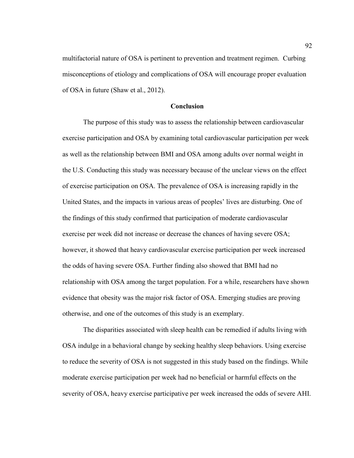multifactorial nature of OSA is pertinent to prevention and treatment regimen. Curbing misconceptions of etiology and complications of OSA will encourage proper evaluation of OSA in future (Shaw et al., 2012).

## **Conclusion**

The purpose of this study was to assess the relationship between cardiovascular exercise participation and OSA by examining total cardiovascular participation per week as well as the relationship between BMI and OSA among adults over normal weight in the U.S. Conducting this study was necessary because of the unclear views on the effect of exercise participation on OSA. The prevalence of OSA is increasing rapidly in the United States, and the impacts in various areas of peoples' lives are disturbing. One of the findings of this study confirmed that participation of moderate cardiovascular exercise per week did not increase or decrease the chances of having severe OSA; however, it showed that heavy cardiovascular exercise participation per week increased the odds of having severe OSA. Further finding also showed that BMI had no relationship with OSA among the target population. For a while, researchers have shown evidence that obesity was the major risk factor of OSA. Emerging studies are proving otherwise, and one of the outcomes of this study is an exemplary.

The disparities associated with sleep health can be remedied if adults living with OSA indulge in a behavioral change by seeking healthy sleep behaviors. Using exercise to reduce the severity of OSA is not suggested in this study based on the findings. While moderate exercise participation per week had no beneficial or harmful effects on the severity of OSA, heavy exercise participative per week increased the odds of severe AHI.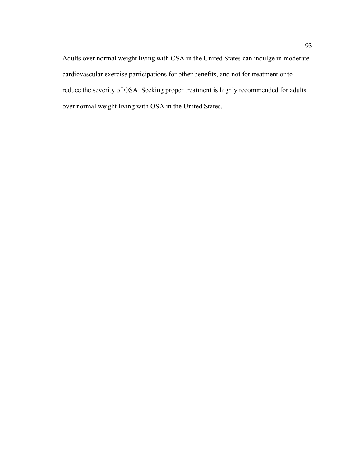Adults over normal weight living with OSA in the United States can indulge in moderate cardiovascular exercise participations for other benefits, and not for treatment or to reduce the severity of OSA. Seeking proper treatment is highly recommended for adults over normal weight living with OSA in the United States.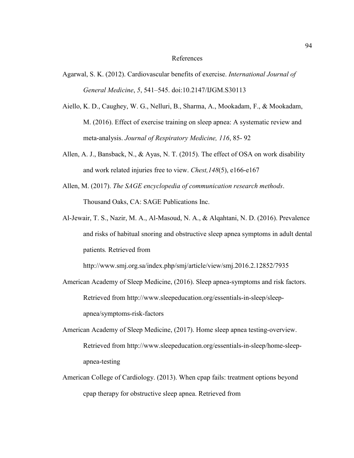#### References

- Agarwal, S. K. (2012). Cardiovascular benefits of exercise. *International Journal of General Medicine*, *5*, 541–545. doi:10.2147/IJGM.S30113
- Aiello, K. D., Caughey, W. G., Nelluri, B., Sharma, A., Mookadam, F., & Mookadam, M. (2016). Effect of exercise training on sleep apnea: A systematic review and meta-analysis. *Journal of Respiratory Medicine, 116*, 85- 92
- Allen, A. J., Bansback, N., & Ayas, N. T. (2015). The effect of OSA on work disability and work related injuries free to view. *Chest,148*(5), e166-e167
- Allen, M. (2017). *The SAGE encyclopedia of communication research methods*. Thousand Oaks, CA: SAGE Publications Inc.
- Al-Jewair, T. S., Nazir, M. A., Al-Masoud, N. A., & Alqahtani, N. D. (2016). Prevalence and risks of habitual snoring and obstructive sleep apnea symptoms in adult dental patients*.* Retrieved from

http://www.smj.org.sa/index.php/smj/article/view/smj.2016.2.12852/7935

- American Academy of Sleep Medicine, (2016). Sleep apnea-symptoms and risk factors. Retrieved from http://www.sleepeducation.org/essentials-in-sleep/sleepapnea/symptoms-risk-factors
- American Academy of Sleep Medicine, (2017). Home sleep apnea testing-overview. Retrieved from http://www.sleepeducation.org/essentials-in-sleep/home-sleepapnea-testing
- American College of Cardiology. (2013). When cpap fails: treatment options beyond cpap therapy for obstructive sleep apnea. Retrieved from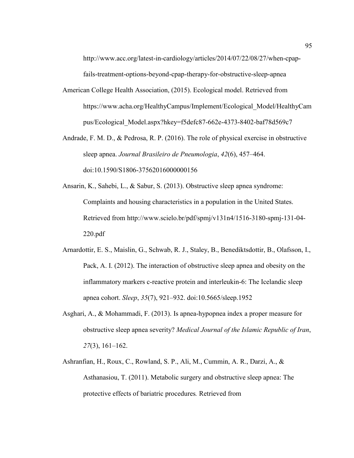http://www.acc.org/latest-in-cardiology/articles/2014/07/22/08/27/when-cpapfails-treatment-options-beyond-cpap-therapy-for-obstructive-sleep-apnea

- American College Health Association, (2015). Ecological model. Retrieved from https://www.acha.org/HealthyCampus/Implement/Ecological\_Model/HealthyCam pus/Ecological\_Model.aspx?hkey=f5defc87-662e-4373-8402-baf78d569c7
- Andrade, F. M. D., & Pedrosa, R. P. (2016). The role of physical exercise in obstructive sleep apnea. *Journal Brasileiro de Pneumologia*, *42*(6), 457–464. doi:10.1590/S1806-37562016000000156
- Ansarin, K., Sahebi, L., & Sabur, S. (2013). Obstructive sleep apnea syndrome: Complaints and housing characteristics in a population in the United States. Retrieved from http://www.scielo.br/pdf/spmj/v131n4/1516-3180-spmj-131-04- 220.pdf
- Arnardottir, E. S., Maislin, G., Schwab, R. J., Staley, B., Benediktsdottir, B., Olafsson, I., Pack, A. I. (2012). The interaction of obstructive sleep apnea and obesity on the inflammatory markers c-reactive protein and interleukin-6: The Icelandic sleep apnea cohort. *Sleep*, *35*(7), 921–932. doi:10.5665/sleep.1952
- Asghari, A., & Mohammadi, F. (2013). Is apnea-hypopnea index a proper measure for obstructive sleep apnea severity? *Medical Journal of the Islamic Republic of Iran*, *27*(3), 161–162.
- Ashranfian, H., Roux, C., Rowland, S. P., Ali, M., Cummin, A. R., Darzi, A., & Asthanasiou, T. (2011). Metabolic surgery and obstructive sleep apnea: The protective effects of bariatric procedures*.* Retrieved from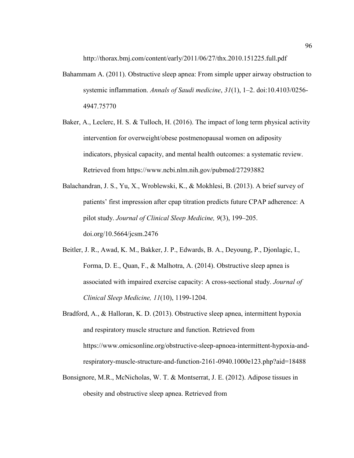http://thorax.bmj.com/content/early/2011/06/27/thx.2010.151225.full.pdf

- Bahammam A. (2011). Obstructive sleep apnea: From simple upper airway obstruction to systemic inflammation. *Annals of Saudi medicine*, *31*(1), 1–2. doi:10.4103/0256- 4947.75770
- Baker, A., Leclerc, H. S. & Tulloch, H. (2016). The impact of long term physical activity intervention for overweight/obese postmenopausal women on adiposity indicators, physical capacity, and mental health outcomes: a systematic review. Retrieved from https://www.ncbi.nlm.nih.gov/pubmed/27293882
- Balachandran, J. S., Yu, X., Wroblewski, K., & Mokhlesi, B. (2013). A brief survey of patients' first impression after cpap titration predicts future CPAP adherence: A pilot study. *Journal of Clinical Sleep Medicine, 9*(3), 199–205. doi.org/10.5664/jcsm.2476
- Beitler, J. R., Awad, K. M., Bakker, J. P., Edwards, B. A., Deyoung, P., Djonlagic, I., Forma, D. E., Quan, F., & Malhotra, A. (2014). Obstructive sleep apnea is associated with impaired exercise capacity: A cross-sectional study. *Journal of Clinical Sleep Medicine, 11*(10), 1199-1204.
- Bradford, A., & Halloran, K. D. (2013). Obstructive sleep apnea, intermittent hypoxia and respiratory muscle structure and function. Retrieved from https://www.omicsonline.org/obstructive-sleep-apnoea-intermittent-hypoxia-andrespiratory-muscle-structure-and-function-2161-0940.1000e123.php?aid=18488
- Bonsignore, M.R., McNicholas, W. T. & Montserrat, J. E. (2012). Adipose tissues in obesity and obstructive sleep apnea. Retrieved from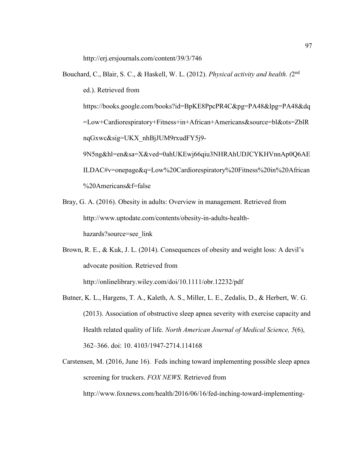http://erj.ersjournals.com/content/39/3/746

- Bouchard, C., Blair, S. C., & Haskell, W. L. (2012). *Physical activity and health. (*2nd ed.). Retrieved from https://books.google.com/books?id=BpKE8PpcPR4C&pg=PA48&lpg=PA48&dq =Low+Cardiorespiratory+Fitness+in+African+Americans&source=bl&ots=ZblR nqGxwc&sig=UKX\_nhBjJUM9rxudFY5j9- 9N5ng&hl=en&sa=X&ved=0ahUKEwj66qiu3NHRAhUDJCYKHVnnAp0Q6AE ILDAC#v=onepage&q=Low%20Cardiorespiratory%20Fitness%20in%20African %20Americans&f=false
- Bray, G. A. (2016). Obesity in adults: Overview in management. Retrieved from http://www.uptodate.com/contents/obesity-in-adults-healthhazards?source=see\_link
- Brown, R. E., & Kuk, J. L. (2014). Consequences of obesity and weight loss: A devil's advocate position*.* Retrieved from http://onlinelibrary.wiley.com/doi/10.1111/obr.12232/pdf
- Butner, K. L., Hargens, T. A., Kaleth, A. S., Miller, L. E., Zedalis, D., & Herbert, W. G. (2013). Association of obstructive sleep apnea severity with exercise capacity and Health related quality of life. *North American Journal of Medical Science, 5*(6), 362–366. doi: 10. 4103/1947-2714.114168
- Carstensen, M. (2016, June 16). Feds inching toward implementing possible sleep apnea screening for truckers. *FOX NEWS*. Retrieved from http://www.foxnews.com/health/2016/06/16/fed-inching-toward-implementing-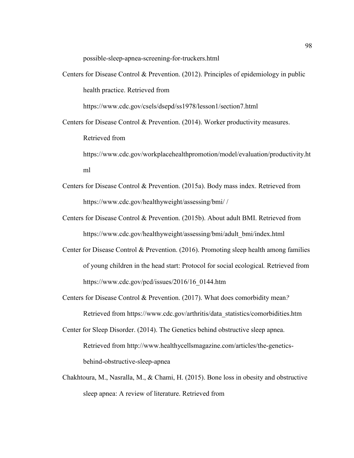possible-sleep-apnea-screening-for-truckers.html

Centers for Disease Control & Prevention. (2012). Principles of epidemiology in public health practice. Retrieved from

https://www.cdc.gov/csels/dsepd/ss1978/lesson1/section7.html

Centers for Disease Control & Prevention. (2014). Worker productivity measures. Retrieved from

https://www.cdc.gov/workplacehealthpromotion/model/evaluation/productivity.ht ml

- Centers for Disease Control & Prevention. (2015a). Body mass index. Retrieved from https://www.cdc.gov/healthyweight/assessing/bmi/ /
- Centers for Disease Control & Prevention. (2015b). About adult BMI. Retrieved from https://www.cdc.gov/healthyweight/assessing/bmi/adult\_bmi/index.html
- Center for Disease Control & Prevention. (2016). Promoting sleep health among families of young children in the head start: Protocol for social ecological*.* Retrieved from https://www.cdc.gov/pcd/issues/2016/16\_0144.htm
- Centers for Disease Control & Prevention. (2017). What does comorbidity mean*?* Retrieved from https://www.cdc.gov/arthritis/data\_statistics/comorbidities.htm
- Center for Sleep Disorder. (2014). The Genetics behind obstructive sleep apnea. Retrieved from http://www.healthycellsmagazine.com/articles/the-geneticsbehind-obstructive-sleep-apnea
- Chakhtoura, M., Nasralla, M., & Chami, H. (2015). Bone loss in obesity and obstructive sleep apnea: A review of literature. Retrieved from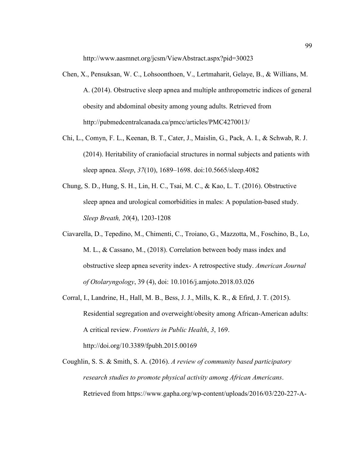http://www.aasmnet.org/jcsm/ViewAbstract.aspx?pid=30023

- Chen, X., Pensuksan, W. C., Lohsoonthoen, V., Lertmaharit, Gelaye, B., & Willians, M. A. (2014). Obstructive sleep apnea and multiple anthropometric indices of general obesity and abdominal obesity among young adults. Retrieved from http://pubmedcentralcanada.ca/pmcc/articles/PMC4270013/
- Chi, L., Comyn, F. L., Keenan, B. T., Cater, J., Maislin, G., Pack, A. I., & Schwab, R. J. (2014). Heritability of craniofacial structures in normal subjects and patients with sleep apnea. *Sleep*, *37*(10), 1689–1698. doi:10.5665/sleep.4082
- Chung, S. D., Hung, S. H., Lin, H. C., Tsai, M. C., & Kao, L. T. (2016). Obstructive sleep apnea and urological comorbidities in males: A population-based study. *Sleep Breath, 20*(4), 1203-1208
- Ciavarella, D., Tepedino, M., Chimenti, C., Troiano, G., Mazzotta, M., Foschino, B., Lo, M. L., & Cassano, M., (2018). Correlation between body mass index and obstructive sleep apnea severity index- A retrospective study. *American Journal of Otolaryngology*, 39 (4), doi: 10.1016/j.amjoto.2018.03.026
- Corral, I., Landrine, H., Hall, M. B., Bess, J. J., Mills, K. R., & Efird, J. T. (2015). Residential segregation and overweight/obesity among African-American adults: A critical review. *Frontiers in Public Health*, *3*, 169. http://doi.org/10.3389/fpubh.2015.00169
- Coughlin, S. S. & Smith, S. A. (2016). *A review of community based participatory research studies to promote physical activity among African Americans*. Retrieved from https://www.gapha.org/wp-content/uploads/2016/03/220-227-A-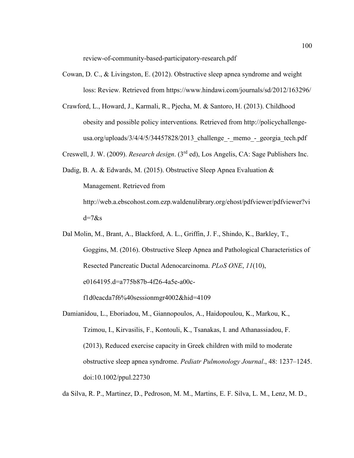review-of-community-based-participatory-research.pdf

- Cowan, D. C., & Livingston, E. (2012). Obstructive sleep apnea syndrome and weight loss: Review*.* Retrieved from https://www.hindawi.com/journals/sd/2012/163296/
- Crawford, L., Howard, J., Karmali, R., Pjecha, M. & Santoro, H. (2013). Childhood obesity and possible policy interventions*.* Retrieved from http://policychallengeusa.org/uploads/3/4/4/5/34457828/2013 challenge - memo - georgia tech.pdf
- Creswell, J. W. (2009). *Research design*. (3rd ed), Los Angelis, CA: Sage Publishers Inc.
- Dadig, B. A. & Edwards, M. (2015). Obstructive Sleep Apnea Evaluation & Management. Retrieved from http://web.a.ebscohost.com.ezp.waldenulibrary.org/ehost/pdfviewer/pdfviewer?vi  $d=7$ &s
- Dal Molin, M., Brant, A., Blackford, A. L., Griffin, J. F., Shindo, K., Barkley, T., Goggins, M. (2016). Obstructive Sleep Apnea and Pathological Characteristics of Resected Pancreatic Ductal Adenocarcinoma. *PLoS ONE*, *11*(10), e0164195.d=a775b87b-4f26-4a5e-a00c-

f1d0eacda7f6%40sessionmgr4002&hid=4109

Damianidou, L., Eboriadou, M., Giannopoulos, A., Haidopoulou, K., Markou, K., Tzimou, I., Kirvasilis, F., Kontouli, K., Tsanakas, I. and Athanassiadou, F. (2013), Reduced exercise capacity in Greek children with mild to moderate obstructive sleep apnea syndrome. *Pediatr Pulmonology Journal*., 48: 1237–1245. doi:10.1002/ppul.22730

da Silva, R. P., Martinez, D., Pedroson, M. M., Martins, E. F. Silva, L. M., Lenz, M. D.,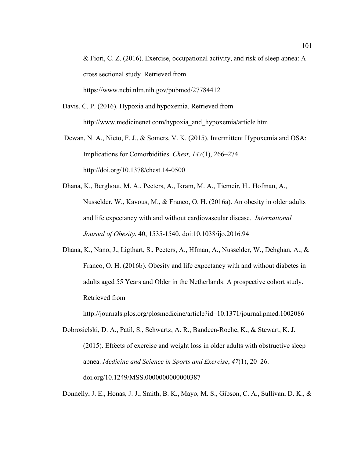& Fiori, C. Z. (2016). Exercise, occupational activity, and risk of sleep apnea: A cross sectional study*.* Retrieved from https://www.ncbi.nlm.nih.gov/pubmed/27784412

- Davis, C. P. (2016). Hypoxia and hypoxemia. Retrieved from http://www.medicinenet.com/hypoxia\_and\_hypoxemia/article.htm
- Dewan, N. A., Nieto, F. J., & Somers, V. K. (2015). Intermittent Hypoxemia and OSA: Implications for Comorbidities. *Chest*, *147*(1), 266–274. http://doi.org/10.1378/chest.14-0500
- Dhana, K., Berghout, M. A., Peeters, A., Ikram, M. A., Tiemeir, H., Hofman, A., Nusselder, W., Kavous, M., & Franco, O. H. (2016a). An obesity in older adults and life expectancy with and without cardiovascular disease. *International Journal of Obesity*, 40, 1535-1540. doi:10.1038/ijo.2016.94
- Dhana, K., Nano, J., Ligthart, S., Peeters, A., Hfman, A., Nusselder, W., Dehghan, A., & Franco, O. H. (2016b). Obesity and life expectancy with and without diabetes in adults aged 55 Years and Older in the Netherlands: A prospective cohort study. Retrieved from

http://journals.plos.org/plosmedicine/article?id=10.1371/journal.pmed.1002086

Dobrosielski, D. A., Patil, S., Schwartz, A. R., Bandeen-Roche, K., & Stewart, K. J. (2015). Effects of exercise and weight loss in older adults with obstructive sleep apnea. *Medicine and Science in Sports and Exercise*, *47*(1), 20–26. doi.org/10.1249/MSS.0000000000000387

Donnelly, J. E., Honas, J. J., Smith, B. K., Mayo, M. S., Gibson, C. A., Sullivan, D. K., &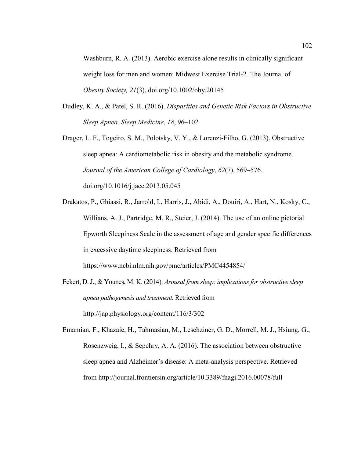Washburn, R. A. (2013). Aerobic exercise alone results in clinically significant weight loss for men and women: Midwest Exercise Trial-2. The Journal of *Obesity Society, 21*(3), doi.org/10.1002/oby.20145

- Dudley, K. A., & Patel, S. R. (2016). *Disparities and Genetic Risk Factors in Obstructive Sleep Apnea*. *Sleep Medicine*, *18*, 96–102.
- Drager, L. F., Togeiro, S. M., Polotsky, V. Y., & Lorenzi-Filho, G. (2013). Obstructive sleep apnea: A cardiometabolic risk in obesity and the metabolic syndrome. *Journal of the American College of Cardiology*, *62*(7), 569–576. doi.org/10.1016/j.jacc.2013.05.045
- Drakatos, P., Ghiassi, R., Jarrold, I., Harris, J., Abidi, A., Douiri, A., Hart, N., Kosky, C., Willians, A. J., Partridge, M. R., Steier, J. (2014). The use of an online pictorial Epworth Sleepiness Scale in the assessment of age and gender specific differences in excessive daytime sleepiness. Retrieved from https://www.ncbi.nlm.nih.gov/pmc/articles/PMC4454854/
- Eckert, D. J., & Younes, M. K. (2014). *Arousal from sleep: implications for obstructive sleep apnea pathogenesis and treatment.* Retrieved from http://jap.physiology.org/content/116/3/302
- Emamian, F., Khazaie, H., Tahmasian, M., Leschziner, G. D., Morrell, M. J., Hsiung, G., Rosenzweig, I., & Sepehry, A. A. (2016). The association between obstructive sleep apnea and Alzheimer's disease: A meta-analysis perspective. Retrieved from http://journal.frontiersin.org/article/10.3389/fnagi.2016.00078/full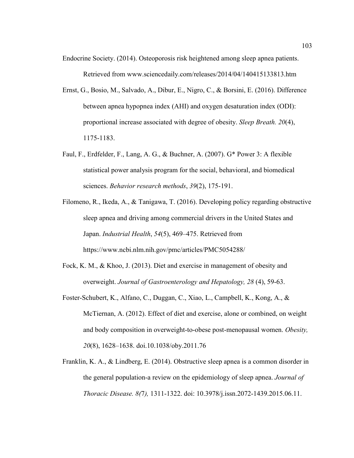- Endocrine Society. (2014). Osteoporosis risk heightened among sleep apnea patients. Retrieved from www.sciencedaily.com/releases/2014/04/140415133813.htm
- Ernst, G., Bosio, M., Salvado, A., Dibur, E., Nigro, C., & Borsini, E. (2016). Difference between apnea hypopnea index (AHI) and oxygen desaturation index (ODI): proportional increase associated with degree of obesity. *Sleep Breath. 20*(4), 1175-1183.
- Faul, F., Erdfelder, F., Lang, A. G., & Buchner, A. (2007). G\* Power 3: A flexible statistical power analysis program for the social, behavioral, and biomedical sciences. *Behavior research methods*, *39*(2), 175-191.
- Filomeno, R., Ikeda, A., & Tanigawa, T. (2016). Developing policy regarding obstructive sleep apnea and driving among commercial drivers in the United States and Japan. *Industrial Health*, *54*(5), 469–475. Retrieved from https://www.ncbi.nlm.nih.gov/pmc/articles/PMC5054288/
- Fock, K. M., & Khoo, J. (2013). Diet and exercise in management of obesity and overweight. *Journal of Gastroenterology and Hepatology, 28* (4), 59-63.
- Foster-Schubert, K., Alfano, C., Duggan, C., Xiao, L., Campbell, K., Kong, A., & McTiernan, A. (2012). Effect of diet and exercise, alone or combined, on weight and body composition in overweight-to-obese post-menopausal women. *Obesity, 20*(8), 1628–1638. doi.10.1038/oby.2011.76
- Franklin, K. A., & Lindberg, E. (2014). Obstructive sleep apnea is a common disorder in the general population-a review on the epidemiology of sleep apnea. *Journal of Thoracic Disease. 8(*7*),* 1311-1322. doi: 10.3978/j.issn.2072-1439.2015.06.11.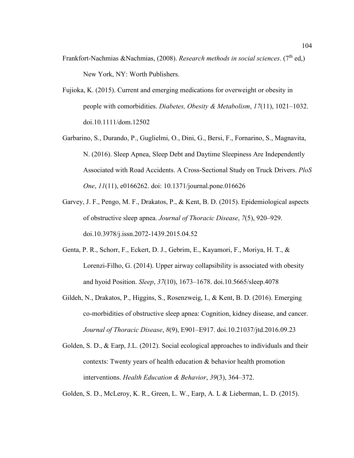- Frankfort-Nachmias &Nachmias, (2008). *Research methods in social sciences*. (7<sup>th</sup> ed,) New York, NY: Worth Publishers.
- Fujioka, K. (2015). Current and emerging medications for overweight or obesity in people with comorbidities. *Diabetes, Obesity & Metabolism*, *17*(11), 1021–1032. doi.10.1111/dom.12502
- Garbarino, S., Durando, P., Guglielmi, O., Dini, G., Bersi, F., Fornarino, S., Magnavita, N. (2016). Sleep Apnea, Sleep Debt and Daytime Sleepiness Are Independently Associated with Road Accidents. A Cross-Sectional Study on Truck Drivers. *PloS One*, *11*(11), e0166262. doi: 10.1371/journal.pone.016626
- Garvey, J. F., Pengo, M. F., Drakatos, P., & Kent, B. D. (2015). Epidemiological aspects of obstructive sleep apnea. *Journal of Thoracic Disease*, *7*(5), 920–929. doi.10.3978/j.issn.2072-1439.2015.04.52
- Genta, P. R., Schorr, F., Eckert, D. J., Gebrim, E., Kayamori, F., Moriya, H. T., & Lorenzi-Filho, G. (2014). Upper airway collapsibility is associated with obesity and hyoid Position. *Sleep*, *37*(10), 1673–1678. doi.10.5665/sleep.4078
- Gildeh, N., Drakatos, P., Higgins, S., Rosenzweig, I., & Kent, B. D. (2016). Emerging co-morbidities of obstructive sleep apnea: Cognition, kidney disease, and cancer. *Journal of Thoracic Disease*, *8*(9), E901–E917. doi.10.21037/jtd.2016.09.23
- Golden, S. D., & Earp, J.L. (2012). Social ecological approaches to individuals and their contexts: Twenty years of health education & behavior health promotion interventions. *Health Education & Behavior*, *39*(3), 364–372.

Golden, S. D., McLeroy, K. R., Green, L. W., Earp, A. L & Lieberman, L. D. (2015).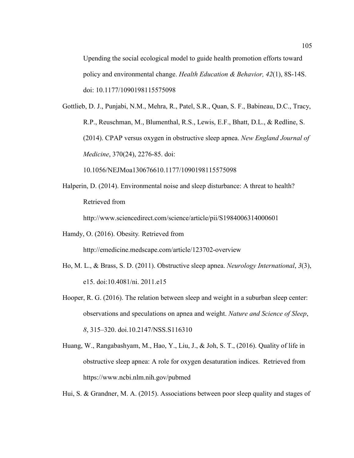Upending the social ecological model to guide health promotion efforts toward policy and environmental change. *Health Education & Behavior, 42*(1), 8S-14S. doi: 10.1177/1090198115575098

Gottlieb, D. J., Punjabi, N.M., Mehra, R., Patel, S.R., Quan, S. F., Babineau, D.C., Tracy, R.P., Reuschman, M., Blumenthal, R.S., Lewis, E.F., Bhatt, D.L., & Redline, S. (2014). CPAP versus oxygen in obstructive sleep apnea. *New England Journal of Medicine*, 370(24), 2276-85. doi:

10.1056/NEJMoa130676610.1177/1090198115575098

Halperin, D. (2014). Environmental noise and sleep disturbance: A threat to health? Retrieved from

http://www.sciencedirect.com/science/article/pii/S1984006314000601

Hamdy, O. (2016). Obesity*.* Retrieved from

http://emedicine.medscape.com/article/123702-overview

- Ho, M. L., & Brass, S. D. (2011). Obstructive sleep apnea. *Neurology International*, *3*(3), e15. doi:10.4081/ni. 2011.e15
- Hooper, R. G. (2016). The relation between sleep and weight in a suburban sleep center: observations and speculations on apnea and weight. *Nature and Science of Sleep*, *8*, 315–320. doi.10.2147/NSS.S116310
- Huang, W., Rangabashyam, M., Hao, Y., Liu, J., & Joh, S. T., (2016). Quality of life in obstructive sleep apnea: A role for oxygen desaturation indices. Retrieved from https://www.ncbi.nlm.nih.gov/pubmed

Hui, S. & Grandner, M. A. (2015). Associations between poor sleep quality and stages of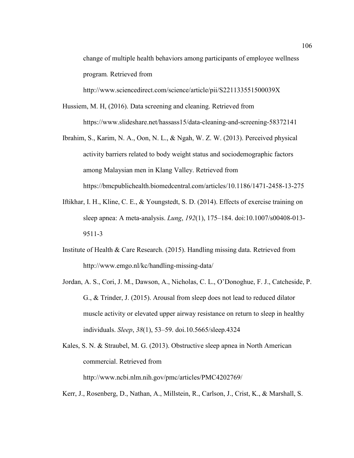change of multiple health behaviors among participants of employee wellness program*.* Retrieved from

http://www.sciencedirect.com/science/article/pii/S221133551500039X

- Hussiem, M. H, (2016). Data screening and cleaning. Retrieved from https://www.slideshare.net/hassass15/data-cleaning-and-screening-58372141
- Ibrahim, S., Karim, N. A., Oon, N. L., & Ngah, W. Z. W. (2013). Perceived physical activity barriers related to body weight status and sociodemographic factors among Malaysian men in Klang Valley. Retrieved from https://bmcpublichealth.biomedcentral.com/articles/10.1186/1471-2458-13-275
- Iftikhar, I. H., Kline, C. E., & Youngstedt, S. D. (2014). Effects of exercise training on sleep apnea: A meta-analysis. *Lung*, *192*(1), 175–184. doi:10.1007/s00408-013- 9511-3
- Institute of Health & Care Research. (2015). Handling missing data. Retrieved from http://www.emgo.nl/kc/handling-missing-data/
- Jordan, A. S., Cori, J. M., Dawson, A., Nicholas, C. L., O'Donoghue, F. J., Catcheside, P. G., & Trinder, J. (2015). Arousal from sleep does not lead to reduced dilator muscle activity or elevated upper airway resistance on return to sleep in healthy individuals. *Sleep*, *38*(1), 53–59. doi.10.5665/sleep.4324
- Kales, S. N. & Straubel, M. G. (2013). Obstructive sleep apnea in North American commercial. Retrieved from http://www.ncbi.nlm.nih.gov/pmc/articles/PMC4202769/
- Kerr, J., Rosenberg, D., Nathan, A., Millstein, R., Carlson, J., Crist, K., & Marshall, S.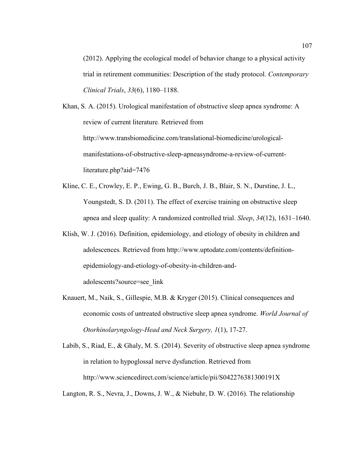(2012). Applying the ecological model of behavior change to a physical activity trial in retirement communities: Description of the study protocol. *Contemporary Clinical Trials*, *33*(6), 1180–1188.

Khan, S. A. (2015). Urological manifestation of obstructive sleep apnea syndrome: A review of current literature*.* Retrieved from http://www.transbiomedicine.com/translational-biomedicine/urologicalmanifestations-of-obstructive-sleep-apneasyndrome-a-review-of-currentliterature.php?aid=7476

- Kline, C. E., Crowley, E. P., Ewing, G. B., Burch, J. B., Blair, S. N., Durstine, J. L., Youngstedt, S. D. (2011). The effect of exercise training on obstructive sleep apnea and sleep quality: A randomized controlled trial. *Sleep*, *34*(12), 1631–1640.
- Klish, W. J. (2016). Definition, epidemiology, and etiology of obesity in children and adolescences*.* Retrieved from http://www.uptodate.com/contents/definitionepidemiology-and-etiology-of-obesity-in-children-andadolescents?source=see\_link
- Knauert, M., Naik, S., Gillespie, M.B. & Kryger (2015). Clinical consequences and economic costs of untreated obstructive sleep apnea syndrome. *World Journal of Otorhinolaryngology-Head and Neck Surgery, 1*(1), 17-27.

Labib, S., Riad, E., & Ghaly, M. S. (2014). Severity of obstructive sleep apnea syndrome in relation to hypoglossal nerve dysfunction. Retrieved from http://www.sciencedirect.com/science/article/pii/S042276381300191X

Langton, R. S., Nevra, J., Downs, J. W., & Niebuhr, D. W. (2016). The relationship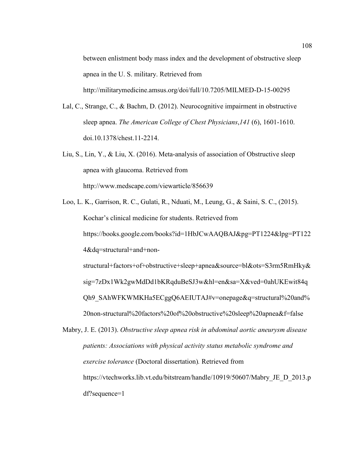between enlistment body mass index and the development of obstructive sleep apnea in the U. S. military. Retrieved from http://militarymedicine.amsus.org/doi/full/10.7205/MILMED-D-15-00295

- Lal, C., Strange, C., & Bachm, D. (2012). Neurocognitive impairment in obstructive sleep apnea. *The American College of Chest Physicians*,*141* (6), 1601-1610. doi.10.1378/chest.11-2214.
- Liu, S., Lin, Y., & Liu, X. (2016). Meta-analysis of association of Obstructive sleep apnea with glaucoma. Retrieved from http://www.medscape.com/viewarticle/856639
- Loo, L. K., Garrison, R. C., Gulati, R., Nduati, M., Leung, G., & Saini, S. C., (2015). Kochar's clinical medicine for students. Retrieved from https://books.google.com/books?id=1HbJCwAAQBAJ&pg=PT1224&lpg=PT122 4&dq=structural+and+nonstructural+factors+of+obstructive+sleep+apnea&source=bl&ots=S3rm5RmHky& sig=7zDx1Wk2gwMdDd1bKRqduBeSJ3w&hl=en&sa=X&ved=0ahUKEwit84q Qh9\_SAhWFKWMKHa5ECggQ6AEIUTAJ#v=onepage&q=structural%20and% 20non-structural%20factors%20of%20obstructive%20sleep%20apnea&f=false

Mabry, J. E. (2013). *Obstructive sleep apnea risk in abdominal aortic aneurysm disease patients: Associations with physical activity status metabolic syndrome and exercise tolerance* (Doctoral dissertation)*.* Retrieved from https://vtechworks.lib.vt.edu/bitstream/handle/10919/50607/Mabry\_JE\_D\_2013.p df?sequence=1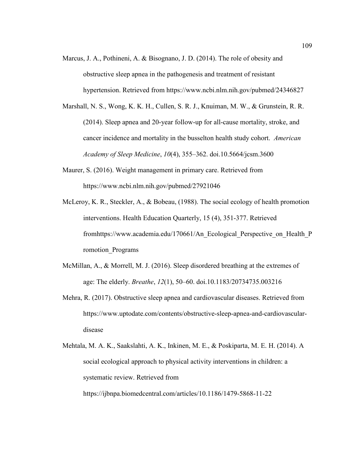- Marcus, J. A., Pothineni, A. & Bisognano, J. D. (2014). The role of obesity and obstructive sleep apnea in the pathogenesis and treatment of resistant hypertension. Retrieved from https://www.ncbi.nlm.nih.gov/pubmed/24346827
- Marshall, N. S., Wong, K. K. H., Cullen, S. R. J., Knuiman, M. W., & Grunstein, R. R. (2014). Sleep apnea and 20-year follow-up for all-cause mortality, stroke, and cancer incidence and mortality in the busselton health study cohort. *American Academy of Sleep Medicine*, *10*(4), 355–362. doi.10.5664/jcsm.3600
- Maurer, S. (2016). Weight management in primary care. Retrieved from https://www.ncbi.nlm.nih.gov/pubmed/27921046
- McLeroy, K. R., Steckler, A., & Bobeau, (1988). The social ecology of health promotion interventions. Health Education Quarterly, 15 (4), 351-377. Retrieved fromhttps://www.academia.edu/170661/An\_Ecological\_Perspective\_on\_Health\_P romotion\_Programs
- McMillan, A., & Morrell, M. J. (2016). Sleep disordered breathing at the extremes of age: The elderly. *Breathe*, *12*(1), 50–60. doi.10.1183/20734735.003216
- Mehra, R. (2017). Obstructive sleep apnea and cardiovascular diseases. Retrieved from https://www.uptodate.com/contents/obstructive-sleep-apnea-and-cardiovasculardisease
- Mehtala, M. A. K., Saakslahti, A. K., Inkinen, M. E., & Poskiparta, M. E. H. (2014). A social ecological approach to physical activity interventions in children: a systematic review. Retrieved from https://ijbnpa.biomedcentral.com/articles/10.1186/1479-5868-11-22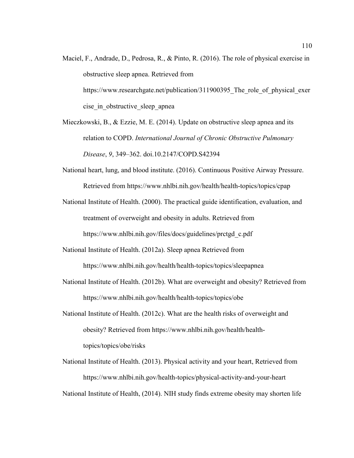- Maciel, F., Andrade, D., Pedrosa, R., & Pinto, R. (2016). The role of physical exercise in obstructive sleep apnea. Retrieved from https://www.researchgate.net/publication/311900395 The role of physical exer cise in obstructive sleep apnea
- Mieczkowski, B.,  $\&$  Ezzie, M. E. (2014). Update on obstructive sleep apnea and its relation to COPD. *International Journal of Chronic Obstructive Pulmonary Disease*, *9*, 349–362. doi.10.2147/COPD.S42394
- National heart, lung, and blood institute. (2016). Continuous Positive Airway Pressure. Retrieved from https://www.nhlbi.nih.gov/health/health-topics/topics/cpap
- National Institute of Health. (2000). The practical guide identification, evaluation, and treatment of overweight and obesity in adults. Retrieved from https://www.nhlbi.nih.gov/files/docs/guidelines/prctgd\_c.pdf
- National Institute of Health. (2012a). Sleep apnea Retrieved from https://www.nhlbi.nih.gov/health/health-topics/topics/sleepapnea
- National Institute of Health. (2012b). What are overweight and obesity? Retrieved from https://www.nhlbi.nih.gov/health/health-topics/topics/obe
- National Institute of Health. (2012c). What are the health risks of overweight and obesity? Retrieved from https://www.nhlbi.nih.gov/health/healthtopics/topics/obe/risks
- National Institute of Health. (2013). Physical activity and your heart, Retrieved from https://www.nhlbi.nih.gov/health-topics/physical-activity-and-your-heart National Institute of Health, (2014). NIH study finds extreme obesity may shorten life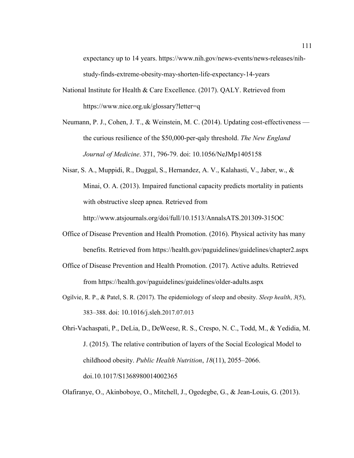expectancy up to 14 years. https://www.nih.gov/news-events/news-releases/nihstudy-finds-extreme-obesity-may-shorten-life-expectancy-14-years

- National Institute for Health & Care Excellence. (2017). QALY. Retrieved from https://www.nice.org.uk/glossary?letter=q
- Neumann, P. J., Cohen, J. T., & Weinstein, M. C. (2014). Updating cost-effectiveness the curious resilience of the \$50,000-per-qaly threshold. *The New England Journal of Medicine*. 371, 796-79. doi: 10.1056/NeJMp1405158
- Nisar, S. A., Muppidi, R., Duggal, S., Hernandez, A. V., Kalahasti, V., Jaber, w., & Minai, O. A. (2013). Impaired functional capacity predicts mortality in patients with obstructive sleep apnea. Retrieved from http://www.atsjournals.org/doi/full/10.1513/AnnalsATS.201309-315OC
- Office of Disease Prevention and Health Promotion. (2016). Physical activity has many benefits. Retrieved from https://health.gov/paguidelines/guidelines/chapter2.aspx
- Office of Disease Prevention and Health Promotion. (2017). Active adults. Retrieved from https://health.gov/paguidelines/guidelines/older-adults.aspx
- Ogilvie, R. P., & Patel, S. R. (2017). The epidemiology of sleep and obesity. *Sleep health*, *3*(5), 383–388. doi: 10.1016/j.sleh.2017.07.013

Ohri-Vachaspati, P., DeLia, D., DeWeese, R. S., Crespo, N. C., Todd, M., & Yedidia, M. J. (2015). The relative contribution of layers of the Social Ecological Model to childhood obesity. *Public Health Nutrition*, *18*(11), 2055–2066. doi.10.1017/S1368980014002365

Olafiranye, O., Akinboboye, O., Mitchell, J., Ogedegbe, G., & Jean-Louis, G. (2013).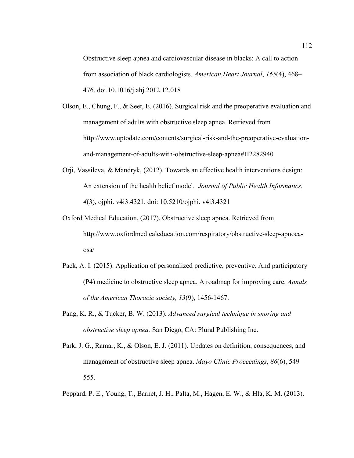Obstructive sleep apnea and cardiovascular disease in blacks: A call to action from association of black cardiologists. *American Heart Journal*, *165*(4), 468– 476. doi.10.1016/j.ahj.2012.12.018

- Olson, E., Chung, F., & Seet, E. (2016). Surgical risk and the preoperative evaluation and management of adults with obstructive sleep apnea*.* Retrieved from http://www.uptodate.com/contents/surgical-risk-and-the-preoperative-evaluationand-management-of-adults-with-obstructive-sleep-apnea#H2282940
- Orji, Vassileva, & Mandryk, (2012). Towards an effective health interventions design: An extension of the health belief model. *Journal of Public Health Informatics. 4*(3), ojphi. v4i3.4321. doi: 10.5210/ojphi. v4i3.4321
- Oxford Medical Education, (2017). Obstructive sleep apnea. Retrieved from http://www.oxfordmedicaleducation.com/respiratory/obstructive-sleep-apnoeaosa/
- Pack, A. I. (2015). Application of personalized predictive, preventive. And participatory (P4) medicine to obstructive sleep apnea. A roadmap for improving care. *Annals of the American Thoracic society, 13*(9), 1456-1467.
- Pang, K. R., & Tucker, B. W. (2013). *Advanced surgical technique in snoring and obstructive sleep apnea.* San Diego, CA: Plural Publishing Inc.
- Park, J. G., Ramar, K., & Olson, E. J. (2011). Updates on definition, consequences, and management of obstructive sleep apnea. *Mayo Clinic Proceedings*, *86*(6), 549– 555.
- Peppard, P. E., Young, T., Barnet, J. H., Palta, M., Hagen, E. W., & Hla, K. M. (2013).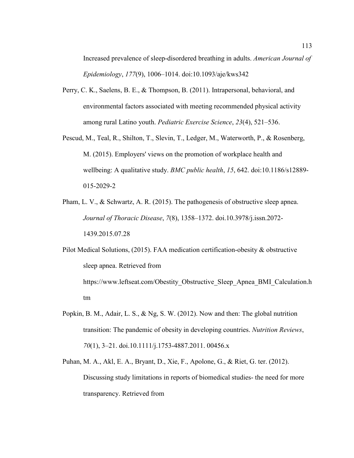Increased prevalence of sleep-disordered breathing in adults. *American Journal of Epidemiology*, *177*(9), 1006–1014. doi:10.1093/aje/kws342

- Perry, C. K., Saelens, B. E., & Thompson, B. (2011). Intrapersonal, behavioral, and environmental factors associated with meeting recommended physical activity among rural Latino youth. *Pediatric Exercise Science*, *23*(4), 521–536.
- Pescud, M., Teal, R., Shilton, T., Slevin, T., Ledger, M., Waterworth, P., & Rosenberg, M. (2015). Employers' views on the promotion of workplace health and wellbeing: A qualitative study. *BMC public health*, *15*, 642. doi:10.1186/s12889- 015-2029-2
- Pham, L. V., & Schwartz, A. R. (2015). The pathogenesis of obstructive sleep apnea. *Journal of Thoracic Disease*, *7*(8), 1358–1372. doi.10.3978/j.issn.2072- 1439.2015.07.28

Pilot Medical Solutions, (2015). FAA medication certification-obesity & obstructive sleep apnea. Retrieved from https://www.leftseat.com/Obestity\_Obstructive\_Sleep\_Apnea\_BMI\_Calculation.h tm

Popkin, B. M., Adair, L. S., & Ng, S. W. (2012). Now and then: The global nutrition transition: The pandemic of obesity in developing countries. *Nutrition Reviews*, *70*(1), 3–21. doi.10.1111/j.1753-4887.2011. 00456.x

Puhan, M. A., Akl, E. A., Bryant, D., Xie, F., Apolone, G., & Riet, G. ter. (2012). Discussing study limitations in reports of biomedical studies- the need for more transparency. Retrieved from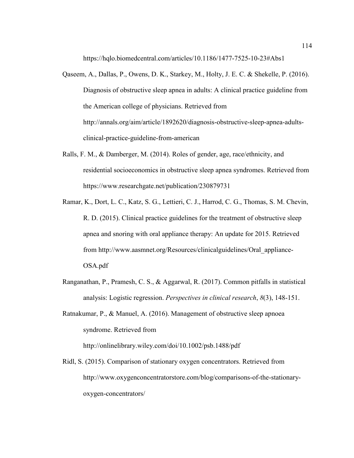https://hqlo.biomedcentral.com/articles/10.1186/1477-7525-10-23#Abs1

- Qaseem, A., Dallas, P., Owens, D. K., Starkey, M., Holty, J. E. C. & Shekelle, P. (2016). Diagnosis of obstructive sleep apnea in adults: A clinical practice guideline from the American college of physicians. Retrieved from http://annals.org/aim/article/1892620/diagnosis-obstructive-sleep-apnea-adultsclinical-practice-guideline-from-american
- Ralls, F. M., & Damberger, M. (2014). Roles of gender, age, race/ethnicity, and residential socioeconomics in obstructive sleep apnea syndromes. Retrieved from https://www.researchgate.net/publication/230879731
- Ramar, K., Dort, L. C., Katz, S. G., Lettieri, C. J., Harrod, C. G., Thomas, S. M. Chevin, R. D. (2015). Clinical practice guidelines for the treatment of obstructive sleep apnea and snoring with oral appliance therapy: An update for 2015. Retrieved from http://www.aasmnet.org/Resources/clinicalguidelines/Oral\_appliance-OSA.pdf
- Ranganathan, P., Pramesh, C. S., & Aggarwal, R. (2017). Common pitfalls in statistical analysis: Logistic regression. *Perspectives in clinical research*, *8*(3), 148-151.
- Ratnakumar, P., & Manuel, A. (2016). Management of obstructive sleep apnoea syndrome. Retrieved from

http://onlinelibrary.wiley.com/doi/10.1002/psb.1488/pdf

Ridl, S. (2015). Comparison of stationary oxygen concentrators. Retrieved from http://www.oxygenconcentratorstore.com/blog/comparisons-of-the-stationaryoxygen-concentrators/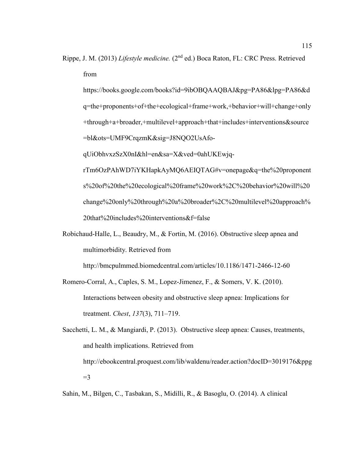Rippe, J. M. (2013) *Lifestyle medicine.* (2nd ed.) Boca Raton, FL: CRC Press. Retrieved from

https://books.google.com/books?id=9ibOBQAAQBAJ&pg=PA86&lpg=PA86&d q=the+proponents+of+the+ecological+frame+work,+behavior+will+change+only +through+a+broader,+multilevel+approach+that+includes+interventions&source =bl&ots=UMF9CrqzmK&sig=J8NQO2UsAfo-

qUiObhvxzSzX0nI&hl=en&sa=X&ved=0ahUKEwjq-

rTm6OzPAhWD7iYKHapkAyMQ6AEIQTAG#v=onepage&q=the%20proponent s%20of%20the%20ecological%20frame%20work%2C%20behavior%20will%20 change%20only%20through%20a%20broader%2C%20multilevel%20approach% 20that%20includes%20interventions&f=false

Robichaud-Halle, L., Beaudry, M., & Fortin, M. (2016). Obstructive sleep apnea and multimorbidity. Retrieved from

http://bmcpulmmed.biomedcentral.com/articles/10.1186/1471-2466-12-60

- Romero-Corral, A., Caples, S. M., Lopez-Jimenez, F., & Somers, V. K. (2010). Interactions between obesity and obstructive sleep apnea: Implications for treatment. *Chest*, *137*(3), 711–719.
- Sacchetti, L. M., & Mangiardi, P. (2013). Obstructive sleep apnea: Causes, treatments, and health implications. Retrieved from http://ebookcentral.proquest.com/lib/waldenu/reader.action?docID=3019176&ppg  $=$ 3

Sahin, M., Bilgen, C., Tasbakan, S., Midilli, R., & Basoglu, O. (2014). A clinical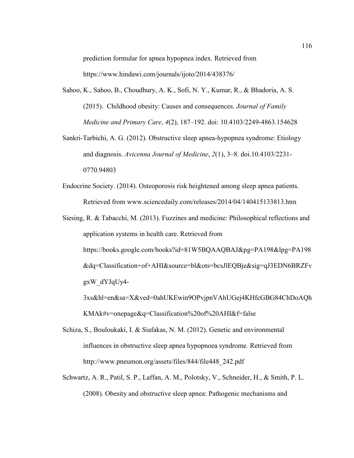prediction formular for apnea hypopnea index*.* Retrieved from https://www.hindawi.com/journals/ijoto/2014/438376/

- Sahoo, K., Sahoo, B., Choudhury, A. K., Sofi, N. Y., Kumar, R., & Bhadoria, A. S. (2015). Childhood obesity: Causes and consequences. *Journal of Family Medicine and Primary Care*, *4*(2), 187–192. doi: 10.4103/2249-4863.154628
- Sankri-Tarbichi, A. G. (2012). Obstructive sleep apnea-hypopnea syndrome: Etiology and diagnosis. *Avicenna Journal of Medicine*, *2*(1), 3–8. doi.10.4103/2231- 0770.94803
- Endocrine Society. (2014). Osteoporosis risk heightened among sleep apnea patients. Retrieved from www.sciencedaily.com/releases/2014/04/140415133813.htm

Siesing, R. & Tabacchi, M. (2013). Fuzzines and medicine: Philosophical reflections and application systems in health care. Retrieved from https://books.google.com/books?id=81W5BQAAQBAJ&pg=PA198&lpg=PA198 &dq=Classification+of+AHI&source=bl&ots=bcsJlEQBje&sig=qJ3EDN6BRZFv gxW\_dYJqUy4- 3xs&hl=en&sa=X&ved=0ahUKEwin9OPvjpnVAhUGej4KHfcGBG84ChDoAQh

KMAk#v=onepage&q=Classification%20of%20AHI&f=false

- Schiza, S., Bouloukaki, I. & Siafakas, N. M. (2012). Genetic and environmental influences in obstructive sleep apnea hypopnoea syndrome*.* Retrieved from http://www.pneumon.org/assets/files/844/file448\_242.pdf
- Schwartz, A. R., Patil, S. P., Laffan, A. M., Polotsky, V., Schneider, H., & Smith, P. L. (2008). Obesity and obstructive sleep apnea: Pathogenic mechanisms and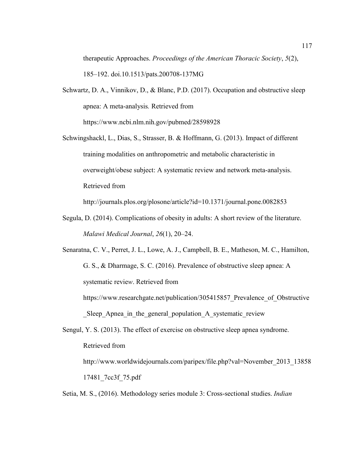therapeutic Approaches. *Proceedings of the American Thoracic Society*, *5*(2), 185–192. doi.10.1513/pats.200708-137MG

- Schwartz, D. A., Vinnikov, D., & Blanc, P.D. (2017). Occupation and obstructive sleep apnea: A meta-analysis*.* Retrieved from https://www.ncbi.nlm.nih.gov/pubmed/28598928
- Schwingshackl, L., Dias, S., Strasser, B. & Hoffmann, G. (2013). Impact of different training modalities on anthropometric and metabolic characteristic in overweight/obese subject: A systematic review and network meta-analysis. Retrieved from

http://journals.plos.org/plosone/article?id=10.1371/journal.pone.0082853

- Segula, D. (2014). Complications of obesity in adults: A short review of the literature. *Malawi Medical Journal*, *26*(1), 20–24.
- Senaratna, C. V., Perret, J. L., Lowe, A. J., Campbell, B. E., Matheson, M. C., Hamilton, G. S., & Dharmage, S. C. (2016). Prevalence of obstructive sleep apnea: A systematic revie*w*. Retrieved from

https://www.researchgate.net/publication/305415857 Prevalence of Obstructive Sleep Apnea in the general population A systematic review

Sengul, Y. S. (2013). The effect of exercise on obstructive sleep apnea syndrome. Retrieved from

http://www.worldwidejournals.com/paripex/file.php?val=November\_2013\_13858 17481\_7cc3f\_75.pdf

Setia, M. S., (2016). Methodology series module 3: Cross-sectional studies. *Indian*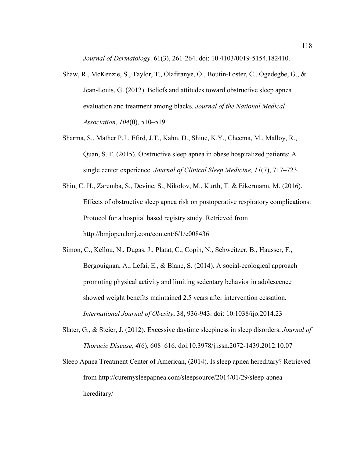*Journal of Dermatology*. 61(3), 261-264. doi: 10.4103/0019-5154.182410.

- Shaw, R., McKenzie, S., Taylor, T., Olafiranye, O., Boutin-Foster, C., Ogedegbe, G., & Jean-Louis, G. (2012). Beliefs and attitudes toward obstructive sleep apnea evaluation and treatment among blacks. *Journal of the National Medical Association*, *104*(0), 510–519.
- Sharma, S., Mather P.J., Efird, J.T., Kahn, D., Shiue, K.Y., Cheema, M., Malloy, R., Quan, S. F. (2015). Obstructive sleep apnea in obese hospitalized patients: A single center experience. *Journal of Clinical Sleep Medicine, 11*(7), 717–723.
- Shin, C. H., Zaremba, S., Devine, S., Nikolov, M., Kurth, T. & Eikermann, M. (2016). Effects of obstructive sleep apnea risk on postoperative respiratory complications: Protocol for a hospital based registry study. Retrieved from http://bmjopen.bmj.com/content/6/1/e008436
- Simon, C., Kellou, N., Dugas, J., Platat, C., Copin, N., Schweitzer, B., Hausser, F., Bergouignan, A., Lefai, E., & Blanc, S. (2014). A social-ecological approach promoting physical activity and limiting sedentary behavior in adolescence showed weight benefits maintained 2.5 years after intervention cessation. *International Journal of Obesity*, 38, 936-943. doi: 10.1038/ijo.2014.23
- Slater, G., & Steier, J. (2012). Excessive daytime sleepiness in sleep disorders. *Journal of Thoracic Disease*, *4*(6), 608–616. doi.10.3978/j.issn.2072-1439.2012.10.07
- Sleep Apnea Treatment Center of American, (2014). Is sleep apnea hereditary? Retrieved from http://curemysleepapnea.com/sleepsource/2014/01/29/sleep-apneahereditary/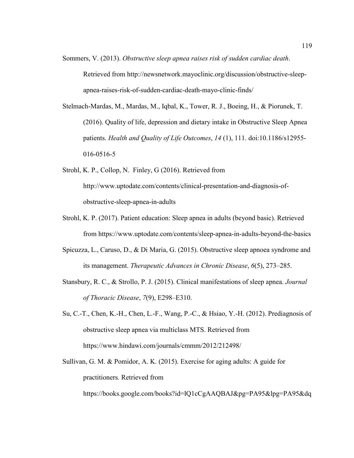- Sommers, V. (2013). *Obstructive sleep apnea raises risk of sudden cardiac death*. Retrieved from http://newsnetwork.mayoclinic.org/discussion/obstructive-sleepapnea-raises-risk-of-sudden-cardiac-death-mayo-clinic-finds/
- Stelmach-Mardas, M., Mardas, M., Iqbal, K., Tower, R. J., Boeing, H., & Piorunek, T. (2016). Quality of life, depression and dietary intake in Obstructive Sleep Apnea patients. *Health and Quality of Life Outcomes*, *14* (1), 111. doi:10.1186/s12955- 016-0516-5
- Strohl, K. P., Collop, N. Finley, G (2016). Retrieved from http://www.uptodate.com/contents/clinical-presentation-and-diagnosis-ofobstructive-sleep-apnea-in-adults
- Strohl, K. P. (2017). Patient education: Sleep apnea in adults (beyond basic). Retrieved from https://www.uptodate.com/contents/sleep-apnea-in-adults-beyond-the-basics
- Spicuzza, L., Caruso, D., & Di Maria, G. (2015). Obstructive sleep apnoea syndrome and its management. *Therapeutic Advances in Chronic Disease*, *6*(5), 273–285.
- Stansbury, R. C., & Strollo, P. J. (2015). Clinical manifestations of sleep apnea. *Journal of Thoracic Disease*, *7*(9), E298–E310.
- Su, C.-T., Chen, K.-H., Chen, L.-F., Wang, P.-C., & Hsiao, Y.-H. (2012). Prediagnosis of obstructive sleep apnea via multiclass MTS. Retrieved from https://www.hindawi.com/journals/cmmm/2012/212498/
- Sullivan, G. M. & Pomidor, A. K. (2015). Exercise for aging adults: A guide for practitioners*.* Retrieved from https://books.google.com/books?id=lQ1cCgAAQBAJ&pg=PA95&lpg=PA95&dq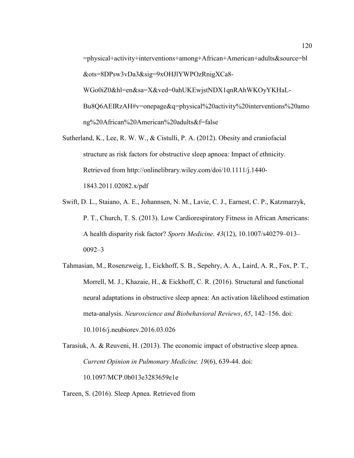=physical+activity+interventions+among+African+American+adults&source=bl &ots=8DPsw3vDa3&sig=9xOHJlYWPOzRnigXCa8- WGo0iZ0&hl=en&sa=X&ved=0ahUKEwjstNDX1qnRAhWKOyYKHaL-Bu8Q6AEIRzAH#v=onepage&q=physical%20activity%20interventions%20amo ng%20African%20American%20adults&f=false

- Sutherland, K., Lee, R. W. W., & Cistulli, P. A. (2012). Obesity and craniofacial structure as risk factors for obstructive sleep apnoea: Impact of ethnicity. Retrieved from http://onlinelibrary.wiley.com/doi/10.1111/j.1440- 1843.2011.02082.x/pdf
- Swift, D. L., Staiano, A. E., Johannsen, N. M., Lavie, C. J., Earnest, C. P., Katzmarzyk, P. T., Church, T. S. (2013). Low Cardiorespiratory Fitness in African Americans: A health disparity risk factor? *Sports Medicine. 43*(12), 10.1007/s40279–013– 0092–3
- Tahmasian, M., Rosenzweig, I., Eickhoff, S. B., Sepehry, A. A., Laird, A. R., Fox, P. T., Morrell, M. J., Khazaie, H., & Eickhoff, C. R. (2016). Structural and functional neural adaptations in obstructive sleep apnea: An activation likelihood estimation meta-analysis. *Neuroscience and Biobehavioral Reviews*, *65*, 142–156. doi: 10.1016/j.neubiorev.2016.03.026

Tarasiuk, A. & Reuveni, H. (2013). The economic impact of obstructive sleep apnea. *Current Opinion in Pulmonary Medicine. 19*(6), 639-44. doi: 10.1097/MCP.0b013e3283659e1e

Tareen, S. (2016). Sleep Apnea. Retrieved from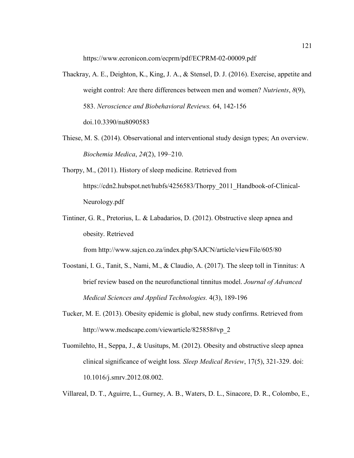https://www.ecronicon.com/ecprm/pdf/ECPRM-02-00009.pdf

- Thackray, A. E., Deighton, K., King, J. A., & Stensel, D. J. (2016). Exercise, appetite and weight control: Are there differences between men and women? *Nutrients*, *8*(9), 583. *Neroscience and Biobehavioral Reviews.* 64, 142-156 doi.10.3390/nu8090583
- Thiese, M. S. (2014). Observational and interventional study design types; An overview. *Biochemia Medica*, *24*(2), 199–210.
- Thorpy, M., (2011). History of sleep medicine. Retrieved from https://cdn2.hubspot.net/hubfs/4256583/Thorpy\_2011\_Handbook-of-Clinical-Neurology.pdf
- Tintiner, G. R., Pretorius, L. & Labadarios, D. (2012). Obstructive sleep apnea and obesity. Retrieved

from http://www.sajcn.co.za/index.php/SAJCN/article/viewFile/605/80

- Toostani, I. G., Tanit, S., Nami, M., & Claudio, A. (2017). The sleep toll in Tinnitus: A brief review based on the neurofunctional tinnitus model. *Journal of Advanced Medical Sciences and Applied Technologies.* 4(3), 189-196
- Tucker, M. E. (2013). Obesity epidemic is global, new study confirms. Retrieved from http://www.medscape.com/viewarticle/825858#vp\_2
- Tuomilehto, H., Seppa, J., & Uusitups, M. (2012). Obesity and obstructive sleep apnea clinical significance of weight loss*. Sleep Medical Review*, 17(5), 321-329. doi: 10.1016/j.smrv.2012.08.002.

Villareal, D. T., Aguirre, L., Gurney, A. B., Waters, D. L., Sinacore, D. R., Colombo, E.,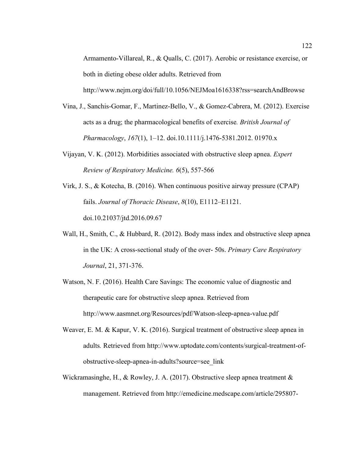Armamento-Villareal, R., & Qualls, C. (2017). Aerobic or resistance exercise, or both in dieting obese older adults. Retrieved from http://www.nejm.org/doi/full/10.1056/NEJMoa1616338?rss=searchAndBrowse

- Vina, J., Sanchis-Gomar, F., Martinez-Bello, V., & Gomez-Cabrera, M. (2012). Exercise acts as a drug; the pharmacological benefits of exercise*. British Journal of Pharmacology*, *167*(1), 1–12. doi.10.1111/j.1476-5381.2012. 01970.x
- Vijayan, V. K. (2012). Morbidities associated with obstructive sleep apnea. *Expert Review of Respiratory Medicine. 6*(5), 557-566
- Virk, J. S., & Kotecha, B. (2016). When continuous positive airway pressure (CPAP) fails. *Journal of Thoracic Disease*, *8*(10), E1112–E1121. doi.10.21037/jtd.2016.09.67
- Wall, H., Smith, C., & Hubbard, R. (2012). Body mass index and obstructive sleep apnea in the UK: A cross-sectional study of the over- 50s. *Primary Care Respiratory Journal*, 21, 371-376.
- Watson, N. F. (2016). Health Care Savings: The economic value of diagnostic and therapeutic care for obstructive sleep apnea. Retrieved from http://www.aasmnet.org/Resources/pdf/Watson-sleep-apnea-value.pdf
- Weaver, E. M. & Kapur, V. K. (2016). Surgical treatment of obstructive sleep apnea in adults*.* Retrieved from http://www.uptodate.com/contents/surgical-treatment-ofobstructive-sleep-apnea-in-adults?source=see\_link
- Wickramasinghe, H., & Rowley, J. A. (2017). Obstructive sleep apnea treatment & management. Retrieved from http://emedicine.medscape.com/article/295807-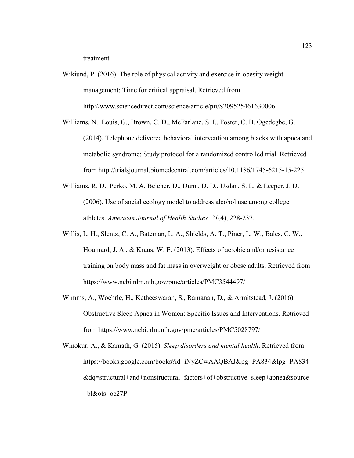treatment

- Wikiund, P. (2016). The role of physical activity and exercise in obesity weight management: Time for critical appraisal. Retrieved from http://www.sciencedirect.com/science/article/pii/S209525461630006
- Williams, N., Louis, G., Brown, C. D., McFarlane, S. I., Foster, C. B. Ogedegbe, G. (2014). Telephone delivered behavioral intervention among blacks with apnea and metabolic syndrome: Study protocol for a randomized controlled trial. Retrieved from http://trialsjournal.biomedcentral.com/articles/10.1186/1745-6215-15-225
- Williams, R. D., Perko, M. A, Belcher, D., Dunn, D. D., Usdan, S. L. & Leeper, J. D. (2006). Use of social ecology model to address alcohol use among college athletes. *American Journal of Health Studies, 21*(4), 228-237.
- Willis, L. H., Slentz, C. A., Bateman, L. A., Shields, A. T., Piner, L. W., Bales, C. W., Houmard, J. A., & Kraus, W. E. (2013). Effects of aerobic and/or resistance training on body mass and fat mass in overweight or obese adults. Retrieved from https://www.ncbi.nlm.nih.gov/pmc/articles/PMC3544497/
- Wimms, A., Woehrle, H., Ketheeswaran, S., Ramanan, D., & Armitstead, J. (2016). Obstructive Sleep Apnea in Women: Specific Issues and Interventions. Retrieved from https://www.ncbi.nlm.nih.gov/pmc/articles/PMC5028797/
- Winokur, A., & Kamath, G. (2015). *Sleep disorders and mental health*. Retrieved from https://books.google.com/books?id=iNyZCwAAQBAJ&pg=PA834&lpg=PA834 &dq=structural+and+nonstructural+factors+of+obstructive+sleep+apnea&source =bl&ots=oe27P-